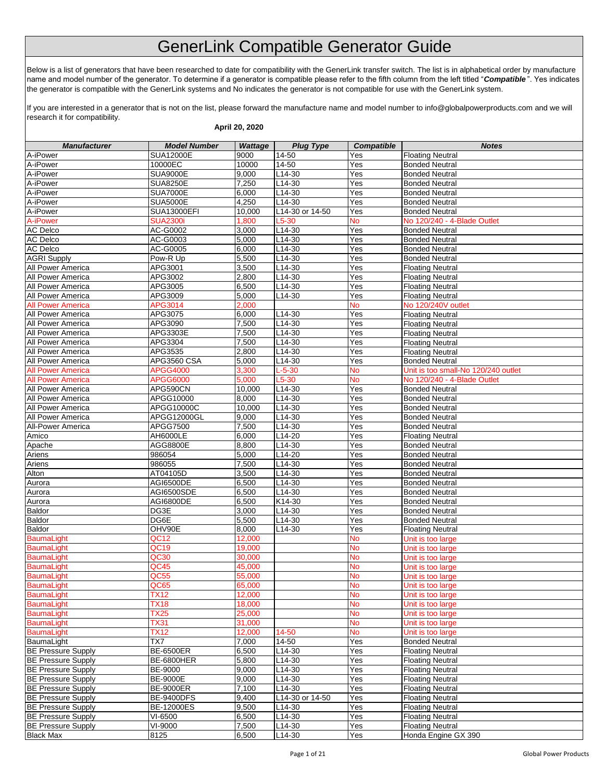## GenerLink Compatible Generator Guide

Below is a list of generators that have been researched to date for compatibility with the GenerLink transfer switch. The list is in alphabetical order by manufacture name and model number of the generator. To determine if a generator is compatible please refer to the fifth column from the left titled "*Compatible* ". Yes indicates the generator is compatible with the GenerLink systems and No indicates the generator is not compatible for use with the GenerLink system.

If you are interested in a generator that is not on the list, please forward the manufacture name and model number to info@globalpowerproducts.com and we will research it for compatibility.

| April 20, 2020                         |                     |                 |                    |                   |                                                    |  |  |
|----------------------------------------|---------------------|-----------------|--------------------|-------------------|----------------------------------------------------|--|--|
| <b>Manufacturer</b>                    | <b>Model Number</b> | <b>Wattage</b>  | <b>Plug Type</b>   | <b>Compatible</b> | <b>Notes</b>                                       |  |  |
| A-iPower                               | SUA12000E           | 9000            | 14-50              | Yes               | <b>Floating Neutral</b>                            |  |  |
| A-iPower                               | 10000EC             | 10000           | 14-50              | Yes               | <b>Bonded Neutral</b>                              |  |  |
| A-iPower                               | <b>SUA9000E</b>     | 9,000           | L14-30             | Yes               | <b>Bonded Neutral</b>                              |  |  |
| A-iPower                               | <b>SUA8250E</b>     | 7,250           | $L14-30$           | Yes               | <b>Bonded Neutral</b>                              |  |  |
| A-iPower                               | <b>SUA7000E</b>     | 6,000           | $L14-30$           | Yes               | <b>Bonded Neutral</b>                              |  |  |
| A-iPower                               | <b>SUA5000E</b>     | 4,250           | L14-30             | Yes               | <b>Bonded Neutral</b>                              |  |  |
| A-iPower                               | <b>SUA13000EFI</b>  | 10,000          | L14-30 or 14-50    | Yes               | <b>Bonded Neutral</b>                              |  |  |
| A-iPower                               | <b>SUA2300i</b>     | 1,800           | $L5-30$            | <b>No</b>         | No 120/240 - 4-Blade Outlet                        |  |  |
| <b>AC</b> Delco                        | AC-G0002            | 3,000           | L14-30             | Yes               | <b>Bonded Neutral</b>                              |  |  |
| <b>AC Delco</b>                        | AC-G0003            | 5,000           | $L14-30$           | Yes               | <b>Bonded Neutral</b>                              |  |  |
| <b>AC Delco</b>                        | AC-G0005            | 6,000           | L14-30             | Yes               | <b>Bonded Neutral</b>                              |  |  |
| <b>AGRI Supply</b>                     | Pow-R Up            | 5,500           | L14-30             | Yes               | <b>Bonded Neutral</b>                              |  |  |
| All Power America                      | APG3001             | 3,500           | L14-30             | Yes               | <b>Floating Neutral</b>                            |  |  |
| All Power America                      | APG3002             | 2,800           | $L14-30$           | Yes               | <b>Floating Neutral</b>                            |  |  |
| All Power America                      | APG3005             | 6,500           | L14-30             | Yes               | <b>Floating Neutral</b>                            |  |  |
| All Power America                      | APG3009             | 5,000           | L14-30             | Yes               | <b>Floating Neutral</b>                            |  |  |
| <b>All Power America</b>               | APG3014             | 2,000           |                    | <b>No</b>         | No 120/240V outlet                                 |  |  |
| All Power America                      | APG3075<br>APG3090  | 6,000<br>7,500  | L14-30<br>$L14-30$ | Yes               | <b>Floating Neutral</b><br><b>Floating Neutral</b> |  |  |
| All Power America<br>All Power America | APG3303E            | 7,500           | L14-30             | Yes<br>Yes        |                                                    |  |  |
| All Power America                      | APG3304             | 7,500           | $L14-30$           | Yes               | <b>Floating Neutral</b>                            |  |  |
| <b>All Power America</b>               | APG3535             | 2,800           | $L14-30$           | Yes               | <b>Floating Neutral</b><br><b>Floating Neutral</b> |  |  |
| All Power America                      | APG3560 CSA         | 5,000           | $L14-30$           | Yes               | <b>Bonded Neutral</b>                              |  |  |
| <b>All Power America</b>               | <b>APGG4000</b>     | 3,300           | $L - 5 - 30$       | No                | Unit is too small-No 120/240 outlet                |  |  |
| <b>All Power America</b>               | APGG6000            | 5,000           | L5-30              | No                | No 120/240 - 4-Blade Outlet                        |  |  |
| All Power America                      | APG590CN            | 10,000          | L14-30             | Yes               | <b>Bonded Neutral</b>                              |  |  |
| All Power America                      | APGG10000           | 8.000           | $L14-30$           | Yes               | <b>Bonded Neutral</b>                              |  |  |
| All Power America                      | APGG10000C          | 10,000          | L14-30             | Yes               | <b>Bonded Neutral</b>                              |  |  |
| All Power America                      | APGG12000GL         | 9,000           | $L14-30$           | Yes               | <b>Bonded Neutral</b>                              |  |  |
| All-Power America                      | APGG7500            | 7,500           | $L14-30$           | Yes               | <b>Bonded Neutral</b>                              |  |  |
| Amico                                  | AH6000LE            | 6,000           | L14-20             | Yes               | <b>Floating Neutral</b>                            |  |  |
| Apache                                 | AGG8800E            | 8,800           | L14-30             | Yes               | <b>Bonded Neutral</b>                              |  |  |
| Ariens                                 | 986054              | 5,000           | L14-20             | Yes               | <b>Bonded Neutral</b>                              |  |  |
| Ariens                                 | 986055              | 7,500           | L14-30             | Yes               | <b>Bonded Neutral</b>                              |  |  |
| Alton                                  | AT04105D            | 3,500           | $L14-30$           | Yes               | <b>Bonded Neutral</b>                              |  |  |
| Aurora                                 | AGI6500DE           | 6,500           | $L14-30$           | Yes               | <b>Bonded Neutral</b>                              |  |  |
| Aurora                                 | AGI6500SDE          | 6,500           | $L14-30$           | Yes               | <b>Bonded Neutral</b>                              |  |  |
| Aurora                                 | AGI6800DE           | 6,500           | K14-30             | Yes               | <b>Bonded Neutral</b>                              |  |  |
| Baldor                                 | DG3E                | 3.000           | $L14-30$           | $\overline{Y}$ es | <b>Bonded Neutral</b>                              |  |  |
| <b>Baldor</b>                          | DG6E                | 5,500           | $L14-30$           | Yes               | <b>Bonded Neutral</b>                              |  |  |
| Baldor                                 | OHV90E              | 8,000           | L14-30             | Yes               | <b>Floating Neutral</b>                            |  |  |
| <b>BaumaLight</b>                      | QC12                | 12,000          |                    | No                | Unit is too large                                  |  |  |
| <b>BaumaLight</b>                      | QC19                | 19,000          |                    | No                | Unit is too large                                  |  |  |
| <b>BaumaLight</b>                      | QC30                | 30,000          |                    | No                | Unit is too large                                  |  |  |
| <b>BaumaLight</b>                      | QC45                | 45,000          |                    | <b>NO</b>         | Unit is too large                                  |  |  |
| <b>BaumaLight</b>                      | <b>QC55</b>         | 55,000          |                    | <b>No</b>         | Unit is too large                                  |  |  |
| BaumaLight                             | QC65                | 65,000          |                    | <b>No</b>         | Unit is too large                                  |  |  |
| <b>BaumaLight</b>                      | <b>TX12</b>         | 12,000          |                    | <b>No</b>         | Unit is too large                                  |  |  |
| <b>BaumaLight</b>                      | <b>TX18</b>         | 18,000          |                    | No                | Unit is too large                                  |  |  |
| <b>BaumaLight</b>                      | <b>TX25</b>         | 25,000          |                    | <b>No</b>         | Unit is too large                                  |  |  |
| <b>BaumaLight</b><br><b>BaumaLight</b> | <b>TX31</b>         | 31,000          |                    | No                | Unit is too large                                  |  |  |
| BaumaLight                             | <b>TX12</b><br>TX7  | 12,000<br>7,000 | 14-50<br>14-50     | <b>No</b><br>Yes  | Unit is too large<br><b>Bonded Neutral</b>         |  |  |
| <b>BE Pressure Supply</b>              | <b>BE-6500ER</b>    | 6,500           | L14-30             | Yes               | <b>Floating Neutral</b>                            |  |  |
| <b>BE Pressure Supply</b>              | BE-6800HER          | 5,800           | L14-30             | Yes               | <b>Floating Neutral</b>                            |  |  |
| <b>BE Pressure Supply</b>              | BE-9000             | 9,000           | L14-30             | Yes               | <b>Floating Neutral</b>                            |  |  |
| <b>BE Pressure Supply</b>              | <b>BE-9000E</b>     | 9,000           | L14-30             | Yes               | <b>Floating Neutral</b>                            |  |  |
| <b>BE Pressure Supply</b>              | <b>BE-9000ER</b>    | 7,100           | $L14-30$           | Yes               | <b>Floating Neutral</b>                            |  |  |
| <b>BE Pressure Supply</b>              | <b>BE-9400DFS</b>   | 9,400           | L14-30 or 14-50    | Yes               | <b>Floating Neutral</b>                            |  |  |
| <b>BE Pressure Supply</b>              | <b>BE-12000ES</b>   | 9,500           | L14-30             | Yes               | <b>Floating Neutral</b>                            |  |  |
| <b>BE Pressure Supply</b>              | VI-6500             | 6,500           | L14-30             | Yes               | <b>Floating Neutral</b>                            |  |  |
| <b>BE Pressure Supply</b>              | VI-9000             | 7,500           | L14-30             | Yes               | <b>Floating Neutral</b>                            |  |  |
| <b>Black Max</b>                       | 8125                | 6,500           | L14-30             | Yes               | Honda Engine GX 390                                |  |  |
|                                        |                     |                 |                    |                   |                                                    |  |  |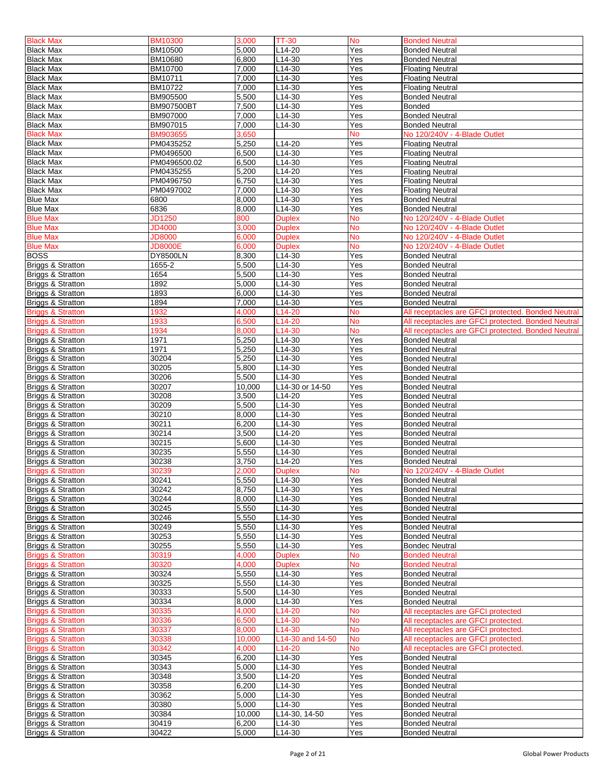| <b>Black Max</b>             | <b>BM10300</b>  | 3,000  | <b>TT-30</b>        | <b>No</b> | <b>Bonded Neutral</b>                              |
|------------------------------|-----------------|--------|---------------------|-----------|----------------------------------------------------|
| <b>Black Max</b>             | BM10500         | 5.000  | L14-20              | Yes       | <b>Bonded Neutral</b>                              |
|                              |                 |        |                     |           |                                                    |
| <b>Black Max</b>             | BM10680         | 6,800  | L14-30              | Yes       | <b>Bonded Neutral</b>                              |
| <b>Black Max</b>             | BM10700         | 7,000  | $L14-30$            | Yes       | <b>Floating Neutral</b>                            |
| <b>Black Max</b>             | BM10711         | 7,000  | L14-30              | Yes       | <b>Floating Neutral</b>                            |
| <b>Black Max</b>             | BM10722         | 7,000  | $L14-30$            | Yes       | <b>Floating Neutral</b>                            |
|                              |                 |        |                     |           |                                                    |
| <b>Black Max</b>             | BM905500        | 5,500  | L14-30              | Yes       | <b>Bonded Neutral</b>                              |
| <b>Black Max</b>             | BM907500BT      | 7,500  | L14-30              | Yes       | <b>Bonded</b>                                      |
| <b>Black Max</b>             | BM907000        | 7,000  | L14-30              | Yes       | <b>Bonded Neutral</b>                              |
| <b>Black Max</b>             | BM907015        | 7,000  | L14-30              | Yes       | <b>Bonded Neutral</b>                              |
| <b>Black Max</b>             |                 |        |                     | No        |                                                    |
|                              | <b>BM903655</b> | 3,650  |                     |           | No 120/240V - 4-Blade Outlet                       |
| <b>Black Max</b>             | PM0435252       | 5,250  | L14-20              | Yes       | <b>Floating Neutral</b>                            |
| <b>Black Max</b>             | PM0496500       | 6,500  | L14-30              | Yes       | <b>Floating Neutral</b>                            |
| <b>Black Max</b>             | PM0496500.02    | 6,500  | L14-30              | Yes       | <b>Floating Neutral</b>                            |
|                              | PM0435255       | 5,200  | L14-20              | Yes       |                                                    |
| <b>Black Max</b>             |                 |        |                     |           | <b>Floating Neutral</b>                            |
| <b>Black Max</b>             | PM0496750       | 6,750  | L14-30              | Yes       | <b>Floating Neutral</b>                            |
| <b>Black Max</b>             | PM0497002       | 7,000  | L14-30              | Yes       | <b>Floating Neutral</b>                            |
| <b>Blue Max</b>              | 6800            | 8,000  | L14-30              | Yes       | <b>Bonded Neutral</b>                              |
| <b>Blue Max</b>              | 6836            | 8,000  | L14-30              | Yes       | <b>Bonded Neutral</b>                              |
|                              |                 |        |                     |           |                                                    |
| <b>Blue Max</b>              | JD1250          | 800    | <b>Duplex</b>       | No        | No 120/240V - 4-Blade Outlet                       |
| <b>Blue Max</b>              | <b>JD4000</b>   | 3.000  | <b>Duplex</b>       | <b>No</b> | No 120/240V - 4-Blade Outlet                       |
| <b>Blue Max</b>              | <b>JD8000</b>   | 6,000  | <b>Duplex</b>       | No        | No 120/240V - 4-Blade Outlet                       |
| <b>Blue Max</b>              | <b>JD8000E</b>  | 6.000  | <b>Duplex</b>       | No        | No 120/240V - 4-Blade Outlet                       |
|                              |                 |        |                     |           |                                                    |
| <b>BOSS</b>                  | <b>DY8500LN</b> | 8,300  | L14-30              | Yes       | <b>Bonded Neutral</b>                              |
| Briggs & Stratton            | 1655-2          | 5,500  | $L14-30$            | Yes       | <b>Bonded Neutral</b>                              |
| Briggs & Stratton            | 1654            | 5,500  | L14-30              | Yes       | <b>Bonded Neutral</b>                              |
|                              |                 |        |                     |           |                                                    |
| Briggs & Stratton            | 1892            | 5,000  | L14-30              | Yes       | <b>Bonded Neutral</b>                              |
| Briggs & Stratton            | 1893            | 6,000  | L14-30              | Yes       | <b>Bonded Neutral</b>                              |
| Briggs & Stratton            | 1894            | 7,000  | L14-30              | Yes       | <b>Bonded Neutral</b>                              |
|                              |                 |        |                     |           |                                                    |
| <b>Briggs &amp; Stratton</b> | 1932            | 4,000  | L14-20              | <b>No</b> | All receptacles are GFCI protected. Bonded Neutral |
| <b>Briggs &amp; Stratton</b> | 1933            | 6,500  | L14-20              | <b>No</b> | All receptacles are GFCI protected. Bonded Neutral |
| <b>Briggs &amp; Stratton</b> | 1934            | 8,000  | L14-30              | <b>No</b> | All receptacles are GFCI protected. Bonded Neutral |
| <b>Briggs &amp; Stratton</b> | 1971            | 5,250  | L14-30              | Yes       | <b>Bonded Neutral</b>                              |
|                              |                 |        |                     |           |                                                    |
| Briggs & Stratton            | 1971            | 5,250  | L14-30              | Yes       | <b>Bonded Neutral</b>                              |
| Briggs & Stratton            | 30204           | 5,250  | $L14-30$            | Yes       | <b>Bonded Neutral</b>                              |
| Briggs & Stratton            | 30205           | 5,800  | $L14-30$            | Yes       | <b>Bonded Neutral</b>                              |
|                              |                 |        |                     |           |                                                    |
| <b>Briggs &amp; Stratton</b> | 30206           | 5,500  | L14-30              | Yes       | <b>Bonded Neutral</b>                              |
| <b>Briggs &amp; Stratton</b> | 30207           | 10,000 | L14-30 or 14-50     | Yes       | <b>Bonded Neutral</b>                              |
| Briggs & Stratton            | 30208           | 3,500  | L14-20              | Yes       | <b>Bonded Neutral</b>                              |
|                              | 30209           | 5,500  | L14-30              | Yes       |                                                    |
| Briggs & Stratton            |                 |        |                     |           | <b>Bonded Neutral</b>                              |
| Briggs & Stratton            | 30210           | 8,000  | L14-30              | Yes       | <b>Bonded Neutral</b>                              |
| <b>Briggs &amp; Stratton</b> | 30211           | 6,200  | L14-30              | Yes       | <b>Bonded Neutral</b>                              |
| Briggs & Stratton            | 30214           | 3,500  | L14-20              | Yes       | <b>Bonded Neutral</b>                              |
|                              |                 |        |                     |           |                                                    |
| Briggs & Stratton            | 30215           | 5,600  | L14-30              | Yes       | <b>Bonded Neutral</b>                              |
| <b>Briggs &amp; Stratton</b> | 30235           | 5,550  | L14-30              | Yes       | <b>Bonded Neutral</b>                              |
| Briggs & Stratton            | 30238           | 3,750  | L14-20              | Yes       | <b>Bonded Neutral</b>                              |
|                              |                 | 2,000  |                     | <b>No</b> | No 120/240V - 4-Blade Outlet                       |
| Briggs & Stratton            | 30239           |        | <b>Duplex</b>       |           |                                                    |
| Briggs & Stratton            | 30241           | 5,550  | L <sub>14</sub> -30 | Yes       | <b>Bonded Neutral</b>                              |
| Briggs & Stratton            | 30242           | 8,750  | L14-30              | Yes       | <b>Bonded Neutral</b>                              |
| <b>Briggs &amp; Stratton</b> | 30244           | 8,000  | L14-30              | Yes       | <b>Bonded Neutral</b>                              |
|                              |                 |        |                     |           |                                                    |
| Briggs & Stratton            | 30245           | 5,550  | L14-30              | Yes       | <b>Bonded Neutral</b>                              |
| <b>Briggs &amp; Stratton</b> | 30246           | 5,550  | L14-30              | Yes       | <b>Bonded Neutral</b>                              |
| Briggs & Stratton            | 30249           | 5,550  | L14-30              | Yes       | <b>Bonded Neutral</b>                              |
| <b>Briggs &amp; Stratton</b> | 30253           | 5,550  | L14-30              | Yes       | <b>Bonded Neutral</b>                              |
|                              |                 |        |                     |           |                                                    |
| Briggs & Stratton            | 30255           | 5,550  | L14-30              | Yes       | <b>Bondec Neutral</b>                              |
| <b>Briggs &amp; Stratton</b> | 30319           | 4,000  | <b>Duplex</b>       | <b>No</b> | <b>Bonded Neutral</b>                              |
| <b>Briggs &amp; Stratton</b> | 30320           | 4,000  | <b>Duplex</b>       | <b>No</b> | <b>Bonded Neutral</b>                              |
|                              |                 |        |                     |           |                                                    |
| Briggs & Stratton            | 30324           | 5,550  | L14-30              | Yes       | <b>Bonded Neutral</b>                              |
| Briggs & Stratton            | 30325           | 5,550  | L14-30              | Yes       | <b>Bonded Neutral</b>                              |
| <b>Briggs &amp; Stratton</b> | 30333           | 5,500  | L14-30              | Yes       | <b>Bonded Neutral</b>                              |
|                              | 30334           | 8,000  | L14-30              | Yes       | <b>Bonded Neutral</b>                              |
| Briggs & Stratton            |                 |        |                     |           |                                                    |
| <b>Briggs &amp; Stratton</b> | 30335           | 4,000  | L14-20              | No        | All receptacles are GFCI protected                 |
| <b>Briggs &amp; Stratton</b> | 30336           | 6,500  | L14-30              | <b>No</b> | All receptacles are GFCI protected.                |
| <b>Briggs &amp; Stratton</b> | 30337           | 8,000  | L14-30              | <b>No</b> | All receptacles are GFCI protected.                |
|                              |                 |        |                     |           |                                                    |
| <b>Briggs &amp; Stratton</b> | 30338           | 10,000 | L14-30 and 14-50    | No        | All receptacles are GFCI protected.                |
| <b>Briggs &amp; Stratton</b> | 30342           | 4,000  | L14-20              | <b>No</b> | All receptacles are GFCI protected.                |
| <b>Briggs &amp; Stratton</b> | 30345           | 6,200  | L14-30              | Yes       | <b>Bonded Neutral</b>                              |
| Briggs & Stratton            | 30343           | 5,000  | L14-30              | Yes       | <b>Bonded Neutral</b>                              |
|                              |                 |        |                     |           |                                                    |
| Briggs & Stratton            | 30348           | 3,500  | L14-20              | Yes       | <b>Bonded Neutral</b>                              |
| Briggs & Stratton            | 30358           | 6,200  | L14-30              | Yes       | <b>Bonded Neutral</b>                              |
| Briggs & Stratton            | 30362           | 5,000  | L14-30              | Yes       | <b>Bonded Neutral</b>                              |
|                              |                 |        |                     |           |                                                    |
| Briggs & Stratton            | 30380           | 5,000  | L14-30              | Yes       | <b>Bonded Neutral</b>                              |
| Briggs & Stratton            | 30384           | 10,000 | L14-30, 14-50       | Yes       | <b>Bonded Neutral</b>                              |
| Briggs & Stratton            | 30419           | 6,200  | L14-30              | Yes       | <b>Bonded Neutral</b>                              |
| Briggs & Stratton            | 30422           | 5,000  | L14-30              | Yes       |                                                    |
|                              |                 |        |                     |           | <b>Bonded Neutral</b>                              |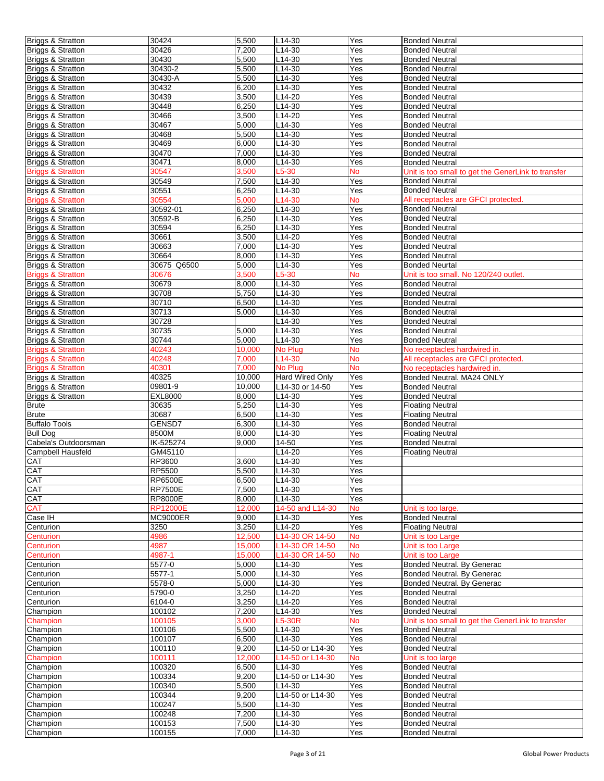| <b>Briggs &amp; Stratton</b> | 30424            | 5,500          | L14-30           | Yes        | <b>Bonded Neutral</b>                              |
|------------------------------|------------------|----------------|------------------|------------|----------------------------------------------------|
| <b>Briggs &amp; Stratton</b> | 30426            | 7,200          | $L14-30$         | Yes        | <b>Bonded Neutral</b>                              |
| Briggs & Stratton            | 30430            | 5,500          | L14-30           | Yes        | <b>Bonded Neutral</b>                              |
| <b>Briggs &amp; Stratton</b> | 30430-2          | 5,500          | $L14-30$         | Yes        | <b>Bonded Neutral</b>                              |
| <b>Briggs &amp; Stratton</b> | 30430-A          | 5,500          | L14-30           | Yes        | <b>Bonded Neutral</b>                              |
|                              |                  |                |                  |            |                                                    |
| <b>Briggs &amp; Stratton</b> | 30432            | 6,200          | $L14-30$         | Yes        | <b>Bonded Neutral</b>                              |
| <b>Briggs &amp; Stratton</b> | 30439            | 3,500          | L14-20           | Yes        | <b>Bonded Neutral</b>                              |
| <b>Briggs &amp; Stratton</b> | 30448            | 6,250          | L14-30           | Yes        | <b>Bonded Neutral</b>                              |
| <b>Briggs &amp; Stratton</b> | 30466            | 3,500          | $L14-20$         | Yes        | <b>Bonded Neutral</b>                              |
| Briggs & Stratton            | 30467            | 5,000          | L14-30           | Yes        | <b>Bonded Neutral</b>                              |
| <b>Briggs &amp; Stratton</b> | 30468            | 5,500          | $L14-30$         | Yes        | <b>Bonded Neutral</b>                              |
| <b>Briggs &amp; Stratton</b> | 30469            | 6,000          | L14-30           | Yes        | <b>Bonded Neutral</b>                              |
| <b>Briggs &amp; Stratton</b> | 30470            | 7,000          | $L14-30$         | Yes        | <b>Bonded Neutral</b>                              |
| <b>Briggs &amp; Stratton</b> | 30471            | 8,000          | $L14-30$         | Yes        | <b>Bonded Neutral</b>                              |
| <b>Briggs &amp; Stratton</b> | 30547            | 3,500          | L5-30            | <b>No</b>  | Unit is too small to get the GenerLink to transfer |
| Briggs & Stratton            | 30549            | 7,500          | $L14-30$         | Yes        | <b>Bonded Neutral</b>                              |
|                              |                  |                | $L14-30$         | Yes        |                                                    |
| <b>Briggs &amp; Stratton</b> | 30551            | 6,250          |                  |            | <b>Bonded Neutral</b>                              |
| <b>Briggs &amp; Stratton</b> | 30554            | 5,000          | L14-30           | <b>No</b>  | All receptacles are GFCI protected.                |
| <b>Briggs &amp; Stratton</b> | 30592-01         | 6,250          | L14-30           | Yes        | <b>Bonded Neutral</b>                              |
| Briggs & Stratton            | 30592-B          | 6,250          | L14-30           | Yes        | <b>Bonded Neutral</b>                              |
| <b>Briggs &amp; Stratton</b> | 30594            | 6,250          | L14-30           | Yes        | <b>Bonded Neutral</b>                              |
| Briggs & Stratton            | 30661            | 3,500          | L14-20           | Yes        | <b>Bonded Neutral</b>                              |
| <b>Briggs &amp; Stratton</b> | 30663            | 7,000          | $L$ 14-30        | Yes        | <b>Bonded Neutral</b>                              |
| <b>Briggs &amp; Stratton</b> | 30664            | 8,000          | $L14-30$         | Yes        | <b>Bonded Neutral</b>                              |
| <b>Briggs &amp; Stratton</b> | 30675 Q6500      | 5,000          | L14-30           | Yes        | <b>Bonded Neurtal</b>                              |
| <b>Briggs &amp; Stratton</b> | 30676            | 3,500          | $L5-30$          | <b>No</b>  | Unit is too small. No 120/240 outlet.              |
| Briggs & Stratton            | 30679            | 8,000          | $L14-30$         | Yes        | <b>Bonded Neutral</b>                              |
| <b>Briggs &amp; Stratton</b> | 30708            | 5,750          | $L14-30$         | Yes        | <b>Bonded Neutral</b>                              |
|                              |                  |                |                  |            |                                                    |
| <b>Briggs &amp; Stratton</b> | 30710            | 6,500          | L14-30           | Yes        | <b>Bonded Neutral</b>                              |
| <b>Briggs &amp; Stratton</b> | 30713            | 5,000          | $L14-30$         | Yes        | <b>Bonded Neutral</b>                              |
| <b>Briggs &amp; Stratton</b> | 30728            |                | L14-30           | Yes        | <b>Bonded Neutral</b>                              |
| <b>Briggs &amp; Stratton</b> | 30735            | 5,000          | L14-30           | Yes        | <b>Bonded Neutral</b>                              |
| <b>Briggs &amp; Stratton</b> | 30744            | 5,000          | $L14-30$         | Yes        | <b>Bonded Neutral</b>                              |
| <b>Briggs &amp; Stratton</b> | 40243            | 10,000         | No Plug          | No         | No receptacles hardwired in.                       |
| <b>Briggs &amp; Stratton</b> | 40248            | 7.000          | L14-30           | <b>No</b>  | All receptacles are GFCI protected.                |
| <b>Briggs &amp; Stratton</b> | 40301            | 7,000          | No Plug          | <b>No</b>  | No receptacles hardwired in.                       |
| <b>Briggs &amp; Stratton</b> | 40325            | 10,000         | Hard Wired Only  | Yes        | Bonded Neutral. MA24 ONLY                          |
| <b>Briggs &amp; Stratton</b> | 09801-9          | 10,000         | L14-30 or 14-50  | Yes        | <b>Bonded Neutral</b>                              |
| <b>Briggs &amp; Stratton</b> | <b>EXL8000</b>   | 8,000          |                  |            |                                                    |
|                              |                  |                |                  |            |                                                    |
|                              |                  |                | L14-30           | Yes        | <b>Bonded Neutral</b>                              |
| <b>Brute</b>                 | 30635            | 5,250          | L14-30           | Yes        | <b>Floating Neutral</b>                            |
| <b>Brute</b>                 | 30687            | 6,500          | L14-30           | Yes        | <b>Floating Neutral</b>                            |
| <b>Buffalo Tools</b>         | GENSD7           | 6,300          | L14-30           | Yes        | <b>Bonded Neutral</b>                              |
| <b>Bull Dog</b>              | 8500M            | 8,000          | $L14-30$         | Yes        | <b>Floating Neutral</b>                            |
| Cabela's Outdoorsman         | IK-525274        | 9,000          | $14 - 50$        | Yes        | <b>Bonded Neutral</b>                              |
| <b>Campbell Hausfeld</b>     | GM45110          |                | L14-20           | Yes        | <b>Floating Neutral</b>                            |
| CAT                          | RP3600           | 3,600          | L14-30           | Yes        |                                                    |
| CAT                          | RP5500           | 5,500          | $L14-30$         | Yes        |                                                    |
|                              |                  |                |                  |            |                                                    |
| <b>CAT</b>                   | RP6500E          | 6,500          | L14-30           | Yes        |                                                    |
| CAT                          | <b>RP7500E</b>   | 7,500          | L14-30           | Yes        |                                                    |
| CAT                          | <b>RP8000E</b>   | 8,000          | L14-30           | Yes        |                                                    |
| <b>CAT</b>                   | <b>RP12000E</b>  | 12,000         | 14-50 and L14-30 | No         | Unit is too large.                                 |
| Case IH                      | <b>MC9000ER</b>  | 9,000          | L14-30           | Yes        | <b>Bonded Neutral</b>                              |
| Centurion                    | 3250             | 3,250          | L14-20           | Yes        | <b>Floating Neutral</b>                            |
| Centurion                    | 4986             | 12,500         | L14-30 OR 14-50  | <b>No</b>  | Unit is too Large                                  |
| Centurion                    | 4987             | 15,000         | L14-30 OR 14-50  | <b>No</b>  | Unit is too Large                                  |
| Centurion                    | 4987-1           | 15,000         | L14-30 OR 14-50  | No         | Unit is too Large                                  |
| Centurion                    | 5577-0           | 5,000          | L14-30           | Yes        | Bonded Neutral. By Generac                         |
| Centurion                    | 5577-1           | 5,000          | L14-30           | Yes        | Bonded Neutral. By Generac                         |
| Centurion                    | 5578-0           | 5,000          | L14-30           | Yes        | Bonded Neutral. By Generac                         |
| Centurion                    | 5790-0           | 3,250          | L14-20           | Yes        | <b>Bonded Neutral</b>                              |
| Centurion                    | 6104-0           |                |                  |            | <b>Bonded Neutral</b>                              |
|                              | 100102           | 3,250          | L14-20           | Yes        | <b>Bonded Neutral</b>                              |
| Champion                     |                  | 7,200          | L14-30           | Yes        |                                                    |
| Champion                     | 100105           | 3,000          | L5-30R           | No         | Unit is too small to get the GenerLink to transfer |
| Champion                     | 100106           | 5,500          | L14-30           | Yes        | <b>Bonbed Neutral</b>                              |
| Champion                     | 100107           | 6,500          | L14-30           | Yes        | <b>Bonded Neutral</b>                              |
| Champion                     | 100110           | 9,200          | L14-50 or L14-30 | Yes        | <b>Bonded Neutral</b>                              |
| Champion                     | 100111           | 12,000         | L14-50 or L14-30 | <b>No</b>  | Unit is too large                                  |
| Champion                     | 100320           | 6,500          | L14-30           | Yes        | <b>Bonded Neutral</b>                              |
| Champion                     | 100334           | 9,200          | L14-50 or L14-30 | Yes        | <b>Bonded Neutral</b>                              |
| Champion                     | 100340           | 5,500          | L14-30           | Yes        | <b>Bonded Neutral</b>                              |
| Champion                     | 100344           | 9,200          | L14-50 or L14-30 | Yes        | <b>Bonded Neutral</b>                              |
| Champion                     | 100247           | 5,500          | L14-30           | Yes        | <b>Bonded Neutral</b>                              |
|                              |                  |                |                  |            |                                                    |
| Champion                     | 100248           | 7,200          | L14-30           | Yes        | <b>Bonded Neutral</b>                              |
| Champion<br>Champion         | 100153<br>100155 | 7,500<br>7,000 | L14-30<br>L14-30 | Yes<br>Yes | <b>Bonded Neutral</b><br><b>Bonded Neutral</b>     |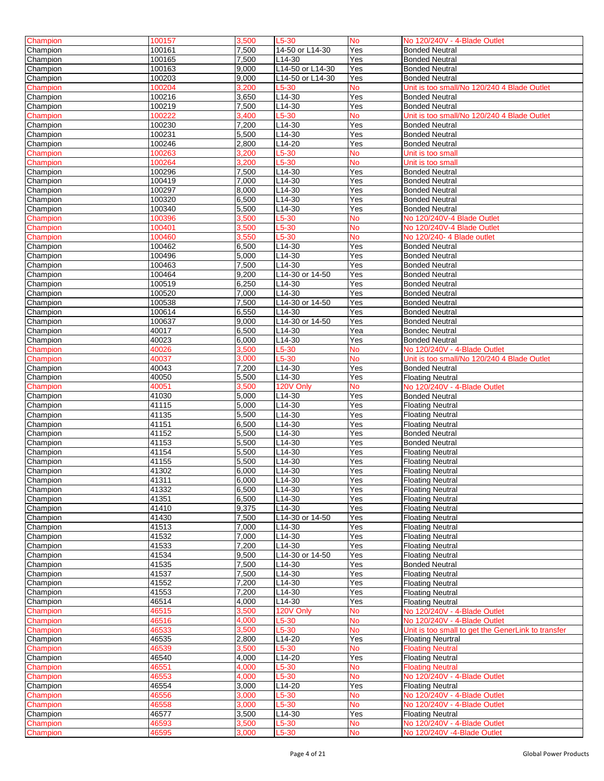| Champion | 100157 | 3,500 | L5-30               | <b>No</b> | No 120/240V - 4-Blade Outlet                       |
|----------|--------|-------|---------------------|-----------|----------------------------------------------------|
| Champion | 100161 | 7,500 | 14-50 or L14-30     | Yes       | <b>Bonded Neutral</b>                              |
|          |        |       |                     |           |                                                    |
| Champion | 100165 | 7,500 | L14-30              | Yes       | <b>Bonded Neutral</b>                              |
| Champion | 100163 | 9,000 | L14-50 or L14-30    | Yes       | <b>Bonded Neutral</b>                              |
| Champion | 100203 | 9,000 | L14-50 or L14-30    | Yes       | <b>Bonded Neutral</b>                              |
| Champion | 100204 | 3,200 | L5-30               | <b>No</b> | Unit is too small/No 120/240 4 Blade Outlet        |
| Champion | 100216 | 3,650 | L14-30              | Yes       | <b>Bonded Neutral</b>                              |
| Champion | 100219 | 7,500 | L14-30              | Yes       | <b>Bonded Neutral</b>                              |
| Champion | 100222 | 3.400 | $L5-30$             | <b>No</b> | Unit is too small/No 120/240 4 Blade Outlet        |
|          |        |       |                     |           |                                                    |
| Champion | 100230 | 7,200 | L14-30              | Yes       | <b>Bonded Neutral</b>                              |
| Champion | 100231 | 5,500 | L14-30              | Yes       | <b>Bonded Neutral</b>                              |
| Champion | 100246 | 2,800 | L14-20              | Yes       | <b>Bonded Neutral</b>                              |
| Champion | 100263 | 3,200 | $L5-30$             | <b>No</b> | Unit is too small                                  |
| Champion | 100264 | 3,200 | L5-30               | <b>No</b> | Unit is too small                                  |
| Champion | 100296 | 7,500 | L14-30              | Yes       | <b>Bonded Neutral</b>                              |
| Champion | 100419 | 7,000 | L14-30              | Yes       | <b>Bonded Neutral</b>                              |
| Champion | 100297 | 8,000 | L14-30              | Yes       | <b>Bonded Neutral</b>                              |
| Champion | 100320 | 6,500 | $L14-30$            | Yes       | <b>Bonded Neutral</b>                              |
|          |        |       |                     |           |                                                    |
| Champion | 100340 | 5,500 | L14-30              | Yes       | <b>Bonded Neutral</b>                              |
| Champion | 100396 | 3,500 | L5-30               | No        | No 120/240V-4 Blade Outlet                         |
| Champion | 100401 | 3,500 | L5-30               | <b>No</b> | No 120/240V-4 Blade Outlet                         |
| Champion | 100460 | 3,550 | L5-30               | <b>No</b> | No 120/240- 4 Blade outlet                         |
| Champion | 100462 | 6,500 | L14-30              | Yes       | <b>Bonded Neutral</b>                              |
| Champion | 100496 | 5,000 | L14-30              | Yes       | <b>Bonded Neutral</b>                              |
| Champion | 100463 | 7,500 | L14-30              | Yes       | <b>Bonded Neutral</b>                              |
| Champion | 100464 | 9,200 | L14-30 or 14-50     | Yes       | <b>Bonded Neutral</b>                              |
| Champion | 100519 | 6,250 | L14-30              | Yes       | <b>Bonded Neutral</b>                              |
| Champion | 100520 | 7.000 | L14-30              | Yes       | <b>Bonded Neutral</b>                              |
|          |        |       |                     |           |                                                    |
| Champion | 100538 | 7,500 | L14-30 or 14-50     | Yes       | <b>Bonded Neutral</b>                              |
| Champion | 100614 | 6,550 | L14-30              | Yes       | <b>Bonded Neutral</b>                              |
| Champion | 100637 | 9,000 | L14-30 or 14-50     | Yes       | <b>Bonded Neutral</b>                              |
| Champion | 40017  | 6,500 | L14-30              | Yea       | <b>Bondec Neutral</b>                              |
| Champion | 40023  | 6,000 | L14-30              | Yes       | <b>Bonded Neutral</b>                              |
| Champion | 40026  | 3,500 | L5-30               | No        | No 120/240V - 4-Blade Outlet                       |
| Champion | 40037  | 3,000 | L5-30               | No        | Unit is too small/No 120/240 4 Blade Outlet        |
| Champion | 40043  | 7,200 | L14-30              | Yes       | <b>Bonded Neutral</b>                              |
| Champion | 40050  | 5,500 | L14-30              | Yes       | <b>Floating Neutral</b>                            |
| Champion | 40051  | 3,500 | 120V Only           | No        | No 120/240V - 4-Blade Outlet                       |
|          |        |       |                     |           |                                                    |
| Champion | 41030  | 5,000 | L14-30              | Yes       | <b>Bonded Neutral</b>                              |
| Champion | 41115  | 5.000 | L14-30              | Yes       | <b>Floating Neutral</b>                            |
| Champion | 41135  | 5,500 | L14-30              | Yes       | <b>Floating Neutral</b>                            |
| Champion | 41151  | 6,500 | L14-30              | Yes       | <b>Floating Neutral</b>                            |
| Champion | 41152  | 5,500 | L14-30              | Yes       | <b>Bonded Neutral</b>                              |
| Champion | 41153  | 5,500 | L14-30              | Yes       | <b>Bonded Neutral</b>                              |
| Champion | 41154  | 5,500 | L14-30              | Yes       | <b>Floating Neutral</b>                            |
| Champion | 41155  | 5,500 | L14-30              | Yes       | Floating Neutral                                   |
| Champion | 41302  | 6,000 | L14-30              | Yes       | <b>Floating Neutral</b>                            |
|          |        |       |                     |           |                                                    |
| Champion | 41311  | 6,000 | L <sub>14</sub> -30 | Yes       | <b>Floating Neutral</b>                            |
| Champion | 41332  | 6,500 | L14-30              | Yes       | <b>Floating Neutral</b>                            |
| Champion | 41351  | 6,500 | L14-30              | Yes       | <b>Floating Neutral</b>                            |
| Champion | 41410  | 9,375 | L14-30              | Yes       | <b>Floating Neutral</b>                            |
| Champion | 41430  | 7,500 | L14-30 or 14-50     | Yes       | <b>Floating Neutral</b>                            |
| Champion | 41513  | 7,000 | L14-30              | Yes       | <b>Floating Neutral</b>                            |
| Champion | 41532  | 7,000 | L14-30              | Yes       | <b>Floating Neutral</b>                            |
| Champion | 41533  | 7,200 | L14-30              | $Y_{ES}$  | <b>Floating Neutral</b>                            |
| Champion | 41534  | 9,500 | L14-30 or 14-50     | Yes       | <b>Floating Neutral</b>                            |
| Champion | 41535  | 7,500 | L14-30              | Yes       | <b>Bonded Neutral</b>                              |
| Champion | 41537  | 7,500 | L14-30              | Yes       | <b>Floating Neutral</b>                            |
|          |        |       | L14-30              |           |                                                    |
| Champion | 41552  | 7,200 |                     | Yes       | <b>Floating Neutral</b>                            |
| Champion | 41553  | 7,200 | L14-30              | Yes       | <b>Floating Neutral</b>                            |
| Champion | 46514  | 4,000 | L14-30              | Yes       | <b>Floating Neutral</b>                            |
| Champion | 46515  | 3,500 | 120V Only           | No        | No 120/240V - 4-Blade Outlet                       |
| Champion | 46516  | 4,000 | $-5 - 30$           | No        | No 120/240V - 4-Blade Outlet                       |
| Champion | 46533  | 3,500 | L5-30               | <b>No</b> | Unit is too small to get the GenerLink to transfer |
| Champion | 46535  | 2,800 | L14-20              | Yes       | <b>Floating Neurtral</b>                           |
| Champion | 46539  | 3,500 | $L5-30$             | No        | <b>Floating Neutral</b>                            |
| Champion | 46540  | 4,000 | L14-20              | Yes       | <b>Floating Neutral</b>                            |
| Champion | 46551  | 4,000 | $L5-30$             | No        | <b>Floating Neutral</b>                            |
| Champion | 46553  | 4,000 | L5-30               | No        | No 120/240V - 4-Blade Outlet                       |
| Champion | 46554  | 3,000 | L14-20              | Yes       | <b>Floating Neutral</b>                            |
|          |        |       |                     |           |                                                    |
| Champion | 46556  | 3.000 | L5-30               | No        | No 120/240V - 4-Blade Outlet                       |
| Champion | 46558  | 3,000 | L5-30               | No        | No 120/240V - 4-Blade Outlet                       |
| Champion | 46577  | 3,500 | L14-30              | Yes       | <b>Floating Neutral</b>                            |
| Champion | 46593  | 3,500 | L5-30               | No        | No 120/240V - 4-Blade Outlet                       |
| Champion | 46595  | 3,000 | L5-30               | <b>No</b> | No 120/240V -4-Blade Outlet                        |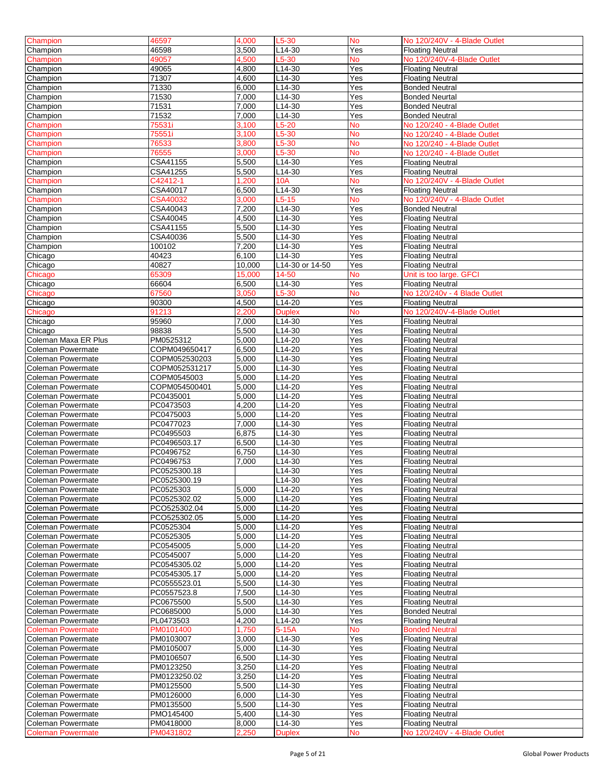| Champion                 | 46597           | 4,000  | $L5-30$             | No                | No 120/240V - 4-Blade Outlet |
|--------------------------|-----------------|--------|---------------------|-------------------|------------------------------|
| Champion                 | 46598           | 3,500  | L14-30              | Yes               | <b>Floating Neutral</b>      |
|                          |                 |        |                     |                   |                              |
| Champion                 | 49057           | 4,500  | $L5-30$             | No                | No 120/240V-4-Blade Outlet   |
| Champion                 | 49065           | 4,800  | L14-30              | Yes               | <b>Floating Neutral</b>      |
| Champion                 | 71307           | 4,600  | L14-30              | Yes               | <b>Floating Neutral</b>      |
| Champion                 | 71330           | 6,000  | L14-30              | Yes               | <b>Bonded Neutral</b>        |
| Champion                 | 71530           | 7,000  | L14-30              | Yes               | <b>Bonded Neurtal</b>        |
| Champion                 | 71531           | 7,000  | $L14-30$            | Yes               | <b>Bonded Neutral</b>        |
| Champion                 | 71532           | 7,000  | $L14-30$            | Yes               | <b>Bonded Neutral</b>        |
| Champion                 | 75531i          | 3,100  | $L5-20$             | No                | No 120/240 - 4-Blade Outlet  |
| Champion                 | 75551i          | 3,100  | $L5-30$             | No                | No 120/240 - 4-Blade Outlet  |
|                          |                 |        |                     | No                | No 120/240 - 4-Blade Outlet  |
| Champion                 | 76533           | 3,800  | L5-30               |                   |                              |
| Champion                 | 76555           | 3,000  | $L5-30$             | <b>No</b>         | No 120/240 - 4-Blade Outlet  |
| Champion                 | CSA41155        | 5,500  | L14-30              | Yes               | <b>Floating Neutral</b>      |
| Champion                 | CSA41255        | 5,500  | L14-30              | Yes               | <b>Floating Neutral</b>      |
| Champion                 | C42412-1        | 1,200  | <b>10A</b>          | No                | No 120/240V - 4-Blade Outlet |
| Champion                 | CSA40017        | 6,500  | L14-30              | Yes               | <b>Floating Neutral</b>      |
| Champion                 | <b>CSA40032</b> | 3,000  | $L5-15$             | No                | No 120/240V - 4-Blade Outlet |
| Champion                 | CSA40043        | 7,200  | L14-30              | Yes               | <b>Bonded Neutral</b>        |
| Champion                 | CSA40045        | 4,500  | L14-30              | Yes               | <b>Floating Neutral</b>      |
| Champion                 | CSA41155        | 5,500  | L14-30              | Yes               | <b>Floating Neutral</b>      |
| Champion                 | CSA40036        | 5,500  | $L14-30$            | Yes               |                              |
|                          |                 |        | L14-30              | Yes               | <b>Floating Neutral</b>      |
| Champion                 | 100102          | 7,200  |                     |                   | <b>Floating Neutral</b>      |
| Chicago                  | 40423           | 6,100  | L14-30              | Yes               | <b>Floating Neutral</b>      |
| Chicago                  | 40827           | 10,000 | L14-30 or 14-50     | Yes               | <b>Floating Neutral</b>      |
| Chicago                  | 65309           | 15,000 | 14-50               | <b>No</b>         | Unit is too large. GFCI      |
| Chicago                  | 66604           | 6,500  | $L14-30$            | Yes               | <b>Floating Neutral</b>      |
| Chicago                  | 67560           | 3,050  | $L5-30$             | No                | No 120/240v - 4 Blade Outlet |
| Chicago                  | 90300           | 4,500  | L14-20              | Yes               | <b>Floating Neutral</b>      |
| Chicago                  | 91213           | 2,200  | <b>Duplex</b>       | No                | No 120/240V-4-Blade Outlet   |
| Chicago                  | 95960           | 7,000  | L14-30              | Yes               | <b>Floating Neutral</b>      |
| Chicago                  | 98838           | 5,500  | L14-30              | Yes               | <b>Floating Neutral</b>      |
| Coleman Maxa ER Plus     |                 | 5,000  | L14-20              |                   |                              |
|                          | PM0525312       |        |                     | Yes               | <b>Floating Neutral</b>      |
| Coleman Powermate        | COPM049650417   | 6,500  | $L14-20$            | Yes               | <b>Floating Neutral</b>      |
| Coleman Powermate        | COPM052530203   | 5,000  | L14-30              | Yes               | <b>Floating Neutral</b>      |
| Coleman Powermate        | COPM052531217   | 5,000  | L14-30              | Yes               | <b>Floating Neutral</b>      |
| Coleman Powermate        | COPM0545003     | 5,000  | L14-20              | Yes               | <b>Floating Neutral</b>      |
| Coleman Powermate        | COPM054500401   | 5,000  | L14-20              | Yes               | <b>Floating Neutral</b>      |
| <b>Coleman Powermate</b> | PC0435001       | 5,000  | L14-20              | Yes               | <b>Floating Neutral</b>      |
| Coleman Powermate        | PC0473503       | 4,200  | L14-20              | Yes               | <b>Floating Neutral</b>      |
| Coleman Powermate        | PC0475003       | 5,000  | L14-20              | Yes               | <b>Floating Neutral</b>      |
| Coleman Powermate        | PC0477023       | 7,000  | L14-30              | Yes               | <b>Floating Neutral</b>      |
| Coleman Powermate        | PC0495503       | 6,875  | L14-30              | Yes               | <b>Floating Neutral</b>      |
|                          |                 |        |                     |                   |                              |
| Coleman Powermate        | PC0496503.17    | 6,500  | $L14-30$            | Yes               | <b>Floating Neutral</b>      |
| Coleman Powermate        | PC0496752       | 6,750  | L14-30              | Yes               | <b>Floating Neutral</b>      |
| Coleman Powermate        | PC0496753       | 7,000  | L14-30              | Yes               | <b>Floating Neutral</b>      |
| Coleman Powermate        | PC0525300.18    |        | L14-30              | Yes               | <b>Floating Neutral</b>      |
| Coleman Powermate        | PC0525300.19    |        | L <sub>14</sub> -30 | Yes               | <b>Floating Neutral</b>      |
| <b>Coleman Powermate</b> | PC0525303       | 5,000  | L14-20              | Yes               | <b>Floating Neutral</b>      |
| Coleman Powermate        | PC0525302.02    | 5,000  | L14-20              | Yes               | <b>Floating Neutral</b>      |
| Coleman Powermate        | PCO525302.04    | 5,000  | L14-20              | Yes               | <b>Floating Neutral</b>      |
| <b>Coleman Powermate</b> | PCO525302.05    | 5,000  | L14-20              | Yes               | <b>Floating Neutral</b>      |
| <b>Coleman Powermate</b> | PC0525304       | 5,000  | L14-20              | Yes               | <b>Floating Neutral</b>      |
| <b>Coleman Powermate</b> | PC0525305       | 5,000  | L14-20              | Yes               | <b>Floating Neutral</b>      |
|                          |                 |        |                     |                   |                              |
| Coleman Powermate        | PC0545005       | 5,000  | L14-20              | Yes               | <b>Floating Neutral</b>      |
| Coleman Powermate        | PC0545007       | 5,000  | L14-20              | Yes               | <b>Floating Neutral</b>      |
| Coleman Powermate        | PC0545305.02    | 5,000  | L14-20              | Yes               | <b>Floating Neutral</b>      |
| <b>Coleman Powermate</b> | PC0545305.17    | 5,000  | L14-20              | $\overline{Y}$ es | <b>Floating Neutral</b>      |
| Coleman Powermate        | PC0555523.01    | 5,500  | L14-30              | Yes               | <b>Floating Neutral</b>      |
| <b>Coleman Powermate</b> | PC0557523.8     | 7,500  | L14-30              | Yes               | <b>Floating Neutral</b>      |
| <b>Coleman Powermate</b> | PC0675500       | 5,500  | L14-30              | Yes               | <b>Floating Neutral</b>      |
| Coleman Powermate        | PC0685000       | 5,000  | L14-30              | Yes               | <b>Bonded Neutral</b>        |
| Coleman Powermate        | PL0473503       | 4,200  | L14-20              | $\overline{Y}$ es | <b>Floating Neutral</b>      |
| <b>Coleman Powermate</b> | PM0101400       | 1,750  | $5-15A$             | No                | <b>Bonded Neutral</b>        |
| <b>Coleman Powermate</b> | PM0103007       | 3,000  | L14-30              | Yes               | <b>Floating Neutral</b>      |
|                          |                 |        |                     |                   |                              |
| <b>Coleman Powermate</b> | PM0105007       | 5,000  | L14-30              | Yes               | <b>Floating Neutral</b>      |
| <b>Coleman Powermate</b> | PM0106507       | 6,500  | L14-30              | $\overline{Y}$ es | <b>Floating Neutral</b>      |
| <b>Coleman Powermate</b> | PM0123250       | 3,250  | L14-20              | Yes               | <b>Floating Neutral</b>      |
| <b>Coleman Powermate</b> | PM0123250.02    | 3,250  | L14-20              | Yes               | <b>Floating Neutral</b>      |
| Coleman Powermate        | PM0125500       | 5,500  | L14-30              | Yes               | <b>Floating Neutral</b>      |
| <b>Coleman Powermate</b> | PM0126000       | 6,000  | L14-30              | Yes               | <b>Floating Neutral</b>      |
| Coleman Powermate        | PM0135500       | 5,500  | L14-30              | Yes               | <b>Floating Neutral</b>      |
| Coleman Powermate        | PMO145400       | 5,400  | L14-30              | Yes               | <b>Floating Neutral</b>      |
| <b>Coleman Powermate</b> | PM0418000       | 8,000  | L14-30              | Yes               | <b>Floating Neutral</b>      |
| <b>Coleman Powermate</b> | PM0431802       | 2,250  | <b>Duplex</b>       | No                | No 120/240V - 4-Blade Outlet |
|                          |                 |        |                     |                   |                              |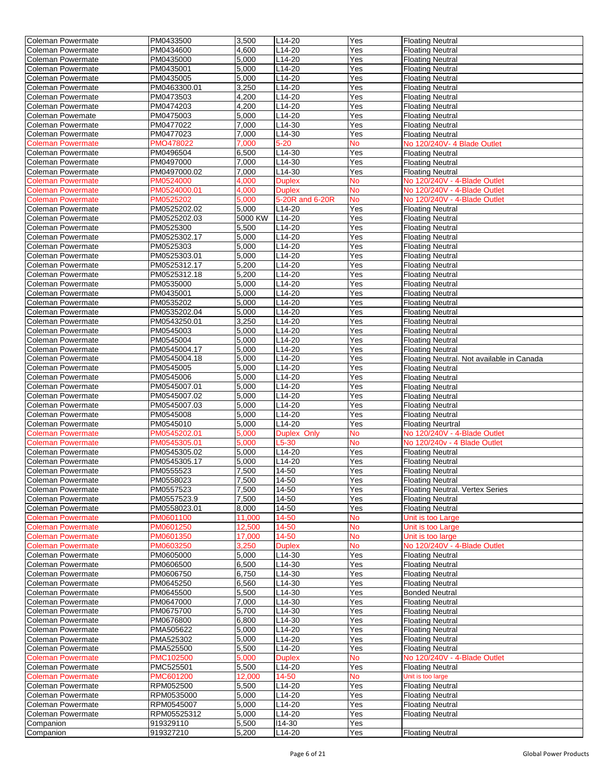| <b>Coleman Powermate</b> | PM0433500              | 3,500              | $L14-20$         | Yes        | <b>Floating Neutral</b>                   |
|--------------------------|------------------------|--------------------|------------------|------------|-------------------------------------------|
| <b>Coleman Powermate</b> | PM0434600              | 4,600              | L14-20           | Yes        | <b>Floating Neutral</b>                   |
|                          |                        |                    |                  |            |                                           |
| Coleman Powermate        | PM0435000              | 5,000              | L14-20           | Yes        | <b>Floating Neutral</b>                   |
| Coleman Powermate        | PM0435001              | 5,000              | $L14-20$         | Yes        | <b>Floating Neutral</b>                   |
| <b>Coleman Powermate</b> | PM0435005              | 5,000              | $L14-20$         | Yes        | <b>Floating Neutral</b>                   |
| Coleman Powermate        | PM0463300.01           | 3,250              | L14-20           | Yes        | <b>Floating Neutral</b>                   |
| Coleman Powermate        | PM0473503              | 4,200              | $L14-20$         | Yes        | <b>Floating Neutral</b>                   |
| Coleman Powermate        | PM0474203              | 4,200              | L14-20           | Yes        | <b>Floating Neutral</b>                   |
| Coleman Powemate         | PM0475003              | 5,000              | L14-20           | Yes        | <b>Floating Neutral</b>                   |
|                          |                        |                    |                  |            |                                           |
| Coleman Powermate        | PM0477022              | 7,000              | $L14-30$         | Yes        | <b>Floating Neutral</b>                   |
| Coleman Powermate        | PM0477023              | 7,000              | $L14-30$         | Yes        | <b>Floating Neutral</b>                   |
| <b>Coleman Powermate</b> | PMO478022              | 7,000              | $5 - 20$         | <b>No</b>  | No 120/240V- 4 Blade Outlet               |
| Coleman Powermate        | PM0496504              | 6,500              | L14-30           | Yes        | <b>Floating Neutral</b>                   |
| Coleman Powermate        | PM0497000              | 7,000              | L14-30           | Yes        | <b>Floating Neutral</b>                   |
| Coleman Powermate        | PM0497000.02           | 7,000              | $L14-30$         | Yes        | <b>Floating Neutral</b>                   |
| <b>Coleman Powermate</b> | PM0524000              | 4,000              | <b>Duplex</b>    | No         | No 120/240V - 4-Blade Outlet              |
| <b>Coleman Powermate</b> | PM0524000.01           | 4,000              | <b>Duplex</b>    | <b>No</b>  | No 120/240V - 4-Blade Outlet              |
| <b>Coleman Powermate</b> | PM0525202              | 5,000              | 5-20R and 6-20R  | <b>No</b>  | No 120/240V - 4-Blade Outlet              |
| Coleman Powermate        | PM0525202.02           | 5,000              | L14-20           | Yes        |                                           |
|                          |                        | 5000 KW            |                  |            | <b>Floating Neutral</b>                   |
| Coleman Powermate        | PM0525202.03           |                    | L14-20           | Yes        | <b>Floating Neutral</b>                   |
| Coleman Powermate        | PM0525300              | 5,500              | L14-20           | Yes        | <b>Floating Neutral</b>                   |
| <b>Coleman Powermate</b> | PM0525302.17           | 5,000              | L14-20           | Yes        | <b>Floating Neutral</b>                   |
| Coleman Powermate        | PM0525303              | 5,000              | L14-20           | Yes        | <b>Floating Neutral</b>                   |
| <b>Coleman Powermate</b> | PM0525303.01           | 5,000              | $L14-20$         | Yes        | <b>Floating Neutral</b>                   |
| Coleman Powermate        | PM0525312.17           | 5,200              | L14-20           | Yes        | <b>Floating Neutral</b>                   |
| Coleman Powermate        | PM0525312.18           | $\overline{5,200}$ | L14-20           | Yes        | <b>Floating Neutral</b>                   |
| Coleman Powermate        | PM0535000              | 5,000              | L14-20           | Yes        | <b>Floating Neutral</b>                   |
| <b>Coleman Powermate</b> | PM0435001              | 5,000              | L14-20           | Yes        | <b>Floating Neutral</b>                   |
| <b>Coleman Powermate</b> | PM0535202              | 5,000              | L14-20           | Yes        |                                           |
|                          |                        |                    |                  |            | <b>Floating Neutral</b>                   |
| <b>Coleman Powermate</b> | PM0535202.04           | 5,000              | L14-20           | Yes        | <b>Floating Neutral</b>                   |
| Coleman Powermate        | PM0543250.01           | 3,250              | L14-20           | Yes        | <b>Floating Neutral</b>                   |
| Coleman Powermate        | PM0545003              | 5,000              | L14-20           | Yes        | <b>Floating Neutral</b>                   |
| Coleman Powermate        | PM0545004              | 5,000              | L14-20           | Yes        | <b>Floating Neutral</b>                   |
| Coleman Powermate        | PM0545004.17           | 5,000              | L14-20           | Yes        | <b>Floating Neutral</b>                   |
| <b>Coleman Powermate</b> | PM0545004.18           | 5,000              | $L14-20$         | Yes        | Floating Neutral. Not available in Canada |
| Coleman Powermate        | PM0545005              | 5,000              | L14-20           | Yes        | <b>Floating Neutral</b>                   |
| Coleman Powermate        | PM0545006              | 5,000              | L14-20           | Yes        | <b>Floating Neutral</b>                   |
| Coleman Powermate        | PM0545007.01           | 5,000              | $L14-20$         | Yes        | <b>Floating Neutral</b>                   |
|                          | PM0545007.02           | 5,000              | L14-20           | Yes        |                                           |
| Coleman Powermate        |                        |                    |                  |            | <b>Floating Neutral</b>                   |
| Coleman Powermate        | PM0545007.03           | 5,000              | L14-20           | Yes        | <b>Floating Neutral</b>                   |
| <b>Coleman Powermate</b> | PM0545008              | 5,000              | L14-20           | Yes        | <b>Floating Neutral</b>                   |
| <b>Coleman Powermate</b> | PM0545010              | 5,000              | L14-20           | Yes        | <b>Floating Neurtral</b>                  |
| <b>Coleman Powermate</b> | PM0545202.01           | 5,000              | Duplex Only      | No         | No 120/240V - 4-Blade Outlet              |
| <b>Coleman Powermate</b> | PM0545305.01           | 5,000              | $L5-30$          | <b>No</b>  | No 120/240v - 4 Blade Outlet              |
| Coleman Powermate        | PM0545305.02           | 5,000              | L14-20           | Yes        | <b>Floating Neutral</b>                   |
| <b>Coleman Powermate</b> | PM0545305.17           | 5,000              | L14-20           | Yes        | <b>Floating Neutral</b>                   |
| <b>Coleman Powermate</b> | PM0555523              | 7,500              | 14-50            | Yes        | <b>Floating Neutral</b>                   |
| Coleman Powermate        | PM0558023              |                    |                  |            | <b>Floating Neutral</b>                   |
|                          |                        | 7,500              | 14-50            | Yes        |                                           |
| Coleman Powermate        | PM0557523              | 7,500              | 14-50            | Yes        | Floating Neutral. Vertex Series           |
| Coleman Powermate        | PM0557523.9            | 7,500              | 14-50            | Yes        | <b>Floating Neutral</b>                   |
| Coleman Powermate        | PM0558023.01           | 8,000              | 14-50            | Yes        | <b>Floating Neutral</b>                   |
| <b>Coleman Powermate</b> | PM0601100              | 11,000             | 14-50            | No         | Unit is too Large                         |
| <b>Coleman Powermate</b> | PM0601250              | 12,500             | 14-50            | No         | Unit is too Large                         |
| <b>Coleman Powermate</b> | PM0601350              | 17,000             | 14-50            | <b>No</b>  | Unit is too large                         |
| <b>Coleman Powermate</b> | PM0603250              | 3,250              | <b>Duplex</b>    | No         | No 120/240V - 4-Blade Outlet              |
| Coleman Powermate        | PM0605000              | 5,000              | L14-30           | Yes        | <b>Floating Neutral</b>                   |
| Coleman Powermate        | PM0606500              | 6,500              | L14-30           | Yes        | <b>Floating Neutral</b>                   |
| Coleman Powermate        | PM0606750              | 6,750              | L14-30           | Yes        | <b>Floating Neutral</b>                   |
| Coleman Powermate        | PM0645250              | 6,560              | L14-30           | Yes        | <b>Floating Neutral</b>                   |
|                          |                        |                    |                  |            |                                           |
| Coleman Powermate        | PM0645500              | 5,500              | L14-30           | Yes        | <b>Bonded Neutral</b>                     |
| Coleman Powermate        | PM0647000              | 7,000              | L14-30           | Yes        | <b>Floating Neutral</b>                   |
| Coleman Powermate        | PM0675700              | 5,700              | L14-30           | Yes        | <b>Floating Neutral</b>                   |
| Coleman Powermate        | PM0676800              | 6,800              | L14-30           | Yes        | <b>Floating Neutral</b>                   |
| <b>Coleman Powermate</b> | PMA505622              | 5,000              | L14-20           | Yes        | <b>Floating Neutral</b>                   |
| Coleman Powermate        | PMA525302              | 5,000              | L14-20           | Yes        | <b>Floating Neutral</b>                   |
| Coleman Powermate        | PMA525500              | 5,500              | L14-20           | Yes        | <b>Floating Neutral</b>                   |
| <b>Coleman Powermate</b> | PMC102500              | 5,000              | <b>Duplex</b>    | <b>No</b>  | No 120/240V - 4-Blade Outlet              |
| Coleman Powermate        | PMC525501              | 5,500              | L14-20           | <b>Yes</b> | <b>Floating Neutral</b>                   |
| <b>Coleman Powermate</b> | PMC601200              | 12,000             | 14-50            | No         | Unit is too large                         |
|                          |                        | 5,500              | L14-20           |            |                                           |
| Coleman Powermate        |                        |                    |                  | Yes        | <b>Floating Neutral</b>                   |
|                          | RPM052500              |                    |                  |            |                                           |
| Coleman Powermate        | RPM0535000             | 5,000              | L14-20           | Yes        | <b>Floating Neutral</b>                   |
| Coleman Powermate        | RPM0545007             | 5,000              | L14-20           | Yes        | <b>Floating Neutral</b>                   |
| <b>Coleman Powermate</b> | RPM05525312            | 5,000              | L14-20           | Yes        | <b>Floating Neutral</b>                   |
| Companion<br>Companion   | 919329110<br>919327210 | 5,500<br>5,200     | 114-30<br>L14-20 | Yes<br>Yes | <b>Floating Neutral</b>                   |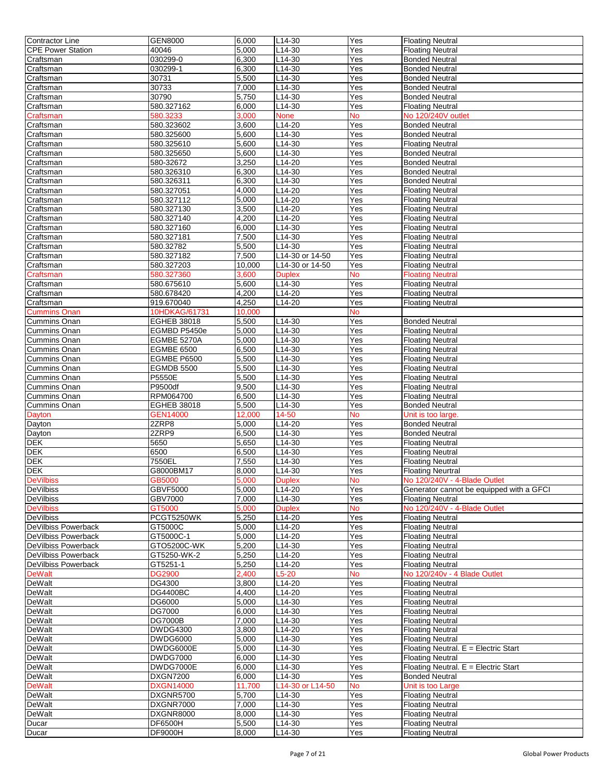| Contractor Line                                       | GEN8000            | 6,000          | L14-30           | Yes        | <b>Floating Neutral</b>                            |
|-------------------------------------------------------|--------------------|----------------|------------------|------------|----------------------------------------------------|
| <b>CPE Power Station</b>                              | 40046              | 5,000          | L14-30           | Yes        | <b>Floating Neutral</b>                            |
| Craftsman                                             | 030299-0           | 6,300          | L14-30           | Yes        | <b>Bonded Neutral</b>                              |
|                                                       |                    |                |                  |            |                                                    |
| Craftsman                                             | 030299-1           | 6,300          | $L14-30$         | Yes        | <b>Bonded Neutral</b>                              |
| Craftsman                                             | 30731              | 5,500          | $L14-30$         | Yes        | <b>Bonded Neutral</b>                              |
| Craftsman                                             | 30733              | 7,000          | $L14-30$         | Yes        | <b>Bonded Neutral</b>                              |
| Craftsman                                             | 30790              | 5,750          | $L14-30$         | Yes        | <b>Bonded Neutral</b>                              |
| Craftsman                                             | 580.327162         | 6,000          | L14-30           | Yes        | <b>Floating Neutral</b>                            |
| Craftsman                                             | 580.3233           | 3,000          | <b>None</b>      | No         | No 120/240V outlet                                 |
| Craftsman                                             | 580.323602         | 3,600          | L14-20           | Yes        | <b>Bonded Neutral</b>                              |
|                                                       |                    |                |                  |            |                                                    |
| Craftsman                                             | 580.325600         | 5,600          | $L14-30$         | Yes        | <b>Bonded Neutral</b>                              |
| Craftsman                                             | 580.325610         | 5,600          | L14-30           | Yes        | <b>Floating Neutral</b>                            |
| Craftsman                                             | 580.325650         | 5,600          | L14-30           | Yes        | <b>Bonded Neutral</b>                              |
| Craftsman                                             | 580-32672          | 3,250          | L14-20           | Yes        | <b>Bonded Neutral</b>                              |
| Craftsman                                             | 580.326310         | 6,300          | L14-30           | Yes        | <b>Bonded Neutral</b>                              |
| Craftsman                                             | 580.326311         | 6,300          | $L14-30$         | Yes        | <b>Bonded Neutral</b>                              |
| Craftsman                                             | 580.327051         | 4,000          | L14-20           | Yes        | <b>Floating Neutral</b>                            |
|                                                       |                    | 5,000          |                  |            |                                                    |
| Craftsman                                             | 580.327112         |                | L14-20           | Yes        | <b>Floating Neutral</b>                            |
| Craftsman                                             | 580.327130         | 3,500          | L14-20           | Yes        | <b>Floating Neutral</b>                            |
| Craftsman                                             | 580.327140         | 4,200          | L14-20           | Yes        | <b>Floating Neutral</b>                            |
| Craftsman                                             | 580.327160         | 6,000          | L14-30           | Yes        | <b>Floating Neutral</b>                            |
| Craftsman                                             | 580.327181         | 7,500          | L14-30           | Yes        | <b>Floating Neutral</b>                            |
| Craftsman                                             | 580.32782          | 5,500          | $L14-30$         | Yes        | <b>Floating Neutral</b>                            |
| Craftsman                                             | 580.327182         | 7,500          | L14-30 or 14-50  | Yes        | <b>Floating Neutral</b>                            |
|                                                       |                    |                |                  |            |                                                    |
| Craftsman                                             | 580.327203         | 10,000         | L14-30 or 14-50  | Yes        | <b>Floating Neutral</b>                            |
| Craftsman                                             | 580.327360         | 3,600          | <b>Duplex</b>    | No         | <b>Floating Neutral</b>                            |
| Craftsman                                             | 580.675610         | 5,600          | L14-30           | Yes        | <b>Floating Neutral</b>                            |
| Craftsman                                             | 580.678420         | 4,200          | $L14-20$         | Yes        | <b>Floating Neutral</b>                            |
| Craftsman                                             | 919.670040         | 4,250          | L14-20           | Yes        | <b>Floating Neutral</b>                            |
| <b>Cummins Onan</b>                                   | 10HDKAG/61731      | 10,000         |                  | <b>No</b>  |                                                    |
| Cummins Onan                                          | EGHEB 38018        | 5,500          | $L14-30$         | Yes        | <b>Bonded Neutral</b>                              |
|                                                       |                    |                |                  | Yes        |                                                    |
| <b>Cummins Onan</b>                                   | EGMBD P5450e       | 5,000          | L14-30           |            | <b>Floating Neutral</b>                            |
| Cummins Onan                                          | EGMBE 5270A        | 5,000          | $L14-30$         | Yes        | <b>Floating Neutral</b>                            |
| <b>Cummins Onan</b>                                   | <b>EGMBE 6500</b>  | 6,500          | L14-30           | Yes        | <b>Floating Neutral</b>                            |
| <b>Cummins Onan</b>                                   | EGMBE P6500        | 5,500          | L14-30           | Yes        | <b>Floating Neutral</b>                            |
| <b>Cummins Onan</b>                                   | EGMDB 5500         | 5,500          | $L14-30$         | Yes        | <b>Floating Neutral</b>                            |
| <b>Cummins Onan</b>                                   | P5550E             | 5,500          | $L14-30$         | Yes        | <b>Floating Neutral</b>                            |
| Cummins Onan                                          | P9500df            | 9,500          | $L14-30$         | Yes        | <b>Floating Neutral</b>                            |
|                                                       |                    |                |                  |            |                                                    |
| <b>Cummins Onan</b>                                   | RPM064700          | 6,500          | L14-30           | Yes        | <b>Floating Neutral</b>                            |
| Cummins Onan                                          | EGHEB 38018        | 5,500          | $L14-30$         | Yes        | <b>Bonded Neutral</b>                              |
| Dayton                                                | <b>GEN14000</b>    | 12,000         | 14-50            | No         | Unit is too large.                                 |
| Dayton                                                | 2ZRP8              | 5,000          | L14-20           | Yes        | <b>Bonded Neutral</b>                              |
| Dayton                                                | 2ZRP9              | 6,500          | $L14-30$         | Yes        | <b>Bonded Neutral</b>                              |
| <b>DEK</b>                                            | 5650               | 5,650          | L14-30           | Yes        | <b>Floating Neutral</b>                            |
| <b>DEK</b>                                            | 6500               | 6,500          | L14-30           | Yes        | <b>Floating Neutral</b>                            |
| <b>DEK</b>                                            | 7550EL             | 7,550          | L14-30           | Yes        | <b>Floating Neutral</b>                            |
|                                                       |                    |                |                  |            |                                                    |
| <b>DEK</b>                                            | G8000BM17          | 8,000          | L14-30           | Yes        | <b>Floating Neurtral</b>                           |
| <b>DeVilbiss</b>                                      | GB5000             | 5,000          | <b>Duplex</b>    | <b>No</b>  | No 120/240V - 4-Blade Outlet                       |
| <b>DeVilbiss</b>                                      | <b>GBVF5000</b>    | 5,000          | L14-20           | Yes        | Generator cannot be equipped with a GFCI           |
| DeVilbiss                                             | GBV7000            | 7,000          | $L14-30$         | Yes        | <b>Floating Neutral</b>                            |
| <b>DeVilbiss</b>                                      | GT5000             | 5,000          | <b>Duplex</b>    | No         | No 120/240V - 4-Blade Outlet                       |
| DeVilbiss                                             | PCGT5250WK         | 5,250          | L14-20           | Yes        | <b>Floating Neutral</b>                            |
| DeVilbiss Powerback                                   | GT5000C            | 5,000          | L14-20           | Yes        | <b>Floating Neutral</b>                            |
| DeVilbiss Powerback                                   | GT5000C-1          | 5,000          | L14-20           | Yes        | <b>Floating Neutral</b>                            |
|                                                       |                    |                |                  |            |                                                    |
| DeVilbiss Powerback                                   | GTO5200C-WK        | 5,200          | L14-30           | Yes        | <b>Floating Neutral</b>                            |
| DeVilbiss Powerback                                   |                    |                |                  |            |                                                    |
| DeVilbiss Powerback                                   | GT5250-WK-2        | 5,250          | $L14-20$         | Yes        | <b>Floating Neutral</b>                            |
|                                                       | GT5251-1           | 5,250          | $L14-20$         | Yes        | <b>Floating Neutral</b>                            |
| <b>DeWalt</b>                                         | <b>DG2900</b>      | 2,400          | L5-20            | No         | No 120/240v - 4 Blade Outlet                       |
|                                                       |                    |                |                  |            |                                                    |
|                                                       | DG4300             | 3,800          | L14-20           | Yes        | <b>Floating Neutral</b>                            |
|                                                       | <b>DG4400BC</b>    | 4,400          | L14-20           | Yes        | <b>Floating Neutral</b>                            |
|                                                       | DG6000             | 5,000          | $L14-30$         | Yes        | <b>Floating Neutral</b>                            |
| DeWalt                                                | DG7000             | 6,000          | L14-30           | Yes        | <b>Floating Neutral</b>                            |
| DeWalt                                                | <b>DG7000B</b>     | 7,000          | L14-30           | Yes        | <b>Floating Neutral</b>                            |
|                                                       | DWDG4300           | 3,800          | L14-20           | Yes        | <b>Floating Neutral</b>                            |
| <b>DeWalt</b><br>DeWalt<br>DeWalt<br>DeWalt<br>DeWalt | <b>DWDG6000</b>    | 5,000          | L14-30           | Yes        | <b>Floating Neutral</b>                            |
|                                                       | DWDG6000E          | 5,000          | L14-30           | Yes        | Floating Neutral. E = Electric Start               |
| DeWalt                                                |                    |                |                  |            |                                                    |
| <b>DeWalt</b>                                         | <b>DWDG7000</b>    | 6,000          | L14-30           | Yes        | <b>Floating Neutral</b>                            |
| <b>DeWalt</b>                                         | DWDG7000E          | 6,000          | $L14-30$         | Yes        | Floating Neutral. E = Electric Start               |
| DeWalt                                                | <b>DXGN7200</b>    | 6,000          | L14-30           | Yes        | <b>Bonded Neutral</b>                              |
| <b>DeWalt</b>                                         | <b>DXGN14000</b>   | 11,700         | L14-30 or L14-50 | No         | Unit is too Large                                  |
|                                                       | DXGNR5700          | 5,700          | L14-30           | Yes        | <b>Floating Neutral</b>                            |
| <b>DeWalt</b><br>DeWalt                               | DXGNR7000          | 7,000          | L14-30           | Yes        | <b>Floating Neutral</b>                            |
| DeWalt                                                | DXGNR8000          | 8,000          | L14-30           | Yes        | <b>Floating Neutral</b>                            |
|                                                       |                    |                |                  |            |                                                    |
| Ducar<br>Ducar                                        | DF6500H<br>DF9000H | 5,500<br>8,000 | L14-30<br>L14-30 | Yes<br>Yes | <b>Floating Neutral</b><br><b>Floating Neutral</b> |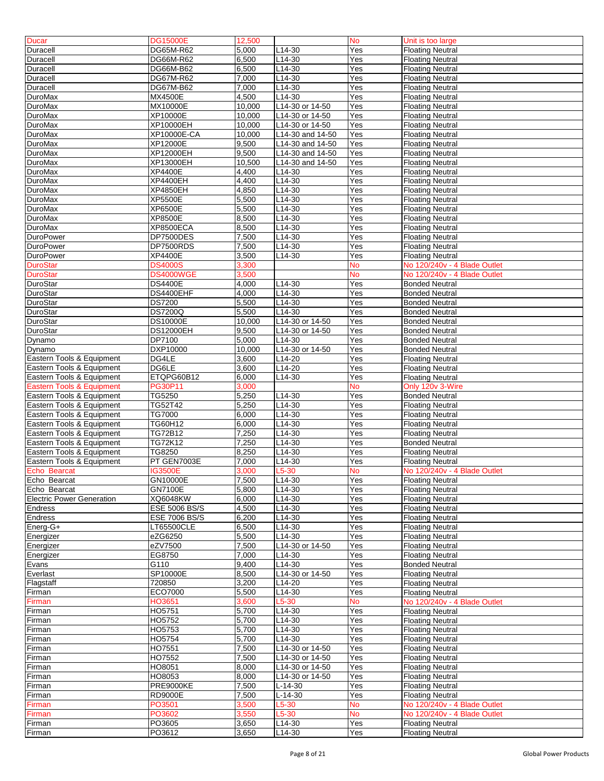| <b>Ducar</b>                     | <b>DG15000E</b>  | 12,500            |                     | <b>No</b>  | Unit is too large                                  |
|----------------------------------|------------------|-------------------|---------------------|------------|----------------------------------------------------|
| Duracell                         | DG65M-R62        | 5,000             | $L14-30$            | Yes        | <b>Floating Neutral</b>                            |
|                                  |                  |                   |                     |            |                                                    |
| Duracell                         | DG66M-R62        | 6,500             | L14-30              | Yes        | <b>Floating Neutral</b>                            |
| Duracell                         | DG66M-B62        | 6,500             | $L14-30$            | Yes        | <b>Floating Neutral</b>                            |
| <b>Duracell</b>                  | DG67M-R62        | 7,000             | L14-30              | Yes        | <b>Floating Neutral</b>                            |
| Duracell                         | DG67M-B62        | 7,000             | L14-30              | Yes        | <b>Floating Neutral</b>                            |
| <b>DuroMax</b>                   | MX4500E          | 4,500             | $L14-30$            | Yes        | <b>Floating Neutral</b>                            |
| <b>DuroMax</b>                   | MX10000E         | 10,000            | L14-30 or 14-50     | Yes        | <b>Floating Neutral</b>                            |
| <b>DuroMax</b>                   | XP10000E         | 10,000            | L14-30 or 14-50     | Yes        | <b>Floating Neutral</b>                            |
| <b>DuroMax</b>                   | XP10000EH        | 10,000            | L14-30 or 14-50     | Yes        |                                                    |
|                                  |                  |                   |                     |            | <b>Floating Neutral</b>                            |
| <b>DuroMax</b>                   | XP10000E-CA      | 10,000            | L14-30 and 14-50    | Yes        | <b>Floating Neutral</b>                            |
| <b>DuroMax</b>                   | XP12000E         | 9,500             | L14-30 and 14-50    | Yes        | <b>Floating Neutral</b>                            |
| <b>DuroMax</b>                   | XP12000EH        | 9,500             | L14-30 and 14-50    | Yes        | <b>Floating Neutral</b>                            |
| <b>DuroMax</b>                   | XP13000EH        | 10,500            | L14-30 and 14-50    | Yes        | <b>Floating Neutral</b>                            |
| <b>DuroMax</b>                   | XP4400E          | 4,400             | $L14-30$            | Yes        | <b>Floating Neutral</b>                            |
| <b>DuroMax</b>                   | XP4400EH         | 4,400             | $L14-30$            | Yes        | <b>Floating Neutral</b>                            |
| <b>DuroMax</b>                   | XP4850EH         | 4,850             | $L14-30$            | Yes        | <b>Floating Neutral</b>                            |
|                                  |                  |                   |                     |            |                                                    |
| <b>DuroMax</b>                   | XP5500E          | 5,500             | $L14-30$            | Yes        | <b>Floating Neutral</b>                            |
| <b>DuroMax</b>                   | XP6500E          | 5,500             | $L14-30$            | Yes        | <b>Floating Neutral</b>                            |
| <b>DuroMax</b>                   | XP8500E          | 8,500             | $L14-30$            | Yes        | <b>Floating Neutral</b>                            |
| <b>DuroMax</b>                   | <b>XP8500ECA</b> | 8,500             | L14-30              | Yes        | <b>Floating Neutral</b>                            |
| <b>DuroPower</b>                 | DP7500DES        | 7,500             | $L14-30$            | Yes        | <b>Floating Neutral</b>                            |
| <b>DuroPower</b>                 | DP7500RDS        | 7,500             | $L14-30$            | Yes        | <b>Floating Neutral</b>                            |
| <b>DuroPower</b>                 | XP4400E          | 3,500             | L14-30              | Yes        | <b>Floating Neutral</b>                            |
| <b>DuroStar</b>                  | <b>DS4000S</b>   | 3,300             |                     | No         | No 120/240v - 4 Blade Outlet                       |
|                                  |                  | 3,500             |                     | <b>No</b>  | No 120/240v - 4 Blade Outlet                       |
| <b>DuroStar</b>                  | DS4000WGE        |                   |                     |            |                                                    |
| DuroStar                         | <b>DS4400E</b>   | 4,000             | $L14-30$            | Yes        | <b>Bonded Neutral</b>                              |
| DuroStar                         | DS4400EHF        | 4.000             | $L14-30$            | Yes        | <b>Bonded Neutral</b>                              |
| DuroStar                         | DS7200           | 5,500             | L14-30              | Yes        | <b>Bonded Neutral</b>                              |
| DuroStar                         | <b>DS7200Q</b>   | 5,500             | $L14-30$            | Yes        | <b>Bonded Neutral</b>                              |
| DuroStar                         | <b>DS10000E</b>  | 10,000            | L14-30 or 14-50     | Yes        | <b>Bonded Neutral</b>                              |
| DuroStar                         | <b>DS12000EH</b> | 9,500             | $L14-30$ or 14-50   | Yes        | <b>Bonded Neutral</b>                              |
| Dynamo                           | DP7100           | 5,000             | L14-30              | Yes        | <b>Bonded Neutral</b>                              |
| Dynamo                           | DXP10000         | 10,000            | L14-30 or 14-50     | Yes        | <b>Bonded Neutral</b>                              |
|                                  | DG4LE            |                   |                     |            |                                                    |
| Eastern Tools & Equipment        |                  | 3,600             | L14-20              | Yes        | <b>Floating Neutral</b>                            |
| Eastern Tools & Equipment        | DG6LE            | 3,600             | $L14-20$            | Yes        | <b>Floating Neutral</b>                            |
| Eastern Tools & Equipment        | ETQPG60B12       | 6,000             | L14-30              | Yes        | <b>Floating Neutral</b>                            |
| Eastern Tools & Equipment        | <b>PG30P11</b>   | 3,000             |                     | No         | Only 120v 3-Wire                                   |
| Eastern Tools & Equipment        | TG5250           | 5,250             | $L14-30$            | Yes        | <b>Bonded Neutral</b>                              |
| Eastern Tools & Equipment        | TG52T42          | 5,250             | $L14-30$            | Yes        | <b>Floating Neutral</b>                            |
| Eastern Tools & Equipment        | TG7000           | 6,000             | L14-30              | Yes        | <b>Floating Neutral</b>                            |
| Eastern Tools & Equipment        | <b>TG60H12</b>   | 6,000             | L14-30              | Yes        | <b>Floating Neutral</b>                            |
| Eastern Tools & Equipment        | TG72B12          | 7,250             | L14-30              | Yes        | <b>Floating Neutral</b>                            |
| Eastern Tools & Equipment        | <b>TG72K12</b>   | 7,250             | L14-30              | Yes        | <b>Bonded Neutral</b>                              |
|                                  | TG8250           | 8,250             |                     | Yes        |                                                    |
| Eastern Tools & Equipment        |                  |                   | L14-30              |            | <b>Floating Neutral</b>                            |
| Eastern Tools & Equipment        | PT GEN7003E      | 7,000             | L14-30              | Yes        | <b>Floating Neutral</b>                            |
| Echo Bearcat                     | IG3500E          | 3,000             | L5-30               | No         | No 120/240v - 4 Blade Outlet                       |
| Echo Bearcat                     | GN10000E         | 7,500             | L <sub>14</sub> -30 | Yes        | <b>Floating Neutral</b>                            |
| Echo Bearcat                     | GN7100E          | 5,800             | L14-30              | Yes        | <b>Floating Neutral</b>                            |
| <b>Electric Power Generation</b> | XQ6048KW         | 6,000             | L14-30              | Yes        | <b>Floating Neutral</b>                            |
| <b>Endress</b>                   | ESE 5006 BS/S    | 4,500             | $L14-30$            | Yes        | <b>Floating Neutral</b>                            |
| <b>Endress</b>                   | ESE 7006 BS/S    | 6,200             | L14-30              | Yes        | <b>Floating Neutral</b>                            |
| Energ-G+                         | LT65500CLE       | 6,500             | L14-30              | Yes        | <b>Floating Neutral</b>                            |
|                                  | eZG6250          | 5,500             | L14-30              | Yes        | <b>Floating Neutral</b>                            |
| Energizer                        |                  |                   |                     |            |                                                    |
| Energizer                        | eZV7500          | 7,500             | L14-30 or 14-50     | Yes        | <b>Floating Neutral</b>                            |
| Energizer                        | EG8750           | 7,000             | L14-30              | Yes        | <b>Floating Neutral</b>                            |
| Evans                            | G110             | 9,400             | L14-30              | Yes        | <b>Bonded Neutral</b>                              |
| Everlast                         | SP10000E         | 8,500             | L14-30 or 14-50     | Yes        | <b>Floating Neutral</b>                            |
| Flagstaff                        | 720850           | 3,200             | L14-20              | Yes        | <b>Floating Neutral</b>                            |
| Firman                           | ECO7000          | 5,500             | $L14-30$            | Yes        | <b>Floating Neutral</b>                            |
| Firman                           | HO3651           | 3,600             | $L5-30$             | No         | No 120/240v - 4 Blade Outlet                       |
| Firman                           | HO5751           | 5,700             | L14-30              | Yes        | <b>Floating Neutral</b>                            |
| Firman                           |                  |                   |                     |            |                                                    |
| Firman                           |                  |                   |                     |            |                                                    |
|                                  | HO5752           | 5,700             | L14-30              | Yes        | <b>Floating Neutral</b>                            |
|                                  | HO5753           | $\frac{1}{5,700}$ | L14-30              | Yes        | <b>Floating Neutral</b>                            |
| Firman                           | HO5754           | 5,700             | L14-30              | Yes        | <b>Floating Neutral</b>                            |
| Firman                           | HO7551           | 7,500             | L14-30 or 14-50     | Yes        | <b>Floating Neutral</b>                            |
| Firman                           | HO7552           | 7,500             | L14-30 or 14-50     | Yes        | <b>Floating Neutral</b>                            |
| Firman                           | HO8051           | 8,000             | L14-30 or 14-50     | Yes        | <b>Floating Neutral</b>                            |
|                                  | HO8053           | 8,000             | L14-30 or 14-50     | Yes        | <b>Floating Neutral</b>                            |
| Firman                           |                  |                   |                     | Yes        | <b>Floating Neutral</b>                            |
| Firman                           | <b>PRE9000KE</b> | 7,500             | $L-14-30$           |            |                                                    |
| Firman                           | <b>RD9000E</b>   | 7,500             | $L-14-30$           | Yes        | <b>Floating Neutral</b>                            |
| Firman                           | PO3501           | 3,500             | L5-30               | No         | No 120/240v - 4 Blade Outlet                       |
| Firman                           | PO3602           | 3,550             | $L5-30$             | No         | No 120/240v - 4 Blade Outlet                       |
| Firman<br>Firman                 | PO3605<br>PO3612 | 3,650<br>3,650    | L14-30<br>L14-30    | Yes<br>Yes | <b>Floating Neutral</b><br><b>Floating Neutral</b> |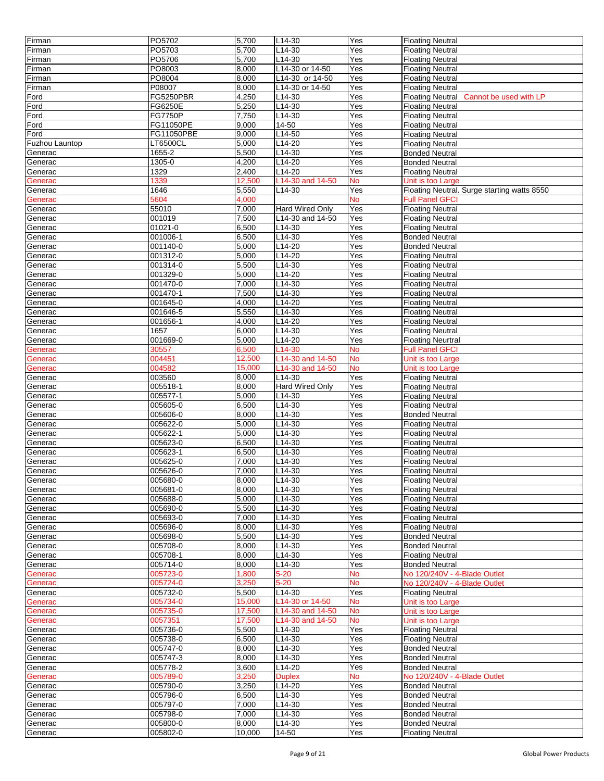| Firman         | PO5702         | 5,700  | L14-30           | Yes       | <b>Floating Neutral</b>                           |
|----------------|----------------|--------|------------------|-----------|---------------------------------------------------|
| Firman         | PO5703         | 5,700  | L14-30           | Yes       | <b>Floating Neutral</b>                           |
| Firman         | PO5706         | 5,700  | L14-30           | Yes       | <b>Floating Neutral</b>                           |
| Firman         | PO8003         | 8,000  | L14-30 or 14-50  | Yes       | <b>Floating Neutral</b>                           |
|                | PO8004         | 8,000  | L14-30 or 14-50  | Yes       | <b>Floating Neutral</b>                           |
| Firman         |                |        |                  |           |                                                   |
| Firman         | P08007         | 8,000  | L14-30 or 14-50  | Yes       | <b>Floating Neutral</b>                           |
| Ford           | FG5250PBR      | 4,250  | $L14-30$         | Yes       | <b>Floating Neutral</b><br>Cannot be used with LP |
| Ford           | FG6250E        | 5,250  | L14-30           | Yes       | <b>Floating Neutral</b>                           |
| Ford           | <b>FG7750P</b> | 7,750  | $L14-30$         | Yes       | <b>Floating Neutral</b>                           |
| Ford           | FG11050PE      | 9,000  | 14-50            | Yes       | <b>Floating Neutral</b>                           |
| Ford           | FG11050PBE     | 9,000  | $L14-50$         | Yes       | <b>Floating Neutral</b>                           |
| Fuzhou Launtop | LT6500CL       | 5,000  | $L14-20$         | Yes       | <b>Floating Neutral</b>                           |
| Generac        | 1655-2         | 5,500  | L14-30           | Yes       | <b>Bonded Neutral</b>                             |
| Generac        | 1305-0         | 4,200  | L14-20           | Yes       | <b>Bonded Neutral</b>                             |
| Generac        | 1329           | 2,400  | $L14-20$         | Yes       | <b>Floating Neutral</b>                           |
| Generac        | 1339           | 12.500 | L14-30 and 14-50 | No        | Unit is too Large                                 |
| Generac        | 1646           | 5,550  | $L14 - 30$       | Yes       | Floating Neutral. Surge starting watts 8550       |
| Generac        | 5604           | 4,000  |                  | No        | <b>Full Panel GFCI</b>                            |
|                | 55010          |        |                  |           |                                                   |
| Generac        |                | 7,000  | Hard Wired Only  | Yes       | <b>Floating Neutral</b>                           |
| Generac        | 001019         | 7,500  | L14-30 and 14-50 | Yes       | <b>Floating Neutral</b>                           |
| Generac        | 01021-0        | 6,500  | $L14-30$         | Yes       | <b>Floating Neutral</b>                           |
| Generac        | 001006-1       | 6,500  | L14-30           | Yes       | <b>Bonded Neutral</b>                             |
| Generac        | 001140-0       | 5,000  | L14-20           | Yes       | <b>Bonded Neutral</b>                             |
| Generac        | 001312-0       | 5,000  | L14-20           | Yes       | <b>Floating Neutral</b>                           |
| Generac        | 001314-0       | 5,500  | $L14-30$         | Yes       | <b>Floating Neutral</b>                           |
| Generac        | 001329-0       | 5,000  | L14-20           | Yes       | <b>Floating Neutral</b>                           |
| Generac        | 001470-0       | 7,000  | $L14-30$         | Yes       | <b>Floating Neutral</b>                           |
| Generac        | 001470-1       | 7,500  | $L14-30$         | Yes       | <b>Floating Neutral</b>                           |
| Generac        | 001645-0       | 4,000  | L14-20           | Yes       | <b>Floating Neutral</b>                           |
| Generac        | 001646-5       | 5,550  | $L14-30$         | Yes       | <b>Floating Neutral</b>                           |
|                | 001656-1       | 4,000  | $L14-20$         | Yes       | <b>Floating Neutral</b>                           |
| Generac        |                |        |                  |           |                                                   |
| Generac        | 1657           | 6,000  | L14-30           | Yes       | <b>Floating Neutral</b>                           |
| Generac        | 001669-0       | 5,000  | L14-20           | Yes       | <b>Floating Neurtral</b>                          |
| Generac        | 30557          | 6,500  | $L14 - 30$       | No        | <b>Full Panel GFCI</b>                            |
| Generac        | 004451         | 12,500 | L14-30 and 14-50 | No        | Unit is too Large                                 |
| Generac        | 004582         | 15,000 | L14-30 and 14-50 | No        | Unit is too Large                                 |
| Generac        | 003560         | 8,000  | L14-30           | Yes       | <b>Floating Neutral</b>                           |
| Generac        | 005518-1       | 8,000  | Hard Wired Only  | Yes       | <b>Floating Neutral</b>                           |
| Generac        | 005577-1       | 5,000  | L14-30           | Yes       | <b>Floating Neutral</b>                           |
| Generac        | 005605-0       | 6,500  | L14-30           | Yes       | <b>Floating Neutral</b>                           |
| Generac        | 005606-0       | 8,000  | L14-30           | Yes       | <b>Bonded Neutral</b>                             |
| Generac        | 005622-0       | 5,000  | $L14-30$         | Yes       | <b>Floating Neutral</b>                           |
|                | 005622-1       | 5,000  | $L14-30$         | Yes       | <b>Floating Neutral</b>                           |
| Generac        |                |        |                  |           |                                                   |
| Generac        | 005623-0       | 6,500  | L14-30           | Yes       | <b>Floating Neutral</b>                           |
| Generac        | 005623-1       | 6,500  | L14-30           | Yes       | <b>Floating Neutral</b>                           |
| Generac        | 005625-0       | 7,000  | L14-30           | Yes       | <b>Floating Neutral</b>                           |
| Generac        | 005626-0       | 7.000  | L14-30           | Yes       | <b>Floating Neutral</b>                           |
| Generac        | 005680-0       | 8,000  | L14-30           | Yes       | <b>Floating Neutral</b>                           |
| Generac        | 005681-0       | 8,000  | L14-30           | Yes       | <b>Floating Neutral</b>                           |
| Generac        | 005688-0       | 5,000  | L14-30           | Yes       | <b>Floating Neutral</b>                           |
| Generac        | 005690-0       | 5,500  | L14-30           | Yes       | <b>Floating Neutral</b>                           |
| Generac        | 005693-0       | 7,000  | L14-30           | Yes       | <b>Floating Neutral</b>                           |
| Generac        | 005696-0       | 8,000  | L14-30           | Yes       | <b>Floating Neutral</b>                           |
| Generac        | 005698-0       | 5,500  | L14-30           | Yes       | <b>Bonded Neutral</b>                             |
| Generac        | 005708-0       | 8,000  | L14-30           | Yes       | <b>Bonded Neutral</b>                             |
| Generac        | 005708-1       | 8,000  | L14-30           | Yes       | <b>Floating Neutral</b>                           |
| Generac        | 005714-0       | 8,000  | L14-30           | Yes       | <b>Bonded Neutral</b>                             |
|                |                |        |                  |           |                                                   |
| Generac        | 005723-0       | 1,800  | $5 - 20$         | No        | No 120/240V - 4-Blade Outlet                      |
| Generac        | 005724-0       | 3,250  | $5 - 20$         | No        | No 120/240V - 4-Blade Outlet                      |
| Generac        | 005732-0       | 5,500  | L14-30           | Yes       | <b>Floating Neutral</b>                           |
| Generac        | 005734-0       | 15,000 | L14-30 or 14-50  | No        | Unit is too Large                                 |
| Generac        | 005735-0       | 17,500 | L14-30 and 14-50 | <b>No</b> | Unit is too Large                                 |
| Generac        | 0057351        | 17,500 | L14-30 and 14-50 | No        | Unit is too Large                                 |
| Generac        | 005736-0       | 5,500  | L14-30           | Yes       | <b>Floating Neutral</b>                           |
| Generac        | 005738-0       | 6,500  | L14-30           | Yes       | <b>Floating Neutral</b>                           |
| Generac        | 005747-0       | 8.000  | L14-30           | Yes       | <b>Bonded Neutral</b>                             |
| Generac        | 005747-3       | 8,000  | L14-30           | Yes       | <b>Bonded Neutral</b>                             |
| Generac        | 005778-2       | 3,600  | $L14-20$         | Yes       | <b>Bonded Neutral</b>                             |
| Generac        | 005789-0       | 3,250  | <b>Duplex</b>    | No        | No 120/240V - 4-Blade Outlet                      |
| Generac        | 005790-0       | 3,250  | L14-20           | Yes       | <b>Bonded Neutral</b>                             |
|                | 005796-0       | 6,500  | L14-30           | Yes       | <b>Bonded Neutral</b>                             |
| Generac        |                |        |                  |           |                                                   |
| Generac        | 005797-0       | 7,000  | L14-30           | Yes       | <b>Bonded Neutral</b>                             |
| Generac        | 005798-0       | 7,000  | L14-30           | Yes       | <b>Bonded Neutral</b>                             |
| Generac        | 005800-0       | 8,000  | L14-30           | Yes       | <b>Bonded Neutral</b>                             |
| Generac        | 005802-0       | 10,000 | 14-50            | Yes       | <b>Floating Neutral</b>                           |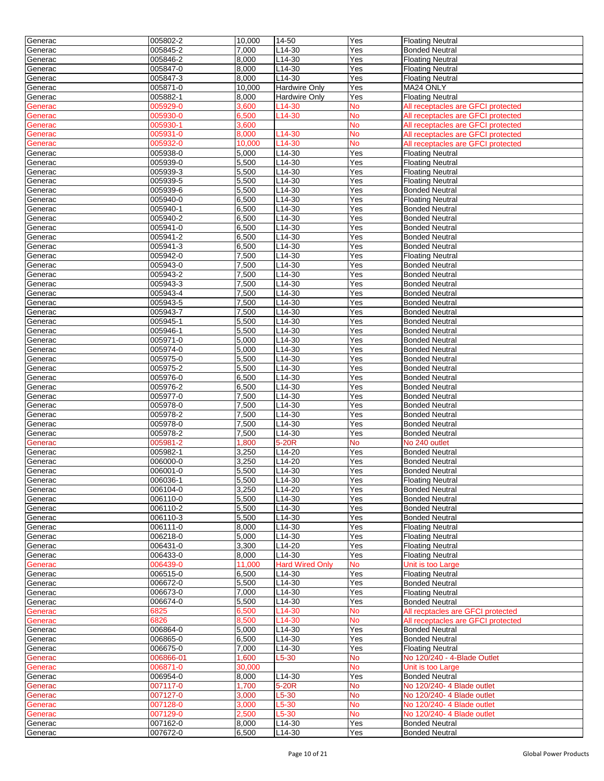| Generac            | 005802-2             | 10,000             | 14-50                  | Yes        | <b>Floating Neutral</b>                        |
|--------------------|----------------------|--------------------|------------------------|------------|------------------------------------------------|
| Generac            | 005845-2             | 7,000              | L14-30                 | Yes        | <b>Bonded Neutral</b>                          |
| Generac            | 005846-2             | 8,000              | L14-30                 | Yes        | <b>Floating Neutral</b>                        |
| Generac            | 005847-0             | 8.000              | L14-30                 | Yes        | <b>Floating Neutral</b>                        |
| Generac            | 005847-3             | 8,000              | L14-30                 | Yes        | <b>Floating Neutral</b>                        |
| Generac            | 005871-0             | 10,000             | <b>Hardwire Only</b>   | Yes        | MA24 ONLY                                      |
| Generac            | 005882-1             | 8,000              | <b>Hardwire Only</b>   | Yes        | <b>Floating Neutral</b>                        |
| Generac            | 005929-0             | 3,600              | L14-30                 | <b>No</b>  | All receptacles are GFCI protected             |
| Generac            | 005930-0             | 6,500              | L <sub>14</sub> -30    | <b>No</b>  | All receptacles are GFCI protected             |
| Generac            | 005930-1             | 3,600              |                        | No         | All receptacles are GFCI protected             |
| Generac            | 005931-0             | 8.000              | L14-30                 | <b>No</b>  | All receptacles are GFCI protected             |
| Generac            | 005932-0             | 10,000             | L14-30                 | No         | All receptacles are GFCI protected             |
| Generac            | 005938-0             | 5,000              | $L$ 14-30              | Yes        | <b>Floating Neutral</b>                        |
| Generac            | 005939-0             | 5,500              | L14-30                 | Yes        | <b>Floating Neutral</b>                        |
| Generac            | 005939-3             | $\overline{5,500}$ | L14-30                 | Yes        | <b>Floating Neutral</b>                        |
| Generac            | 005939-5             | 5,500              | L14-30                 | Yes        | <b>Floating Neutral</b>                        |
| Generac            | 005939-6             | 5,500              | L14-30                 | Yes        | <b>Bonded Neutral</b>                          |
| Generac            | 005940-0             | 6,500              | L14-30                 | Yes        | <b>Floating Neutral</b>                        |
| Generac            | 005940-1<br>005940-2 | 6,500              | L14-30                 | Yes        | <b>Bonded Neutral</b>                          |
| Generac            | 005941-0             | 6,500<br>6,500     | L14-30<br>L14-30       | Yes<br>Yes | <b>Bonded Neutral</b><br><b>Bonded Neutral</b> |
| Generac            | 005941-2             |                    |                        |            |                                                |
| Generac<br>Generac | 005941-3             | 6,500<br>6,500     | L14-30<br>L14-30       | Yes<br>Yes | <b>Bonded Neutral</b><br><b>Bonded Neutral</b> |
|                    | 005942-0             | 7,500              | L14-30                 | Yes        |                                                |
| Generac            | 005943-0             |                    | L14-30                 |            | <b>Floating Neutral</b>                        |
| Generac            |                      | 7,500              |                        | Yes        | <b>Bonded Neutral</b>                          |
| Generac            | 005943-2<br>005943-3 | 7,500<br>7,500     | L14-30<br>L14-30       | Yes<br>Yes | <b>Bonded Neutral</b>                          |
| Generac            | 005943-4             | 7,500              | L14-30                 | Yes        | <b>Bonded Neutral</b>                          |
| Generac            | 005943-5             | 7,500              | L14-30                 | Yes        | <b>Bonded Neutral</b>                          |
| Generac            | 005943-7             | 7,500              | L14-30                 | Yes        | <b>Bonded Neutral</b>                          |
| Generac            | 005945-1             | 5,500              | L14-30                 | Yes        | <b>Bonded Neutral</b><br><b>Bonded Neutral</b> |
| Generac            | 005946-1             | 5,500              | L14-30                 | Yes        | <b>Bonded Neutral</b>                          |
| Generac<br>Generac | 005971-0             | 5,000              | L14-30                 | Yes        | <b>Bonded Neutral</b>                          |
| Generac            | 005974-0             | 5,000              | L14-30                 | Yes        | <b>Bonded Neutral</b>                          |
| Generac            | 005975-0             | 5,500              | L14-30                 | Yes        | <b>Bonded Neutral</b>                          |
| Generac            | 005975-2             | 5,500              | L14-30                 | Yes        | <b>Bonded Neutral</b>                          |
| Generac            | 005976-0             | 6,500              | $L14-30$               | Yes        | <b>Bonded Neutral</b>                          |
| Generac            | 005976-2             | 6,500              | L14-30                 | Yes        | <b>Bonded Neutral</b>                          |
| Generac            | 005977-0             | 7,500              | L14-30                 | Yes        | <b>Bonded Neutral</b>                          |
| Generac            | 005978-0             | 7,500              | L14-30                 | Yes        | <b>Bonded Neutral</b>                          |
| Generac            | 005978-2             | 7,500              | L14-30                 | Yes        | <b>Bonded Neutral</b>                          |
| Generac            | 005978-0             | 7,500              | L14-30                 | Yes        | <b>Bonded Neutral</b>                          |
| Generac            | 005978-2             | 7,500              | L14-30                 | Yes        | <b>Bonded Neutral</b>                          |
| Generac            | 005981-2             | 1,800              | 5-20R                  | <b>No</b>  | No 240 outlet                                  |
| Generac            | 005982-1             | 3,250              | L14-20                 | Yes        | <b>Bonded Neutral</b>                          |
| Generac            | 006000-0             | 3,250              | L14-20                 | Yes        | <b>Bonded Neutral</b>                          |
| Generac            | 006001-0             | 5,500              | L14-30                 | Yes        | <b>Bonded Neutral</b>                          |
| Generac            | 006036-1             | 5,500              | L14-30                 | Yes        | <b>Floating Neutral</b>                        |
| Generac            | 006104-0             | 3,250              | L14-20                 | Yes        | <b>Bonded Neutral</b>                          |
| Generac            | 006110-0             | 5,500              | L14-30                 | Yes        | <b>Bonded Neutral</b>                          |
| Generac            | 006110-2             | 5,500              | L14-30                 | Yes        | <b>Bonded Neutral</b>                          |
| Generac            | 006110-3             | 5,500              | L14-30                 | Yes        | <b>Bonded Neutral</b>                          |
| Generac            | 006111-0             | 8,000              | L14-30                 | Yes        | <b>Floating Neutral</b>                        |
| Generac            | 006218-0             | 5.000              | L14-30                 | Yes        | <b>Floating Neutral</b>                        |
| Generac            | 006431-0             | 3,300              | L14-20                 | Yes        | <b>Floating Neutral</b>                        |
| Generac            | 006433-0             | 8,000              | L14-30                 | Yes        | <b>Floating Neutral</b>                        |
| Generac            | 006439-0             | 11,000             | <b>Hard Wired Only</b> | No         | Unit is too Large                              |
| Generac            | 006515-0             | 6,500              | L14-30                 | Yes        | <b>Floating Neutral</b>                        |
| Generac            | 006672-0             | 5,500              | L14-30                 | Yes        | <b>Bonded Neutral</b>                          |
| Generac            | 006673-0             | 7,000              | L14-30                 | Yes        | <b>Floating Neutral</b>                        |
| Generac            | 006674-0             | 5,500              | L14-30                 | Yes        | <b>Bonded Neutral</b>                          |
| Generac            | 6825                 | 6,500              | L14-30                 | <b>No</b>  | All recptacles are GFCI protected              |
| Generac            | 6826                 | 8,500              | L14-30                 | No         | All receptacles are GFCI protected             |
| Generac            | 006864-0             | 5,000              | L14-30                 | Yes        | <b>Bonded Neutral</b>                          |
| Generac            | 006865-0             | 6,500              | L14-30                 | Yes        | <b>Bonded Neutral</b>                          |
| Generac            | 006675-0             | $\overline{7,000}$ | L14-30                 | Yes        | <b>Floating Neutral</b>                        |
| Generac            | 006866-01            | 1,600              | L5-30                  | <b>No</b>  | No 120/240 - 4-Blade Outlet                    |
| Generac            | 006871-0             | 30,000             |                        | <b>No</b>  | Unit is too Large                              |
| Generac            | 006954-0             | 8,000              | L14-30                 | Yes        | <b>Bonded Neutral</b>                          |
| Generac            | 007117-0             | 1,700              | 5-20R                  | <b>No</b>  | No 120/240- 4 Blade outlet                     |
| Generac            | 007127-0             | 3,000              | $L5-30$                | <b>No</b>  | No 120/240- 4 Blade outlet                     |
| Generac            | 007128-0             | 3,000              | $L5-30$                | No         | No 120/240- 4 Blade outlet                     |
| Generac            | 007129-0             | 2.500              | L5-30                  | <b>No</b>  | No 120/240- 4 Blade outlet                     |
| Generac            | 007162-0             | 8,000              | L14-30                 | Yes        | <b>Bonded Neutral</b>                          |
| Generac            | 007672-0             | 6,500              | L14-30                 | Yes        | <b>Bonded Neutral</b>                          |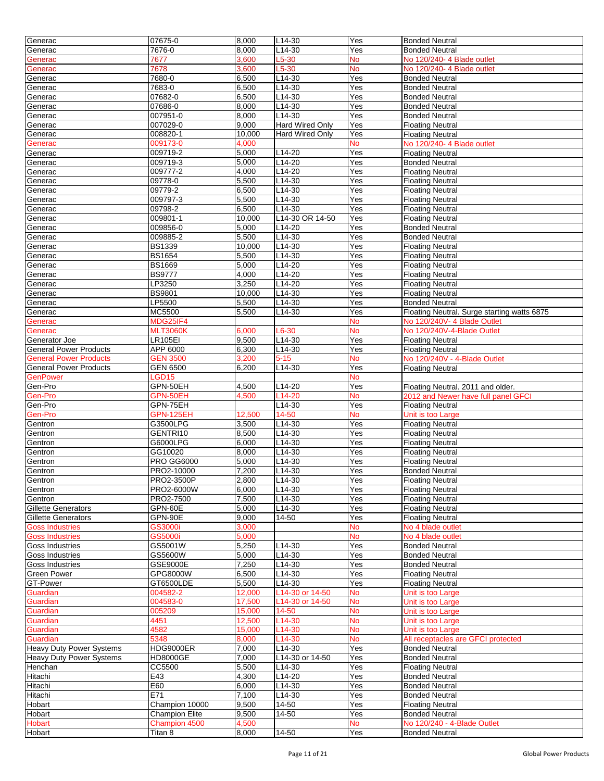| Generac                         | 07675-0                  | 8,000          | $L14-30$               | Yes              | <b>Bonded Neutral</b>                                |
|---------------------------------|--------------------------|----------------|------------------------|------------------|------------------------------------------------------|
| Generac                         | 7676-0                   | 8,000          | L14-30                 | Yes              | <b>Bonded Neutral</b>                                |
|                                 | 7677                     | 3,600          | L5-30                  | No               | No 120/240- 4 Blade outlet                           |
| Generac                         |                          |                |                        |                  |                                                      |
| Generac                         | 7678                     | 3,600          | $L5-30$                | <b>No</b>        | No 120/240- 4 Blade outlet                           |
| Generac                         | 7680-0                   | 6,500          | L14-30                 | Yes              | <b>Bonded Neutral</b>                                |
| Generac                         | 7683-0                   | 6,500          | $L14-30$               | Yes              | <b>Bonded Neutral</b>                                |
| Generac                         | 07682-0                  | 6,500          | L14-30                 | Yes              | <b>Bonded Neutral</b>                                |
| Generac                         | 07686-0                  | 8,000          | L14-30                 | Yes              | <b>Bonded Neutral</b>                                |
| Generac                         | 007951-0                 | 8,000          | $L14-30$               | Yes              | <b>Bonded Neutral</b>                                |
| Generac                         | 007029-0                 | 9,000          | <b>Hard Wired Only</b> | Yes              | <b>Floating Neutral</b>                              |
| Generac                         | 008820-1                 | 10,000         | <b>Hard Wired Only</b> | Yes              | <b>Floating Neutral</b>                              |
|                                 | 009173-0                 | 4,000          |                        | No               | No 120/240- 4 Blade outlet                           |
| Generac                         |                          |                |                        |                  |                                                      |
| Generac                         | 009719-2                 | 5,000          | L14-20                 | Yes              | <b>Floating Neutral</b>                              |
| Generac                         | 009719-3                 | 5,000          | $L14-20$               | Yes              | <b>Bonded Neutral</b>                                |
| Generac                         | 009777-2                 | 4,000          | L14-20                 | Yes              | <b>Floating Neutral</b>                              |
| Generac                         | 09778-0                  | 5,500          | $L14-30$               | Yes              | <b>Floating Neutral</b>                              |
| Generac                         | 09779-2                  | 6,500          | $L14-30$               | Yes              | <b>Floating Neutral</b>                              |
| Generac                         | 009797-3                 | 5,500          | $L14-30$               | Yes              | <b>Floating Neutral</b>                              |
| Generac                         | 09798-2                  | 6,500          | $L14-30$               | Yes              | <b>Floating Neutral</b>                              |
| Generac                         | 009801-1                 | 10,000         | L14-30 OR 14-50        | Yes              | <b>Floating Neutral</b>                              |
|                                 |                          |                |                        |                  |                                                      |
| Generac                         | 009856-0                 | 5,000          | L14-20                 | Yes              | <b>Bonded Neutral</b>                                |
| Generac                         | 009885-2                 | 5,500          | L14-30                 | Yes              | <b>Bonded Neutral</b>                                |
| Generac                         | <b>BS1339</b>            | 10,000         | $L14-30$               | Yes              | <b>Floating Neutral</b>                              |
| Generac                         | <b>BS1654</b>            | 5,500          | $L14-30$               | Yes              | <b>Floating Neutral</b>                              |
| Generac                         | <b>BS1669</b>            | 5,000          | $L14-20$               | Yes              | <b>Floating Neutral</b>                              |
| Generac                         | <b>BS9777</b>            | 4,000          | L14-20                 | Yes              | <b>Floating Neutral</b>                              |
| Generac                         | LP3250                   | 3,250          | L14-20                 | Yes              | <b>Floating Neutral</b>                              |
| Generac                         | <b>BS9801</b>            | 10,000         | L14-30                 | Yes              | <b>Floating Neutral</b>                              |
|                                 |                          |                |                        |                  |                                                      |
| Generac                         | LP5500                   | 5,500          | $L14-30$               | Yes              | <b>Bonded Neutral</b>                                |
| Generac                         | MC5500                   | 5,500          | L14-30                 | Yes              | Floating Neutral. Surge starting watts 6875          |
| Generac                         | MDG25IF4                 |                |                        | No               | No 120/240V- 4 Blade Outlet                          |
| Generac                         | <b>MLT3060K</b>          | 6,000          | L6-30                  | <b>No</b>        | No 120/240V-4-Blade Outlet                           |
| Generator Joe                   | LR105EI                  | 9,500          | L14-30                 | Yes              | <b>Floating Neutral</b>                              |
| <b>General Power Products</b>   | APP 6000                 | 6,300          | L14-30                 | Yes              | <b>Floating Neutral</b>                              |
| <b>General Power Products</b>   | <b>GEN 3500</b>          | 3,200          | $5 - 15$               | <b>No</b>        | No 120/240V - 4-Blade Outlet                         |
|                                 |                          |                |                        |                  |                                                      |
| <b>General Power Products</b>   | <b>GEN 6500</b>          | 6,200          | L14-30                 | Yes              | <b>Floating Neutral</b>                              |
| <b>GenPower</b>                 | LGD15                    |                |                        | No               |                                                      |
| Gen-Pro                         | GPN-50EH                 | 4,500          | L14-20                 | Yes              | Floating Neutral. 2011 and older.                    |
| Gen-Pro                         | GPN-50EH                 | 4,500          | L <sub>14</sub> -20    | No               | 2012 and Newer have full panel GFCI                  |
| Gen-Pro                         | GPN-75EH                 |                | L14-30                 | Yes              | <b>Floating Neutral</b>                              |
| Gen-Pro                         | <b>GPN-125EH</b>         | 12,500         | 14-50                  | <b>No</b>        | Unit is too Large                                    |
| Gentron                         | G3500LPG                 | 3,500          | $L14-30$               | Yes              | <b>Floating Neutral</b>                              |
|                                 | GENTRI10                 | 8,500          | $L14-30$               | Yes              | <b>Floating Neutral</b>                              |
| Gentron                         |                          |                | L14-30                 |                  |                                                      |
|                                 |                          |                |                        |                  |                                                      |
| Gentron                         | G6000LPG                 | 6,000          |                        | Yes              | <b>Floating Neutral</b>                              |
| Gentron                         | GG10020                  | 8,000          | L14-30                 | Yes              | <b>Floating Neutral</b>                              |
| Gentron                         | <b>PRO GG6000</b>        | 5,000          | L14-30                 | Yes              | <b>Floating Neutral</b>                              |
| Gentron                         | PRO2-10000               | 7,200          | $L$ 14-30              | Yes              | <b>Bonded Neutral</b>                                |
|                                 |                          |                |                        |                  |                                                      |
| Gentron                         | <b>PRO2-3500P</b>        | 2,800          | L14-30                 | Yes              | <b>Floating Neutral</b>                              |
| Gentron                         | PRO2-6000W               | 6,000          | L14-30                 | Yes              | <b>Floating Neutral</b>                              |
| Gentron                         | PRO2-7500                | 7,500          | L14-30                 | Yes              | <b>Floating Neutral</b>                              |
| Gillette Generators             | GPN-60E                  | 5,000          | L14-30                 | Yes              | <b>Floating Neutral</b>                              |
| Gillette Generators             | GPN-90E                  | 9,000          | 14-50                  | Yes              | <b>Floating Neutral</b>                              |
| <b>Goss Industries</b>          | <b>GS3000i</b>           | 3,000          |                        | <b>No</b>        | No 4 blade outlet                                    |
| <b>Goss Industries</b>          | <b>GS5000i</b>           | 5,000          |                        | No               | No 4 blade outlet                                    |
| Goss Industries                 | GS5001W                  | 5,250          | $L14-30$               | Yes              | <b>Bonded Neutral</b>                                |
|                                 |                          |                |                        |                  |                                                      |
| <b>Goss Industries</b>          | GS5600W                  | 5,000          | $L14-30$               | Yes              | <b>Bonded Neutral</b>                                |
| Goss Industries                 | GSE9000E                 | 7,250          | L14-30                 | Yes              | <b>Bonded Neutral</b>                                |
| <b>Green Power</b>              | GPG8000W                 | 6,500          | L14-30                 | Yes              | <b>Floating Neutral</b>                              |
| GT-Power                        | GT6500LDE                | 5,500          | $L14-30$               | Yes              | <b>Floating Neutral</b>                              |
| Guardian                        | 004582-2                 | 12,000         | L14-30 or 14-50        | <b>No</b>        | Unit is too Large                                    |
| Guardian                        | 004583-0                 | 17,500         | L14-30 or 14-50        | <b>No</b>        | Unit is too Large                                    |
| Guardian                        | 005209                   | 15,000         | 14-50                  | No               | Unit is too Large                                    |
| Guardian                        | 4451                     |                | L <sub>14</sub> -30    | <b>No</b>        | Unit is too Large                                    |
|                                 |                          | 12,500         |                        |                  |                                                      |
| Guardian                        | 4582                     | 15,000         | L <sub>14</sub> -30    | <b>No</b>        | Unit is too Large                                    |
| Guardian                        | 5348                     | 8,000          | L14-30                 | No               | All receptacles are GFCI protected                   |
| <b>Heavy Duty Power Systems</b> | <b>HDG9000ER</b>         | 7.000          | L14-30                 | Yes              | <b>Bonded Neutral</b>                                |
| <b>Heavy Duty Power Systems</b> | <b>HD8000GE</b>          | 7,000          | L14-30 or 14-50        | Yes              | <b>Bonded Neutral</b>                                |
| Henchan                         | CC5500                   | 5,500          | L14-30                 | Yes              | <b>Floating Neutral</b>                              |
| Hitachi                         | E43                      | 4,300          | L14-20                 | Yes              | <b>Bonded Neutral</b>                                |
| Hitachi                         | E60                      | 6,000          | L14-30                 | Yes              | <b>Bonded Neutral</b>                                |
|                                 | E71                      | 7,100          | $L14-30$               |                  |                                                      |
| Hitachi                         |                          |                |                        | Yes              | <b>Bonded Neutral</b>                                |
| Hobart                          | Champion 10000           | 9,500          | 14-50                  | Yes              | <b>Floating Neutral</b>                              |
| Hobart                          | <b>Champion Elite</b>    | 9,500          | 14-50                  | Yes              | <b>Bonded Neutral</b>                                |
| <b>Hobart</b><br>Hobart         | Champion 4500<br>Titan 8 | 4,500<br>8,000 | 14-50                  | <b>No</b><br>Yes | No 120/240 - 4-Blade Outlet<br><b>Bonded Neutral</b> |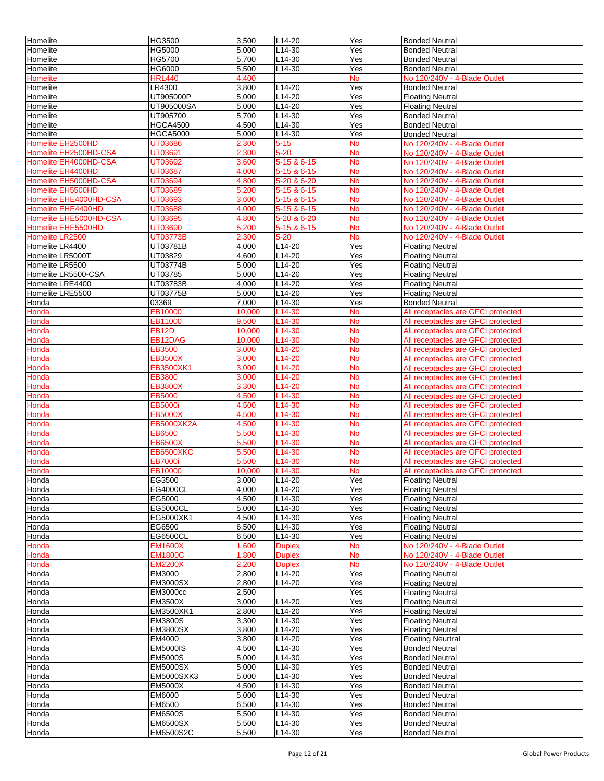| Homelite               | HG3500             | 3,500          | L14-20           | Yes              | <b>Bonded Neutral</b>                                   |
|------------------------|--------------------|----------------|------------------|------------------|---------------------------------------------------------|
| Homelite               | HG5000             | 5,000          | L14-30           | Yes              | <b>Bonded Neutral</b>                                   |
| Homelite               | HG5700             | 5,700          | L14-30           | Yes              | <b>Bonded Neutral</b>                                   |
| Homelite               | HG6000             | 5,500          | L14-30           | Yes              | <b>Bonded Neutral</b>                                   |
| <b>Homelite</b>        | <b>HRL440</b>      | 4,400          |                  | No               | No 120/240V - 4-Blade Outlet                            |
| Homelite               | LR4300             | 3,800          | L14-20           | Yes              | <b>Bonded Neutral</b>                                   |
| Homelite               | UT905000P          | 5,000          | $L14-20$         | Yes              | <b>Floating Neutral</b>                                 |
| Homelite               | UT905000SA         | 5,000          | L14-20           | Yes              | <b>Floating Neutral</b>                                 |
| Homelite               | UT905700           | 5,700          | L14-30           | Yes              | <b>Bonded Neutral</b>                                   |
| Homelite               | <b>HGCA4500</b>    | 4,500          | L14-30           | Yes              | <b>Bonded Neutral</b>                                   |
| Homelite               | <b>HGCA5000</b>    | 5,000          | L14-30           | Yes              | <b>Bonded Neutral</b>                                   |
| Homelite EH2500HD      | UT03686            | 2,300          | $5 - 15$         | No               | No 120/240V - 4-Blade Outlet                            |
| Homelite EH2500HD-CSA  | UT03691            | 2,300          | $5 - 20$         | No               | No 120/240V - 4-Blade Outlet                            |
| Homelite EH4000HD-CSA  | UT03692            | 3,600          | 5-15 & 6-15      | No               | No 120/240V - 4-Blade Outlet                            |
| Homelite EH4400HD      | UT03687            | 4,000          | 5-15 & 6-15      | No               | No 120/240V - 4-Blade Outlet                            |
| Homelite EH5000HD-CSA  | UT03694            | 4,800          | 5-20 & 6-20      | <b>No</b>        | No 120/240V - 4-Blade Outlet                            |
| Homelite EH5500HD      | UT03689            | 5,200          | 5-15 & 6-15      | No               | No 120/240V - 4-Blade Outlet                            |
| Homelite EHE4000HD-CSA | UT03693            | 3,600          | 5-15 & 6-15      | No               | No 120/240V - 4-Blade Outlet                            |
| Homelite EHE4400HD     | <b>UT03688</b>     | 4,000          | 5-15 & 6-15      | No               | No 120/240V - 4-Blade Outlet                            |
| Homelite EHE5000HD-CSA | UT03695            | 4,800          | 5-20 & 6-20      | No               | No 120/240V - 4-Blade Outlet                            |
| Homelite EHE5500HD     | UT03690            | 5,200          | 5-15 & 6-15      | No               | No 120/240V - 4-Blade Outlet                            |
| Homelite LR2500        | UT03773B           | 2,300          | $5 - 20$         | No               | No 120/240V - 4-Blade Outlet                            |
| Homelite LR4400        | UT03781B           | 4.000          | $L14-20$         | Yes              | <b>Floating Neutral</b>                                 |
| Homelite LR5000T       | UT03829            | 4,600          | $L14-20$         | Yes              | <b>Floating Neutral</b>                                 |
| Homelite LR5500        | UT03774B           | 5,000          | L14-20           | Yes              | <b>Floating Neutral</b>                                 |
| Homelite LR5500-CSA    | UT03785            | 5,000          | L14-20           | Yes              | <b>Floating Neutral</b>                                 |
| Homelite LRE4400       | UT03783B           | 4,000          | L14-20           | Yes              | <b>Floating Neutral</b>                                 |
| Homelite LRE5500       | UT03775B           | 5,000          | L14-20           | Yes              | <b>Floating Neutral</b>                                 |
| Honda                  | 03369              | 7,000          | $L14-30$         | Yes              | <b>Bonded Neutral</b>                                   |
| Honda                  | EB10000            | 10,000         | L14-30           | No               | All receptacles are GFCI protected                      |
| Honda                  | EB11000            | 9,500          | L14-30           | No               | All receptacles are GFCI protected                      |
| Honda                  | EB12D              | 10,000         | L14-30           | No               | All receptacles are GFCI protected                      |
| Honda                  | EB12DAG            | 10,000         | L14-30           | No               | All receptacles are GFCI protected                      |
| Honda                  | EB3500             | 3,000          | L14-20           | <b>No</b>        | All receptacles are GFCI protected                      |
| Honda                  | EB3500X            | 3,000          | L14-20           | <b>No</b>        | All receptacles are GFCI protected                      |
| Honda                  | EB3500XK1          | 3,000          | L14-20           | <b>No</b>        | All receptacles are GFCI protected                      |
| Honda                  | EB3800             | 3,000          | L14-20           | <b>No</b>        | All receptacles are GFCI protected                      |
| Honda                  | EB3800X            | 3,300          | L14-20           | No               | All receptacles are GFCI protected                      |
| Honda                  | EB5000             | 4,500          | L14-30           | No               | All receptacles are GFCI protected                      |
| Honda                  | EB5000i            | 4,500          | L14-30           | <b>No</b>        | All receptacles are GFCI protected                      |
| Honda                  | EB5000X            | 4,500          | L14-30           | No               | All receptacles are GFCI protected                      |
| Honda                  | <b>EB5000XK2A</b>  | 4,500          | L14-30           | No               | All receptacles are GFCI protected                      |
| Honda                  | EB6500             | 5,500          | L14-30           | No               | All receptacles are GFCI protected                      |
| Honda                  | EB6500X            | 5,500          | L14-30           | No               | All receptacles are GFCI protected                      |
| Honda                  | <b>EB6500XKC</b>   | 5,500          | L14-30           | No               | All receptacles are GFCI protected                      |
| Honda                  | <b>EB7000i</b>     | 5,500          | L14-30           | No               | All receptacles are GFCI protected                      |
| Honda                  | EB10000            | 10,000         | L14-30           | <b>No</b>        | All receptacles are GFCI protected                      |
| Honda                  | EG3500             | 3,000          | L14-20           | Yes              | <b>Floating Neutral</b>                                 |
| Honda                  | EG4000CL           | 4,000          | L14-20           | Yes              | <b>Floating Neutral</b>                                 |
| Honda                  | EG5000             | 4,500          | L14-30           | Yes              | <b>Floating Neutral</b>                                 |
| Honda                  | <b>EG5000CL</b>    | 5,000          | L14-30           | Yes              | <b>Floating Neutral</b>                                 |
| Honda                  | EG5000XK1          | 4,500          | L14-30           | $\overline{Yes}$ | <b>Floating Neutral</b>                                 |
| Honda<br>Honda         | EG6500<br>EG6500CL | 6,500<br>6,500 | L14-30<br>L14-30 | Yes<br>Yes       | <b>Floating Neutral</b>                                 |
| Honda                  | <b>EM1600X</b>     | 1,600          | <b>Duplex</b>    |                  | <b>Floating Neutral</b><br>No 120/240V - 4-Blade Outlet |
| Honda                  | <b>EM1800C</b>     | 1,800          | <b>Duplex</b>    | No<br>No         | No 120/240V - 4-Blade Outlet                            |
| Honda                  | <b>EM2200X</b>     | 2,200          | <b>Duplex</b>    | No               | No 120/240V - 4-Blade Outlet                            |
| Honda                  | EM3000             | 2,800          | L14-20           | Yes              | <b>Floating Neutral</b>                                 |
| Honda                  | <b>EM3000SX</b>    | 2,800          | L14-20           | Yes              | <b>Floating Neutral</b>                                 |
| Honda                  | <b>EM3000cc</b>    | 2,500          |                  | Yes              | <b>Floating Neutral</b>                                 |
| Honda                  | EM3500X            | 3,000          | L14-20           | Yes              | <b>Floating Neutral</b>                                 |
| Honda                  | EM3500XK1          | 2,800          | L14-20           | Yes              | <b>Floating Neutral</b>                                 |
| Honda                  | EM3800S            | 3,300          | L14-30           | Yes              | <b>Floating Neutral</b>                                 |
| Honda                  | <b>EM3800SX</b>    | 3,800          | L14-20           | Yes              | <b>Floating Neutral</b>                                 |
| Honda                  | EM4000             | 3,800          | $L14-20$         | Yes              | <b>Floating Neurtral</b>                                |
| Honda                  | <b>EM5000IS</b>    | 4,500          | L14-30           | Yes              | <b>Bonded Neutral</b>                                   |
| Honda                  | <b>EM5000S</b>     | 5,000          | L14-30           | Yes              | <b>Bonded Neutral</b>                                   |
| Honda                  | <b>EM5000SX</b>    | 5,000          | L14-30           | Yes              | <b>Bonded Neutral</b>                                   |
| Honda                  | EM5000SXK3         | 5,000          | L14-30           | Yes              | <b>Bonded Neutral</b>                                   |
| Honda                  | <b>EM5000X</b>     | 4,500          | L14-30           | Yes              | <b>Bonded Neutral</b>                                   |
| Honda                  | EM6000             | 5,000          | L14-30           | Yes              | <b>Bonded Neutral</b>                                   |
| Honda                  | EM6500             | 6,500          | L14-30           | Yes              | <b>Bonded Neutral</b>                                   |
| Honda                  | <b>EM6500S</b>     | 5,500          | L14-30           | Yes              | <b>Bonded Neutral</b>                                   |
| Honda                  | <b>EM6500SX</b>    | 5,500          | L14-30           | Yes              | <b>Bonded Neutral</b>                                   |
| Honda                  | EM6500S2C          | 5,500          | L14-30           | Yes              | <b>Bonded Neutral</b>                                   |
|                        |                    |                |                  |                  |                                                         |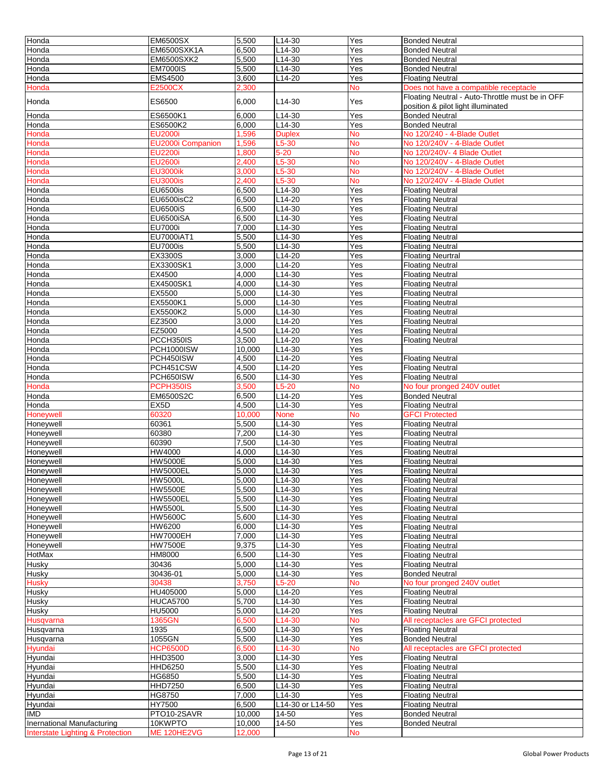| Honda                                       | <b>EM6500SX</b>                   | 5,500          | L14-30             | Yes        | <b>Bonded Neutral</b>                                                                 |
|---------------------------------------------|-----------------------------------|----------------|--------------------|------------|---------------------------------------------------------------------------------------|
| Honda                                       | <b>EM6500SXK1A</b>                | 6,500          | L14-30             | Yes        | <b>Bonded Neutral</b>                                                                 |
| Honda                                       | <b>EM6500SXK2</b>                 | 5,500          | L14-30             | Yes        | <b>Bonded Neutral</b>                                                                 |
| Honda                                       | <b>EM7000IS</b>                   | 5,500          | L14-30             | Yes        | <b>Bonded Neutral</b>                                                                 |
| Honda                                       | <b>EMS4500</b>                    | 3,600          | L14-20             | Yes        | <b>Floating Neutral</b>                                                               |
| Honda                                       | E2500CX                           | 2,300          |                    | <b>No</b>  | Does not have a compatible receptacle                                                 |
| Honda                                       | ES6500                            | 6,000          | L14-30             | Yes        | Floating Neutral - Auto-Throttle must be in OFF<br>position & pilot light illuminated |
| Honda                                       | ES6500K1                          | 6,000          | L14-30             | Yes        | <b>Bonded Neutral</b>                                                                 |
| Honda                                       | ES6500K2                          | 6,000          | L14-30             | Yes        | <b>Bonded Neutral</b>                                                                 |
| Honda                                       | <b>EU2000i</b>                    | 1,596          | <b>Duplex</b>      | <b>No</b>  | No 120/240 - 4-Blade Outlet                                                           |
| Honda                                       | <b>EU2000i Companion</b>          | 1,596          | $L5-30$            | <b>No</b>  | No 120/240V - 4-Blade Outlet                                                          |
| Honda                                       | <b>EU2200i</b>                    | 1,800          | $5 - 20$           | <b>No</b>  | No 120/240V- 4 Blade Outlet                                                           |
| Honda                                       | <b>EU2600i</b>                    | 2,400          | $L5-30$            | <b>No</b>  | No 120/240V - 4-Blade Outlet                                                          |
| Honda                                       | <b>EU3000ik</b>                   | 3,000          | $L5-30$            | No         | No 120/240V - 4-Blade Outlet                                                          |
| Honda                                       | <b>EU3000is</b>                   | 2,400          | $L5-30$            | <b>No</b>  | No 120/240V - 4-Blade Outlet                                                          |
| Honda<br>Honda                              | <b>EU6500is</b><br>EU6500isC2     | 6,500<br>6,500 | L14-30<br>L14-20   | Yes<br>Yes | <b>Floating Neutral</b>                                                               |
| Honda                                       | <b>EU6500iS</b>                   | 6,500          | L14-30             | Yes        | <b>Floating Neutral</b><br><b>Floating Neutral</b>                                    |
| Honda                                       | <b>EU6500iSA</b>                  | 6,500          | $L14-30$           | Yes        | <b>Floating Neutral</b>                                                               |
| Honda                                       | <b>EU7000i</b>                    | 7,000          | L14-30             | Yes        | <b>Floating Neutral</b>                                                               |
| Honda                                       | EU7000iAT1                        | 5,500          | $L14-30$           | Yes        | <b>Floating Neutral</b>                                                               |
| Honda                                       | <b>EU7000is</b>                   | 5,500          | L14-30             | Yes        | <b>Floating Neutral</b>                                                               |
| Honda                                       | EX3300S                           | 3,000          | L14-20             | Yes        | <b>Floating Neurtral</b>                                                              |
| Honda                                       | EX3300SK1                         | 3,000          | L14-20             | Yes        | <b>Floating Neutral</b>                                                               |
| Honda                                       | EX4500                            | 4,000          | L14-30             | Yes        | <b>Floating Neutral</b>                                                               |
| Honda                                       | EX4500SK1                         | 4,000          | L14-30             | Yes        | <b>Floating Neutral</b>                                                               |
| Honda                                       | EX5500                            | 5,000          | L14-30             | Yes        | <b>Floating Neutral</b>                                                               |
| Honda                                       | EX5500K1                          | 5,000          | L14-30             | Yes        | <b>Floating Neutral</b>                                                               |
| Honda                                       | EX5500K2                          | 5,000          | L14-30             | Yes        | <b>Floating Neutral</b>                                                               |
| Honda                                       | EZ3500                            | 3,000          | L14-20             | Yes        | <b>Floating Neutral</b>                                                               |
| Honda                                       | EZ5000                            | 4,500          | L14-20             | Yes        | <b>Floating Neutral</b>                                                               |
| Honda                                       | PCCH350IS                         | 3,500          | L14-20             | Yes        | <b>Floating Neutral</b>                                                               |
| Honda                                       | PCH1000ISW                        | 10,000         | L14-30             | Yes        |                                                                                       |
| Honda                                       | PCH450ISW                         | 4,500          | L14-20             | Yes        | <b>Floating Neutral</b>                                                               |
| Honda                                       | PCH451CSW                         | 4,500          | L14-20             | Yes        | <b>Floating Neutral</b>                                                               |
| Honda                                       | PCH650ISW                         | 6,500          | L14-30             | Yes        | <b>Floating Neutral</b>                                                               |
| Honda                                       | PCPH350IS                         | 3,500          | $L5-20$            | <b>No</b>  | No four pronged 240V outlet                                                           |
| Honda                                       | EM6500S2C                         | 6,500          | L14-20             | Yes        | <b>Bonded Neutral</b>                                                                 |
| Honda                                       | EX <sub>5</sub> D                 | 4,500          | L14-30             | Yes        | <b>Floating Neutral</b>                                                               |
| Honeywell                                   | 60320                             | 10,000         | <b>None</b>        | <b>No</b>  | <b>GFCI Protected</b>                                                                 |
| Honeywell                                   | 60361                             | 5,500          | L14-30             | Yes        | <b>Floating Neutral</b>                                                               |
| Honeywell                                   | 60380                             | 7,200          | L14-30             | Yes        | <b>Floating Neutral</b>                                                               |
| Honeywell                                   | 60390                             | 7,500          | L14-30             | Yes        | <b>Floating Neutral</b>                                                               |
| Honeywell                                   | HW4000                            | 4,000          | L14-30             | Yes        | <b>Floating Neutral</b>                                                               |
| Honeywell<br>Honeywell                      | <b>HW5000E</b><br><b>HW5000EL</b> | 5,000<br>5,000 | L14-30<br>L14-30   | Yes<br>Yes | <b>Floating Neutral</b>                                                               |
|                                             | <b>HW5000L</b>                    |                |                    |            | <b>Floating Neutral</b>                                                               |
| Honeywell<br>Honeywell                      | <b>HW5500E</b>                    | 5,000<br>5,500 | $L14-30$<br>L14-30 | Yes<br>Yes | <b>Floating Neutral</b><br><b>Floating Neutral</b>                                    |
| <b>Honeywell</b>                            | <b>HW5500EL</b>                   | 5,500          | L14-30             | Yes        | <b>Floating Neutral</b>                                                               |
| Honeywell                                   | <b>HW5500L</b>                    | 5,500          | L14-30             | Yes        | <b>Floating Neutral</b>                                                               |
| Honeywell                                   | <b>HW5600C</b>                    | 5,600          | L14-30             | Yes        | <b>Floating Neutral</b>                                                               |
| Honeywell                                   | HW6200                            | 6,000          | $L14-30$           | Yes        | <b>Floating Neutral</b>                                                               |
| <b>Honeywell</b>                            | <b>HW7000EH</b>                   | 7,000          | L14-30             | Yes        | <b>Floating Neutral</b>                                                               |
| Honeywell                                   | <b>HW7500E</b>                    | 9,375          | L14-30             | Yes        | <b>Floating Neutral</b>                                                               |
| <b>HotMax</b>                               | <b>HM8000</b>                     | 6,500          | L14-30             | Yes        | <b>Floating Neutral</b>                                                               |
| Husky                                       | 30436                             | 5,000          | L14-30             | Yes        | <b>Floating Neutral</b>                                                               |
| Husky                                       | 30436-01                          | 5,000          | L14-30             | Yes        | <b>Bonded Neutral</b>                                                                 |
| <b>Husky</b>                                | 30438                             | 3,750          | $L5-20$            | No         | No four pronged 240V outlet                                                           |
| Husky                                       | HU405000                          | 5,000          | L14-20             | Yes        | <b>Floating Neutral</b>                                                               |
| <b>Husky</b>                                | <b>HUCA5700</b>                   | 5,700          | L14-30             | Yes        | <b>Floating Neutral</b>                                                               |
| Husky                                       | <b>HU5000</b>                     | 5,000          | L14-20             | Yes        | <b>Floating Neutral</b>                                                               |
| Husqvarna                                   | 1365GN                            | 6,500          | L14-30             | <b>No</b>  | All receptacles are GFCI protected                                                    |
| Husqvarna                                   | 1935                              | 6,500          | L14-30             | Yes        | <b>Floating Neutral</b>                                                               |
| Husqvarna                                   | 1055GN                            | 5,500          | L14-30             | Yes        | <b>Bonded Neutral</b>                                                                 |
| Hyundai                                     | <b>HCP6500D</b>                   | 6,500          | L14-30             | <b>No</b>  | All receptacles are GFCI protected                                                    |
| Hyundai                                     | <b>HHD3500</b>                    | 3,000          | L14-30             | Yes        | <b>Floating Neutral</b>                                                               |
| Hyundai                                     | <b>HHD6250</b>                    | 5,500          | L14-30             | Yes        | <b>Floating Neutral</b>                                                               |
| Hyundai                                     | HG6850                            | 5,500          | L14-30             | Yes        | <b>Floating Neutral</b>                                                               |
| Hyundai                                     | <b>HHD7250</b>                    | 6,500          | L14-30             | Yes        | <b>Floating Neutral</b>                                                               |
| Hyundai                                     | HG8750                            | 7,000          | L14-30             | Yes        | <b>Floating Neutral</b>                                                               |
| Hyundai                                     | HY7500                            | 6,500          | L14-30 or L14-50   | Yes        | <b>Floating Neutral</b>                                                               |
| <b>IMD</b>                                  | PTO10-2SAVR                       | 10,000         | 14-50              | Yes        | <b>Bonded Neutral</b>                                                                 |
| <b>Inernational Manufacturing</b>           | 10KWPTO                           | 10,000         | 14-50              | Yes        | <b>Bonded Neutral</b>                                                                 |
| <b>Interstate Lighting &amp; Protection</b> | ME 120HE2VG                       | 12,000         |                    | <b>No</b>  |                                                                                       |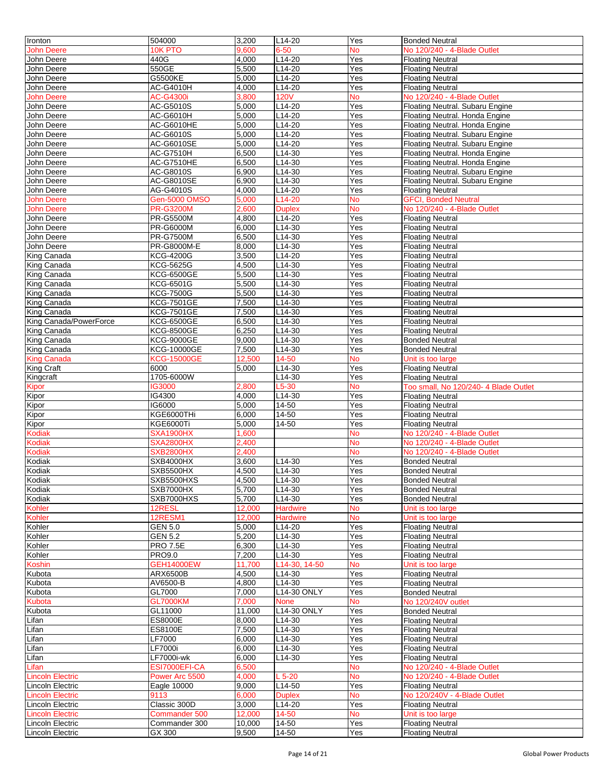| Ironton                 | 504000                    | 3,200          | L14-20           | Yes        | <b>Bonded Neutral</b>                              |
|-------------------------|---------------------------|----------------|------------------|------------|----------------------------------------------------|
| <b>John Deere</b>       | 10K PTO                   | 9,600          | 6-50             | <b>No</b>  | No 120/240 - 4-Blade Outlet                        |
| John Deere              | 440G                      | 4,000          | L14-20           | Yes        | <b>Floating Neutral</b>                            |
| John Deere              | 550GE                     | 5,500          | $L14-20$         | Yes        | <b>Floating Neutral</b>                            |
| John Deere              | G5500KE                   | 5,000          | L14-20           | Yes        | <b>Floating Neutral</b>                            |
| John Deere              | <b>AC-G4010H</b>          | 4,000          | $L14-20$         | Yes        | <b>Floating Neutral</b>                            |
|                         |                           |                | <b>120V</b>      | <b>No</b>  | No 120/240 - 4-Blade Outlet                        |
| <b>John Deere</b>       | <b>AC-G4300i</b>          | 3,800          |                  |            |                                                    |
| John Deere              | AC-G5010S                 | 5,000          | L14-20           | Yes        | Floating Neutral. Subaru Engine                    |
| John Deere              | AC-G6010H                 | 5,000          | $L14-20$         | Yes        | Floating Neutral. Honda Engine                     |
| John Deere              | AC-G6010HE                | 5,000          | L14-20           | Yes        | Floating Neutral. Honda Engine                     |
| John Deere              | AC-G6010S                 | 5,000          | $L14-20$         | Yes        | Floating Neutral. Subaru Engine                    |
| John Deere              | AC-G6010SE                | 5,000          | $L14-20$         | Yes        | Floating Neutral. Subaru Engine                    |
| John Deere              | AC-G7510H                 | 6,500          | L14-30           | Yes        | Floating Neutral. Honda Engine                     |
| John Deere              | <b>AC-G7510HE</b>         | 6,500          | $L14-30$         | Yes        | Floating Neutral. Honda Engine                     |
| John Deere              | AC-G8010S                 | 6,900          | L14-30           | Yes        | Floating Neutral. Subaru Engine                    |
| John Deere              | AC-G8010SE                | 6,900          | $L14-30$         | Yes        | Floating Neutral. Subaru Engine                    |
| John Deere              | AG-G4010S                 | 4,000          | $L14-20$         | Yes        | <b>Floating Neutral</b>                            |
| John Deere              | <b>Gen-5000 OMSO</b>      | 5,000          | $L14-20$         | <b>No</b>  | <b>GFCI, Bonded Neutral</b>                        |
| <b>John Deere</b>       | <b>PR-G3200M</b>          | 2,600          | <b>Duplex</b>    | <b>No</b>  | No 120/240 - 4-Blade Outlet                        |
| John Deere              | PR-G5500M                 | 4,800          | L14-20           | Yes        | <b>Floating Neutral</b>                            |
| John Deere              | PR-G6000M                 | 6,000          | L14-30           | Yes        | <b>Floating Neutral</b>                            |
| John Deere              | PR-G7500M                 | 6,500          | L14-30           | Yes        | <b>Floating Neutral</b>                            |
| John Deere              | PR-G8000M-E               | 8,000          | L14-30           | Yes        | <b>Floating Neutral</b>                            |
| King Canada             | <b>KCG-4200G</b>          | 3,500          | L14-20           | Yes        | <b>Floating Neutral</b>                            |
| King Canada             | <b>KCG-5625G</b>          | 4,500          | $L14-30$         | Yes        | <b>Floating Neutral</b>                            |
| King Canada             |                           | 5,500          |                  | Yes        |                                                    |
|                         | <b>KCG-6500GE</b>         |                | L14-30           |            | <b>Floating Neutral</b>                            |
| King Canada             | KCG-6501G                 | 5,500          | L14-30           | Yes        | <b>Floating Neutral</b>                            |
| King Canada             | <b>KCG-7500G</b>          | 5,500          | $L14-30$         | Yes        | <b>Floating Neutral</b>                            |
| King Canada             | <b>KCG-7501GE</b>         | 7,500          | L14-30           | Yes        | <b>Floating Neutral</b>                            |
| King Canada             | <b>KCG-7501GE</b>         | 7,500          | $L14-30$         | Yes        | <b>Floating Neutral</b>                            |
| King Canada/PowerForce  | <b>KCG-6500GE</b>         | 6,500          | L14-30           | Yes        | <b>Floating Neutral</b>                            |
| King Canada             | <b>KCG-8500GE</b>         | 6,250          | L14-30           | Yes        | <b>Floating Neutral</b>                            |
| King Canada             | <b>KCG-9000GE</b>         | 9,000          | L14-30           | Yes        | <b>Bonded Neutral</b>                              |
| King Canada             | <b>KCG-10000GE</b>        | 7,500          | L14-30           | Yes        | <b>Bonded Neutral</b>                              |
| <b>King Canada</b>      | <b>KCG-15000GE</b>        | 12,500         | 14-50            | <b>No</b>  | Unit is too large                                  |
| King Craft              | 6000                      | 5,000          | L14-30           | Yes        | <b>Floating Neutral</b>                            |
| Kingcraft               | 1705-6000W                |                | L14-30           | Yes        | <b>Floating Neutral</b>                            |
| <b>Kipor</b>            | <b>IG3000</b>             | 2,800          | $L5-30$          | <b>No</b>  | Too small, No 120/240- 4 Blade Outlet              |
| Kipor                   | IG4300                    | 4,000          | $L14-30$         | Yes        | <b>Floating Neutral</b>                            |
| Kipor                   | IG6000                    | 5,000          | 14-50            | Yes        | <b>Floating Neutral</b>                            |
| Kipor                   | KGE6000THi                | 6,000          | 14-50            | Yes        | <b>Floating Neutral</b>                            |
| Kipor                   | KGE6000Ti                 | 5,000          | 14-50            | Yes        | <b>Floating Neutral</b>                            |
| <b>Kodiak</b>           | <b>SXA1900HX</b>          | 1,600          |                  | No         | No 120/240 - 4-Blade Outlet                        |
| Kodiak                  | SXA2800HX                 | 2,400          |                  | <b>No</b>  | No 120/240 - 4-Blade Outlet                        |
| Kodiak                  | <b>SXB2800HX</b>          | 2,400          |                  | <b>No</b>  | No 120/240 - 4-Blade Outlet                        |
| Kodiak                  | SXB4000HX                 | 3,600          | L14-30           | Yes        | <b>Bonded Neutral</b>                              |
| Kodiak                  | SXB5500HX                 | 4,500          | L14-30           | Yes        | <b>Bonded Neutral</b>                              |
| Kodiak                  | SXB5500HXS                | 4,500          | L14-30           | Yes        | <b>Bonded Neutral</b>                              |
| Kodiak                  | SXB7000HX                 | 5,700          | L14-30           | Yes        | <b>Bonded Neutral</b>                              |
| Kodiak                  | SXB7000HXS                | 5,700          | L14-30           | Yes        | <b>Bonded Neutral</b>                              |
| <b>Kohler</b>           | 12RESL                    | 12,000         | <b>Hardwire</b>  | No         | Unit is too large                                  |
| <b>Kohler</b>           | 12RESM1                   | 12,000         | Hardwire         | No         | Unit is too large                                  |
| Kohler                  | <b>GEN 5.0</b>            | 5,000          | L14-20           | Yes        | <b>Floating Neutral</b>                            |
| Kohler                  | <b>GEN 5.2</b>            | 5,200          | L14-30           | Yes        | <b>Floating Neutral</b>                            |
| Kohler                  | <b>PRO 7.5E</b>           | 6,300          | L14-30           | Yes        | <b>Floating Neutral</b>                            |
| Kohler                  | <b>PRO9.0</b>             | 7,200          | $L14-30$         | Yes        | <b>Floating Neutral</b>                            |
| Koshin                  | <b>GEH14000EW</b>         | 11,700         | L14-30, 14-50    | <b>No</b>  | Unit is too large                                  |
| Kubota                  | ARX6500B                  | 4,500          | L14-30           | Yes        | <b>Floating Neutral</b>                            |
| Kubota                  | AV6500-B                  | 4,800          | L14-30           | Yes        | <b>Floating Neutral</b>                            |
| Kubota                  | GL7000                    | 7,000          | L14-30 ONLY      | Yes        | <b>Bonded Neutral</b>                              |
| Kubota                  | <b>GL7000KM</b>           | 7,000          | None             | <b>No</b>  | No 120/240V outlet                                 |
| Kubota                  | GL11000                   | 11,000         | L14-30 ONLY      | Yes        | <b>Bonded Neutral</b>                              |
| Lifan                   |                           |                | L14-30           |            | <b>Floating Neutral</b>                            |
| Lifan                   |                           |                |                  |            |                                                    |
|                         | <b>ES8000E</b><br>ES8100E | 8,000          | L14-30           | Yes<br>Yes | <b>Floating Neutral</b>                            |
|                         |                           | 7,500          |                  |            |                                                    |
| Lifan<br>Lifan          | LF7000<br><b>LF7000i</b>  | 6,000<br>6,000 | L14-30<br>L14-30 | Yes<br>Yes | <b>Floating Neutral</b><br><b>Floating Neutral</b> |
| Lifan                   | LF7000i-wk                | 6,000          | L14-30           | Yes        | <b>Floating Neutral</b>                            |
| _ifan                   | ESI7000EFI-CA             | 6,500          |                  | <b>No</b>  | No 120/240 - 4-Blade Outlet                        |
| incoln Electric         | Power Arc 5500            | 4,000          | $5 - 20$         | No         | No 120/240 - 4-Blade Outlet                        |
| Lincoln Electric        |                           | 9,000          | L14-50           | Yes        | <b>Floating Neutral</b>                            |
| Lincoln Electric        | Eagle 10000<br>9113       | 6,000          | <b>Duplex</b>    | <b>No</b>  | No 120/240V - 4-Blade Outlet                       |
| <b>Lincoln Electric</b> | Classic 300D              | 3,000          | L14-20           | Yes        | <b>Floating Neutral</b>                            |
| Lincoln Electric        | Commander 500             | 12,000         | 14-50            | No         | Unit is too large                                  |
| incoln Electric         | Commander 300             | 10,000         | 14-50            | Yes        | <b>Floating Neutral</b>                            |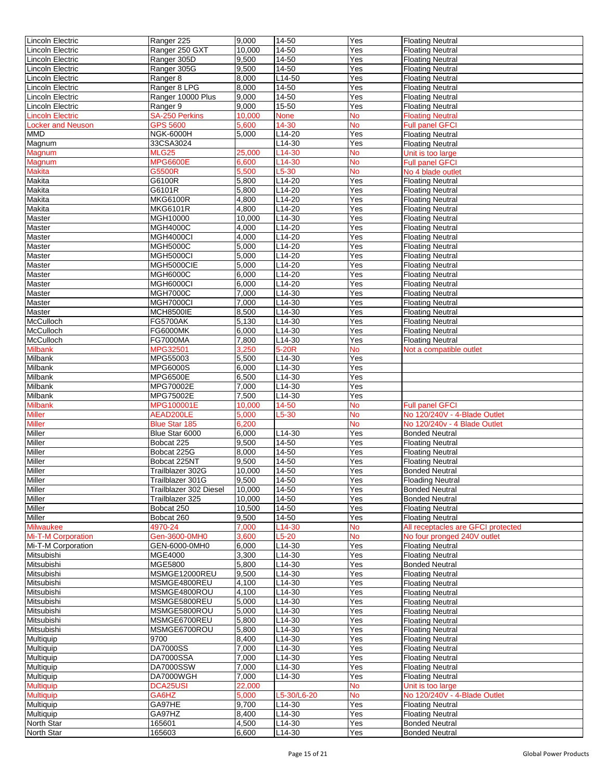| Lincoln Electric          | Ranger 225                                 | 9,000           | 14-50          | $\overline{Y}$ es | <b>Floating Neutral</b>                          |
|---------------------------|--------------------------------------------|-----------------|----------------|-------------------|--------------------------------------------------|
| Lincoln Electric          | Ranger 250 GXT                             | 10,000          | 14-50          | Yes               | <b>Floating Neutral</b>                          |
| Lincoln Electric          | Ranger 305D                                | 9,500           | 14-50          | Yes               | <b>Floating Neutral</b>                          |
| Lincoln Electric          | Ranger 305G                                | 9,500           | 14-50          | Yes               | <b>Floating Neutral</b>                          |
| Lincoln Electric          | Ranger 8                                   | 8,000           | L14-50         | Yes               | <b>Floating Neutral</b>                          |
| <b>Lincoln Electric</b>   | Ranger 8 LPG                               | 8,000           | 14-50          | Yes               | <b>Floating Neutral</b>                          |
| Lincoln Electric          | Ranger 10000 Plus                          | 9,000           | 14-50          | Yes               | <b>Floating Neutral</b>                          |
| Lincoln Electric          | Ranger 9                                   | 9,000           | 15-50          | Yes               | <b>Floating Neutral</b>                          |
| <b>Lincoln Electric</b>   | <b>SA-250 Perkins</b>                      | 10,000          | <b>None</b>    | <b>No</b>         | <b>Floating Neutral</b>                          |
| <b>Locker and Neuson</b>  | <b>GPS 5600</b>                            | 5,600           | 14-30          | <b>No</b>         | <b>Full panel GFCI</b>                           |
| <b>MMD</b>                | <b>NGK-6000H</b>                           | 5,000           | $L14-20$       | Yes               | <b>Floating Neutral</b>                          |
| Magnum                    | 33CSA3024                                  |                 | L14-30         | Yes               | <b>Floating Neutral</b>                          |
| Magnum                    | <b>MLG25</b>                               | 25,000          | L14-30         | <b>No</b>         | Unit is too large                                |
| Magnum                    | <b>MPG6600E</b>                            | 6,600           | L14-30         | No                | <b>Full panel GFCI</b>                           |
| <b>Makita</b>             | <b>G5500R</b>                              | 5,500           | $L5-30$        | No                | No 4 blade outlet                                |
| Makita                    | G6100R                                     | 5,800           | L14-20         | Yes               | <b>Floating Neutral</b>                          |
| Makita                    | G6101R                                     | 5,800           | L14-20         | Yes               | <b>Floating Neutral</b>                          |
| Makita                    | <b>MKG6100R</b>                            | 4,800           | L14-20         | Yes               | <b>Floating Neutral</b>                          |
| Makita                    | <b>MKG6101R</b>                            | 4,800           | L14-20         | Yes               | <b>Floating Neutral</b>                          |
| Master                    | MGH10000                                   | 10,000          | L14-30         | Yes               | <b>Floating Neutral</b>                          |
| Master                    | <b>MGH4000C</b>                            | 4,000           | L14-20         | Yes               | <b>Floating Neutral</b>                          |
| Master                    | <b>MGH4000CI</b>                           | 4,000           | L14-20         | Yes               | <b>Floating Neutral</b>                          |
| Master                    | <b>MGH5000C</b>                            | 5,000           | $L14-20$       | Yes               | <b>Floating Neutral</b>                          |
| Master                    | <b>MGH5000CI</b>                           | 5,000           | L14-20         | Yes               | <b>Floating Neutral</b>                          |
| Master                    | MGH5000CIE                                 | 5,000           | L14-20         | Yes               | <b>Floating Neutral</b>                          |
| Master                    | <b>MGH6000C</b>                            | 6,000           | L14-20         | Yes               | <b>Floating Neutral</b>                          |
| Master                    | <b>MGH6000CI</b>                           | 6,000           | L14-20         | Yes               | <b>Floating Neutral</b>                          |
| Master                    | <b>MGH7000C</b>                            | 7,000           | L14-30         | Yes               | <b>Floating Neutral</b>                          |
| Master                    | MGH7000CI                                  | 7,000           | L14-30         | Yes               | <b>Floating Neutral</b>                          |
| Master                    | <b>MCH8500IE</b>                           | 8,500           | L14-30         | Yes               | <b>Floating Neutral</b>                          |
| <b>McCulloch</b>          | <b>FG5700AK</b>                            | 5,130           | L14-30         | Yes               | <b>Floating Neutral</b>                          |
| McCulloch                 | <b>FG6000MK</b>                            | 6,000           | L14-30         | Yes               | <b>Floating Neutral</b>                          |
| McCulloch                 | <b>FG7000MA</b>                            | 7,800           | L14-30         | Yes               | <b>Floating Neutral</b>                          |
| <b>Milbank</b>            | MPG32501                                   | 3,250           | 5-20R          | <b>No</b>         | Not a compatible outlet                          |
| Milbank                   | MPG55003                                   | 5,500           | L14-30         | Yes               |                                                  |
| Milbank                   | <b>MPG6000S</b>                            | 6,000           | L14-30         | Yes               |                                                  |
| <b>Milbank</b>            | <b>MPG6500E</b>                            | 6,500           | $L14-30$       | Yes               |                                                  |
| <b>Milbank</b>            | MPG70002E                                  | 7,000           | $L14-30$       | Yes               |                                                  |
| Milbank                   | MPG75002E                                  | 7,500           | L14-30         | Yes               |                                                  |
| <b>Milbank</b>            | MPG100001E                                 | 10,000          | 14-50          | <b>No</b>         | <b>Full panel GFCI</b>                           |
| <b>Miller</b>             | AEAD200LE                                  | 5,000           | L5-30          | No                | No 120/240V - 4-Blade Outlet                     |
| <b>Miller</b>             | <b>Blue Star 185</b>                       | 6,200           |                | No                | No 120/240v - 4 Blade Outlet                     |
| Miller                    | Blue Star 6000                             | 6,000           | L14-30         | Yes               | <b>Bonded Neutral</b>                            |
| Miller                    | Bobcat 225                                 | 9,500           | $14-50$        | Yes               | <b>Floating Neutral</b>                          |
| Miller                    | Bobcat 225G                                | 8,000           | 14-50          | Yes               | <b>Floating Neutral</b>                          |
| Miller                    | Bobcat 225NT                               | 9,500           | 14-50          | Yes               |                                                  |
| Miller                    | Trailblazer 302G                           | 10,000          | 14-50          | Yes               | <b>Floating Neutral</b><br><b>Bonded Neutral</b> |
|                           |                                            |                 |                |                   | <b>Floading Neutral</b>                          |
| Miller<br>Miller          | Trailblazer 301G<br>Trailblazer 302 Diesel | 9,500<br>10,000 | 14-50<br>14-50 | Yes<br>Yes        | <b>Bonded Neutral</b>                            |
| Miller                    | Trailblazer 325                            | 10,000          | 14-50          | Yes               | <b>Bonded Neutral</b>                            |
| Miller                    | Bobcat 250                                 | 10,500          | 14-50          | Yes               | <b>Floating Neutral</b>                          |
| Miller                    | Bobcat 260                                 | 9,500           | 14-50          | Yes               | <b>Floating Neutral</b>                          |
| <b>Milwaukee</b>          | 4970-24                                    | 7.000           | L14-30         | No                | All receptacles are GFCI protected               |
| <b>Mi-T-M Corporation</b> | Gen-3600-0MH0                              | 3,600           | $L5-20$        | <b>No</b>         | No four pronged 240V outlet                      |
| Mi-T-M Corporation        | GEN-6000-0MH0                              | 6,000           | L14-30         | Yes               | <b>Floating Neutral</b>                          |
| Mitsubishi                | <b>MGE4000</b>                             | 3,300           | $L14-30$       | Yes               | <b>Floating Neutral</b>                          |
| Mitsubishi                | MGE5800                                    | 5,800           | L14-30         | Yes               | <b>Bonded Neutral</b>                            |
| Mitsubishi                | MSMGE12000REU                              | 9,500           | L14-30         | Yes               | <b>Floating Neutral</b>                          |
| Mitsubishi                | MSMGE4800REU                               | 4,100           | L14-30         | Yes               | <b>Floating Neutral</b>                          |
| Mitsubishi                | MSMGE4800ROU                               | 4,100           | L14-30         | Yes               | <b>Floating Neutral</b>                          |
| Mitsubishi                | MSMGE5800REU                               | 5,000           | L14-30         | Yes               | <b>Floating Neutral</b>                          |
| Mitsubishi                | MSMGE5800ROU                               | 5,000           | $L14-30$       | Yes               | <b>Floating Neutral</b>                          |
| Mitsubishi                | MSMGE6700REU                               | 5,800           | $L14-30$       | Yes               | <b>Floating Neutral</b>                          |
| Mitsubishi                | MSMGE6700ROU                               | 5,800           | L14-30         | Yes               |                                                  |
|                           | 9700                                       |                 |                |                   | <b>Floating Neutral</b>                          |
| Multiquip                 |                                            | 8,400           | L14-30         | Yes               | <b>Floating Neutral</b>                          |
| Multiquip                 | <b>DA7000SS</b>                            | 7,000           | $L14-30$       | Yes               | <b>Floating Neutral</b>                          |
| Multiquip                 | DA7000SSA                                  | 7,000           | L14-30         | Yes               | <b>Floating Neutral</b>                          |
| Multiquip                 | DA7000SSW                                  | 7,000           | L14-30         | Yes               | <b>Floating Neutral</b>                          |
| Multiquip                 | DA7000WGH                                  | 7,000           | L14-30         | Yes               | <b>Floating Neutral</b>                          |
| <b>Multiquip</b>          | <b>DCA25USI</b>                            | 22,000          |                | <b>No</b>         | Unit is too large                                |
| <b>Multiquip</b>          | GA6HZ                                      | 5,000           | L5-30/L6-20    | No                | No 120/240V - 4-Blade Outlet                     |
| Multiquip                 | GA97HE                                     | 9,700           | L14-30         | Yes               | <b>Floating Neutral</b>                          |
| Multiquip                 | GA97HZ                                     | 8,400           | L14-30         | Yes               | <b>Floating Neutral</b>                          |
| North Star                | 165601                                     | 4,500           | L14-30         | Yes               | <b>Bonded Neutral</b>                            |
| North Star                | 165603                                     | 6,600           | L14-30         | Yes               | <b>Bonded Neutral</b>                            |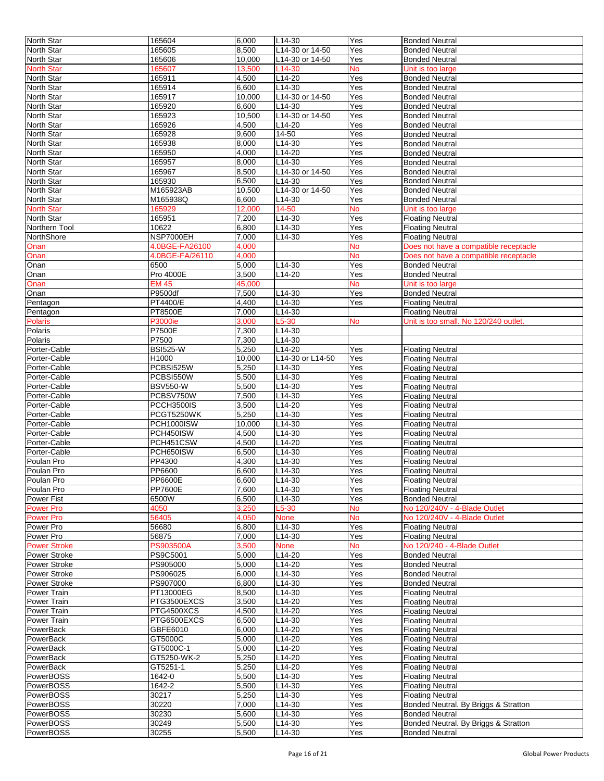| North Star                       | 165604                           | 6,000          | L14-30           | Yes        | <b>Bonded Neutral</b>                                |
|----------------------------------|----------------------------------|----------------|------------------|------------|------------------------------------------------------|
| North Star                       | 165605                           | 8,500          | L14-30 or 14-50  | Yes        | <b>Bonded Neutral</b>                                |
| North Star                       | 165606                           | 10,000         | L14-30 or 14-50  | Yes        | <b>Bonded Neutral</b>                                |
| <b>North Star</b>                | 165607                           | 13,500         | L14-30           | <b>No</b>  | Unit is too large                                    |
| North Star                       | 165911                           | 4,500          | L14-20           | Yes        | <b>Bonded Neutral</b>                                |
| <b>North Star</b>                | 165914                           | 6,600          | L14-30           | Yes        | <b>Bonded Neutral</b>                                |
| North Star                       | 165917                           | 10,000         | L14-30 or 14-50  | Yes        | <b>Bonded Neutral</b>                                |
| North Star                       | 165920                           | 6,600          | L14-30           | Yes        | <b>Bonded Neutral</b>                                |
| North Star                       | 165923                           | 10,500         | L14-30 or 14-50  | Yes        | <b>Bonded Neutral</b>                                |
| North Star                       | 165926                           | 4,500          | L14-20           | Yes        | <b>Bonded Neutral</b>                                |
| North Star                       | 165928                           | 9,600          | 14-50            | Yes        | <b>Bonded Neutral</b>                                |
| <b>North Star</b>                | 165938                           | 8,000          | L14-30           | Yes        | <b>Bonded Neutral</b>                                |
| North Star                       | 165950                           | 4,000          | L14-20           | Yes        | <b>Bonded Neutral</b>                                |
| North Star                       | 165957                           | 8,000          | L14-30           | Yes        | <b>Bonded Neutral</b>                                |
| North Star                       | 165967                           | 8,500          | L14-30 or 14-50  | Yes        | <b>Bonded Neutral</b>                                |
| North Star                       | 165930                           | 6.500          | L14-30           | Yes        | <b>Bonded Neutral</b>                                |
| North Star                       | M165923AB                        | 10,500         | L14-30 or 14-50  | Yes        | <b>Bonded Neutral</b>                                |
| <b>North Star</b>                | M165938Q                         | 6,600          | $L14-30$         | Yes        | <b>Bonded Neutral</b>                                |
| <b>North Star</b>                | 165929                           | 12,000         | 14-50            | No         | Unit is too large                                    |
| North Star                       | 165951                           | 7,200          | L14-30           | Yes        |                                                      |
|                                  |                                  |                |                  |            | <b>Floating Neutral</b>                              |
| Northern Tool                    | 10622<br>NSP7000EH               | 6,800<br>7,000 | L14-30           | Yes<br>Yes | <b>Floating Neutral</b>                              |
| NorthShore                       |                                  |                | L14-30           |            | <b>Floating Neutral</b>                              |
| Onan                             | 4.0BGE-FA26100                   | 4.000          |                  | <b>No</b>  | Does not have a compatible receptacle                |
| Onan                             | 4.0BGE-FA/26110                  | 4,000          |                  | No         | Does not have a compatible receptacle                |
| Onan                             | 6500                             | 5,000          | L14-30           | Yes        | <b>Bonded Neutral</b>                                |
| Onan                             | Pro 4000E                        | 3,500          | L14-20           | Yes        | <b>Bonded Neutral</b>                                |
| Onan                             | <b>EM 45</b>                     | 45,000         |                  | <b>No</b>  | Unit is too large                                    |
| Onan                             | P9500df                          | 7,500          | L14-30           | Yes        | <b>Bonded Neutral</b>                                |
| Pentagon                         | PT4400/E                         | 4,400          | L14-30           | Yes        | <b>Floating Neutral</b>                              |
| Pentagon                         | PT8500E                          | 7,000          | L14-30           |            | <b>Floating Neutral</b>                              |
| Polaris                          | <b>P3000ie</b>                   | 3,000          | $L5-30$          | <b>No</b>  | Unit is too small. No 120/240 outlet.                |
| <b>Polaris</b>                   | <b>P7500E</b>                    | 7,300          | $L14-30$         |            |                                                      |
| Polaris                          | P7500                            | 7,300          | L14-30           |            |                                                      |
| Porter-Cable                     | <b>BSI525-W</b>                  | 5,250          | L14-20           | Yes        | <b>Floating Neutral</b>                              |
| Porter-Cable                     | H1000                            | 10,000         | L14-30 or L14-50 | Yes        | <b>Floating Neutral</b>                              |
| Porter-Cable                     | PCBSI525W                        | 5,250          | L14-30           | Yes        | <b>Floating Neutral</b>                              |
| Porter-Cable                     | PCBSI550W                        | 5,500          | L14-30           | Yes        | <b>Floating Neutral</b>                              |
| Porter-Cable                     | <b>BSV550-W</b>                  | 5,500          | L14-30           | Yes        | <b>Floating Neutral</b>                              |
| Porter-Cable                     | PCBSV750W                        | 7,500          | L14-30           | Yes        | <b>Floating Neutral</b>                              |
| Porter-Cable                     | <b>PCCH3500IS</b>                | 3,500          | L14-20           | Yes        | <b>Floating Neutral</b>                              |
| Porter-Cable                     | PCGT5250WK                       | 5,250          | L14-30           | Yes        | <b>Floating Neutral</b>                              |
| Porter-Cable                     | PCH1000ISW                       | 10,000         | $L$ 14-30        | Yes        | <b>Floating Neutral</b>                              |
| Porter-Cable                     | PCH450ISW                        | 4,500          | L14-30           | Yes        | <b>Floating Neutral</b>                              |
| Porter-Cable                     | PCH451CSW                        | 4,500          | $L$ 14-20        | Yes        | <b>Floating Neutral</b>                              |
| Porter-Cable                     | PCH650ISW                        | 6,500          | L14-30           | Yes        | <b>Floating Neutral</b>                              |
| Poulan Pro                       | PP4300                           | 4,300          | L14-30           | Yes        | <b>Floating Neutral</b>                              |
| Poulan Pro                       | PP6600                           | 6,600          | L14-30           | Yes        | <b>Floating Neutral</b>                              |
| Poulan Pro                       |                                  | 6,600          |                  |            | <b>Floating Neutral</b>                              |
| Poulan Pro                       | <b>PP6600E</b><br><b>PP7600E</b> | 7,600          | L14-30<br>L14-30 | Yes<br>Yes | <b>Floating Neutral</b>                              |
| <b>Power Fist</b>                | 6500W                            | 6,500          | L14-30           | Yes        | <b>Bonded Neutral</b>                                |
| <b>Power Pro</b>                 | 4050                             | 3,250          | L5-30            | <b>No</b>  | No 120/240V - 4-Blade Outlet                         |
| <b>Power Pro</b>                 | 56405                            | 4,050          | <b>None</b>      | <b>No</b>  | No 120/240V - 4-Blade Outlet                         |
|                                  |                                  |                |                  |            |                                                      |
| Power Pro                        | 56680                            | 6,800<br>7.000 | L14-30<br>L14-30 | Yes        | <b>Floating Neutral</b>                              |
| Power Pro<br><b>Power Stroke</b> | 56875<br><b>PS903500A</b>        | 3,500          |                  | Yes        | <b>Floating Neutral</b>                              |
|                                  |                                  |                | <b>None</b>      | No<br>Yes  | No 120/240 - 4-Blade Outlet<br><b>Bonded Neutral</b> |
| Power Stroke                     | PS9C5001                         | 5,000          | L14-20           |            |                                                      |
| <b>Power Stroke</b>              | PS905000                         | 5,000          | L14-20           | Yes        | <b>Bonded Neutral</b>                                |
| Power Stroke                     | PS906025                         | 6,000          | $L14-30$         | Yes        | <b>Bonded Neutral</b>                                |
| Power Stroke                     | PS907000                         | 6.800          | L14-30           | Yes        | <b>Bonded Neutral</b>                                |
| Power Train                      | PT13000EG                        | 8,500          | L14-30           | Yes        | <b>Floating Neutral</b>                              |
| Power Train                      | PTG3500EXCS                      | 3,500          | L14-20           | Yes        | <b>Floating Neutral</b>                              |
| Power Train                      | PTG4500XCS                       | 4,500          | L14-20           | Yes        | <b>Floating Neutral</b>                              |
| Power Train                      | PTG6500EXCS                      | 6,500          | L14-30           | Yes        | <b>Floating Neutral</b>                              |
| PowerBack                        | GBFE6010                         | 6,000          | L14-20           | Yes        | <b>Floating Neutral</b>                              |
| PowerBack                        | GT5000C                          | 5,000          | $L14-20$         | Yes        | <b>Floating Neutral</b>                              |
| PowerBack                        | GT5000C-1                        | 5,000          | L14-20           | Yes        | <b>Floating Neutral</b>                              |
| PowerBack                        | GT5250-WK-2                      | 5,250          | L14-20           | Yes        | <b>Floating Neutral</b>                              |
| PowerBack                        | GT5251-1                         | 5,250          | L14-20           | Yes        | <b>Floating Neutral</b>                              |
| <b>PowerBOSS</b>                 | 1642-0                           | 5,500          | L14-30           | Yes        | <b>Floating Neutral</b>                              |
| PowerBOSS                        | 1642-2                           | 5,500          | L14-30           | Yes        | <b>Floating Neutral</b>                              |
| PowerBOSS                        | 30217                            | 5,250          | L14-30           | Yes        | <b>Floating Neutral</b>                              |
| PowerBOSS                        | 30220                            | 7,000          | L14-30           | Yes        | Bonded Neutral. By Briggs & Stratton                 |
| PowerBOSS                        | 30230                            | 5,600          | L14-30           | Yes        | <b>Bonded Neutral</b>                                |
| <b>PowerBOSS</b>                 | 30249                            | 5,500          | L14-30           | Yes        | Bonded Neutral. By Briggs & Stratton                 |
| PowerBOSS                        | 30255                            | 5,500          | L14-30           | Yes        | <b>Bonded Neutral</b>                                |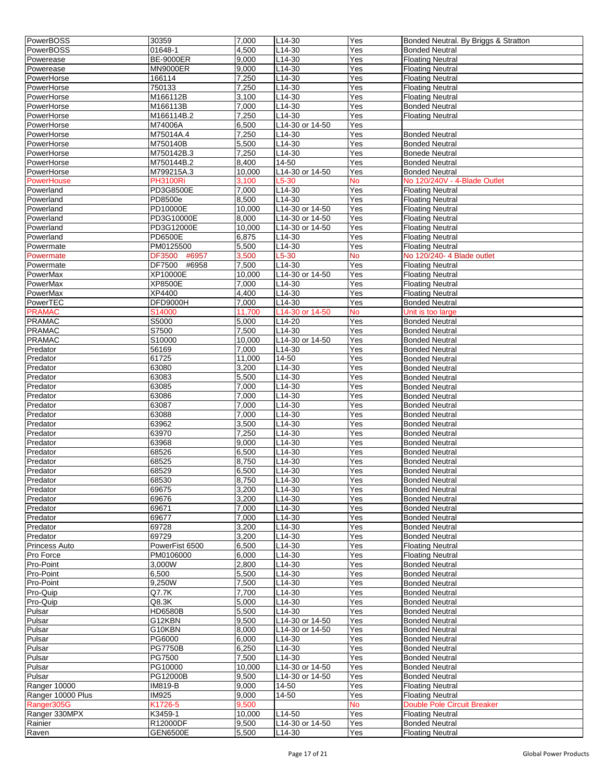| PowerBOSS         | 30359                  | 7,000  | $L14-30$            | Yes       | Bonded Neutral. By Briggs & Stratton |
|-------------------|------------------------|--------|---------------------|-----------|--------------------------------------|
| PowerBOSS         | 01648-1                | 4,500  | L14-30              | Yes       | <b>Bonded Neutral</b>                |
| Powerease         | <b>BE-9000ER</b>       | 9,000  | L14-30              | Yes       | <b>Floating Neutral</b>              |
| Powerease         | <b>MN9000ER</b>        | 9,000  | L14-30              | Yes       | <b>Floating Neutral</b>              |
|                   | 166114                 | 7,250  | L14-30              | Yes       | <b>Floating Neutral</b>              |
| PowerHorse        |                        |        |                     |           |                                      |
| PowerHorse        | 750133                 | 7,250  | $L14-30$            | Yes       | <b>Floating Neutral</b>              |
| PowerHorse        | M166112B               | 3,100  | $L14-30$            | Yes       | <b>Floating Neutral</b>              |
| PowerHorse        | M166113B               | 7,000  | L14-30              | Yes       | <b>Bonded Neutral</b>                |
| PowerHorse        | M166114B.2             | 7,250  | $L14-30$            | Yes       | <b>Floating Neutral</b>              |
| PowerHorse        | M74006A                | 6,500  | L14-30 or 14-50     | Yes       |                                      |
| PowerHorse        | M75014A.4              | 7,250  | L14-30              | Yes       | <b>Bonded Neutral</b>                |
| PowerHorse        | M750140B               | 5,500  | $L14-30$            | Yes       | <b>Bonded Neutral</b>                |
| PowerHorse        | M750142B.3             | 7,250  | $L14-30$            | Yes       | <b>Bonede Neutral</b>                |
| PowerHorse        | M750144B.2             | 8,400  | 14-50               | Yes       | <b>Bonded Neutral</b>                |
| PowerHorse        | M799215A.3             | 10,000 | L14-30 or 14-50     | Yes       | <b>Bonded Neutral</b>                |
| PowerHouse        | <b>PH3100Ri</b>        | 3.100  | $L5-30$             | <b>No</b> | No 120/240V - 4-Blade Outlet         |
| Powerland         | PD3G8500E              | 7,000  | L14-30              | Yes       | <b>Floating Neutral</b>              |
| Powerland         | PD8500e                | 8,500  | L14-30              | Yes       | <b>Floating Neutral</b>              |
|                   |                        |        |                     |           |                                      |
| Powerland         | PD10000E               | 10,000 | L14-30 or 14-50     | Yes       | <b>Floating Neutral</b>              |
| Powerland         | PD3G10000E             | 8,000  | $L14-30$ or 14-50   | Yes       | <b>Floating Neutral</b>              |
| Powerland         | PD3G12000E             | 10,000 | L14-30 or 14-50     | Yes       | <b>Floating Neutral</b>              |
| Powerland         | <b>PD6500E</b>         | 6,875  | L14-30              | Yes       | <b>Floating Neutral</b>              |
| Powermate         | PM0125500              | 5,500  | L14-30              | Yes       | <b>Floating Neutral</b>              |
| Powermate         | <b>DF3500</b><br>#6957 | 3,500  | L5-30               | No        | No 120/240- 4 Blade outlet           |
| Powermate         | #6958<br>DF7500        | 7,500  | $L14-30$            | Yes       | <b>Floating Neutral</b>              |
| PowerMax          | <b>XP10000E</b>        | 10,000 | L14-30 or 14-50     | Yes       | <b>Floating Neutral</b>              |
| PowerMax          | XP8500E                | 7,000  | L14-30              | Yes       | <b>Floating Neutral</b>              |
| PowerMax          | XP4400                 | 4,400  | L14-30              | Yes       | <b>Floating Neutral</b>              |
| PowerTEC          | DFD9000H               | 7,000  | $L14-30$            | Yes       | <b>Bonded Neutral</b>                |
| <b>PRAMAC</b>     | S14000                 | 11,700 | L14-30 or 14-50     | <b>No</b> | Unit is too large                    |
| <b>PRAMAC</b>     | S5000                  | 5,000  | L14-20              | Yes       | <b>Bonded Neutral</b>                |
|                   |                        |        |                     |           |                                      |
| <b>PRAMAC</b>     | S7500                  | 7,500  | L14-30              | Yes       | <b>Bonded Neutral</b>                |
| <b>PRAMAC</b>     | S10000                 | 10,000 | L14-30 or 14-50     | Yes       | <b>Bonded Neutral</b>                |
| Predator          | 56169                  | 7,000  | L14-30              | Yes       | <b>Bonded Neutral</b>                |
| Predator          | 61725                  | 11,000 | 14-50               | Yes       | <b>Bonded Neutral</b>                |
| Predator          | 63080                  | 3,200  | L14-30              | Yes       | <b>Bonded Neutral</b>                |
| Predator          | 63083                  | 5,500  | $L14-30$            | Yes       | <b>Bonded Neutral</b>                |
| Predator          | 63085                  | 7,000  | L14-30              | Yes       | <b>Bonded Neutral</b>                |
| Predator          | 63086                  | 7,000  | L14-30              | Yes       | <b>Bonded Neutral</b>                |
| Predator          | 63087                  | 7,000  | L14-30              | Yes       | <b>Bonded Neutral</b>                |
| Predator          | 63088                  | 7,000  | L14-30              | Yes       | <b>Bonded Neutral</b>                |
| Predator          | 63962                  | 3,500  | L14-30              | Yes       | <b>Bonded Neutral</b>                |
| Predator          | 63970                  | 7,250  | $L14-30$            | Yes       | <b>Bonded Neutral</b>                |
|                   |                        |        |                     |           |                                      |
| Predator          | 63968                  | 9,000  | L14-30              | Yes       | <b>Bonded Neutral</b>                |
| Predator          | 68526                  | 6,500  | L14-30              | Yes       | <b>Bonded Neutral</b>                |
| Predator          | 68525                  | 8,750  | L14-30              | Yes       | <b>Bonded Neutral</b>                |
| Predator          | 68529                  | 6,500  | L14-30              | Yes       | <b>Bonded Neutral</b>                |
| Predator          | 68530                  | 8,750  | L <sub>14</sub> -30 | Yes       | <b>Bonded Neutral</b>                |
| Predator          | 69675                  | 3,200  | L14-30              | Yes       | <b>Bonded Neutral</b>                |
| Predator          | 69676                  | 3,200  | L14-30              | Yes       | <b>Bonded Neutral</b>                |
| Predator          | 69671                  | 7,000  | L14-30              | Yes       | <b>Bonded Neutral</b>                |
| Predator          | 69677                  | 7,000  | L14-30              | Yes       | <b>Bonded Neutral</b>                |
| Predator          | 69728                  | 3,200  | L14-30              | Yes       | <b>Bonded Neutral</b>                |
| Predator          | 69729                  | 3,200  | $L14-30$            | Yes       | <b>Bonded Neutral</b>                |
| Princess Auto     | PowerFist 6500         | 6,500  | $L14-30$            | Yes       | <b>Floating Neutral</b>              |
| Pro Force         | PM0106000              | 6,000  | L14-30              | Yes       | <b>Floating Neutral</b>              |
| Pro-Point         | 3,000W                 | 2,800  | L14-30              | Yes       | <b>Bonded Neutral</b>                |
|                   |                        | 5,500  |                     |           |                                      |
| Pro-Point         | 6,500                  |        | L14-30              | Yes       | <b>Bonded Neutral</b>                |
| Pro-Point         | 9,250W                 | 7,500  | $L14-30$            | Yes       | <b>Bonded Neutral</b>                |
| Pro-Quip          | Q7.7K                  | 7,700  | L14-30              | Yes       | <b>Bonded Neutral</b>                |
| Pro-Quip          | Q8.3K                  | 5,000  | $L14-30$            | Yes       | <b>Bonded Neutral</b>                |
| Pulsar            | <b>HD6580B</b>         | 5,500  | L14-30              | Yes       | <b>Bonded Neutral</b>                |
| Pulsar            | G12KBN                 | 9,500  | L14-30 or 14-50     | Yes       | <b>Bonded Neutral</b>                |
| Pulsar            | G10KBN                 | 8,000  | L14-30 or 14-50     | Yes       | <b>Bonded Neutral</b>                |
| Pulsar            | PG6000                 | 6,000  | L14-30              | Yes       | <b>Bonded Neutral</b>                |
| Pulsar            | <b>PG7750B</b>         | 6,250  | L14-30              | Yes       | <b>Bonded Neutral</b>                |
| Pulsar            | PG7500                 | 7,500  | L14-30              | Yes       | <b>Bonded Neutral</b>                |
| Pulsar            | PG10000                | 10,000 | L14-30 or 14-50     | Yes       | <b>Bonded Neutral</b>                |
| Pulsar            | PG12000B               | 9,500  | L14-30 or 14-50     | Yes       | <b>Bonded Neutral</b>                |
| Ranger 10000      | IM819-B                | 9,000  | 14-50               | Yes       | <b>Floating Neutral</b>              |
| Ranger 10000 Plus | <b>IM925</b>           | 9,000  | 14-50               | Yes       | <b>Floating Neutral</b>              |
|                   |                        |        |                     |           |                                      |
| Ranger305G        | K1726-5                | 9,500  |                     | <b>No</b> | <b>Double Pole Circuit Breaker</b>   |
| Ranger 330MPX     | K3459-1                | 10,000 | L14-50              | Yes       | <b>Floating Neutral</b>              |
| Rainier           | R12000DF               | 9,500  | L14-30 or 14-50     | Yes       | <b>Bonded Neutral</b>                |
| Raven             | <b>GEN6500E</b>        | 5,500  | L14-30              | Yes       | <b>Floating Neutral</b>              |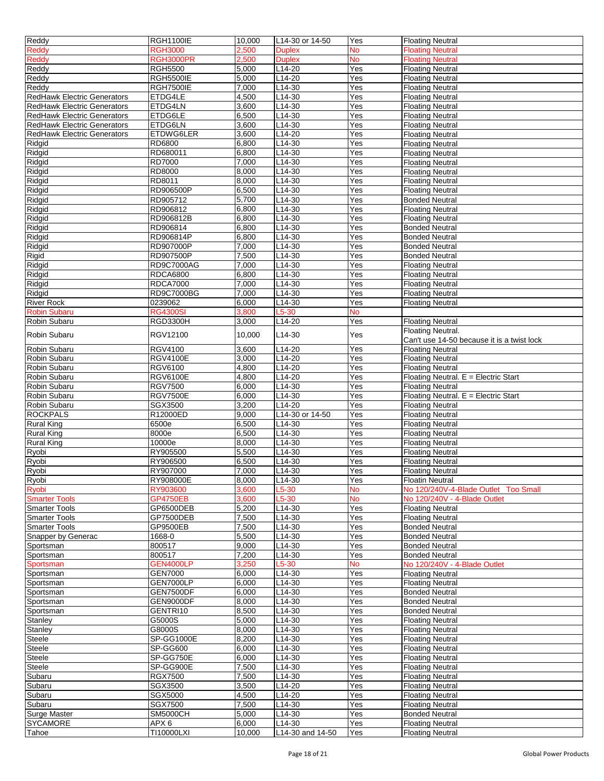| Reddy                              | <b>RGH1100IE</b>    | 10,000          | L14-30 or 14-50            | Yes              | <b>Floating Neutral</b>                            |
|------------------------------------|---------------------|-----------------|----------------------------|------------------|----------------------------------------------------|
| Reddy                              | RGH3000             | 2,500           | <b>Duplex</b>              | <b>No</b>        | Floating Neutral                                   |
| Reddy                              | <b>RGH3000PR</b>    | 2,500           | <b>Duplex</b>              | <b>No</b>        | <b>Floating Neutral</b>                            |
| Reddy                              | <b>RGH5500</b>      | 5,000           | L14-20                     | Yes              | <b>Floating Neutral</b>                            |
| Reddy                              | <b>RGH5500IE</b>    | 5,000           | L14-20                     | Yes              | <b>Floating Neutral</b>                            |
| Reddy                              | <b>RGH7500IE</b>    | 7,000           | L14-30                     | Yes              | <b>Floating Neutral</b>                            |
| <b>RedHawk Electric Generators</b> | ETDG4LE             | 4,500           | L14-30                     | Yes              | <b>Floating Neutral</b>                            |
| <b>RedHawk Electric Generators</b> | ETDG4LN             | 3,600           | L14-30                     | Yes              | <b>Floating Neutral</b>                            |
| <b>RedHawk Electric Generators</b> | ETDG6LE             | 6,500           | L14-30                     | Yes              | <b>Floating Neutral</b>                            |
| <b>RedHawk Electric Generators</b> | ETDG6LN             | 3,600           | L14-30                     | Yes              | <b>Floating Neutral</b>                            |
| <b>RedHawk Electric Generators</b> | ETDWG6LER           | 3,600           | L14-20                     | Yes              | <b>Floating Neutral</b>                            |
| Ridgid                             | RD6800              | 6,800           | L14-30                     | Yes              | <b>Floating Neutral</b>                            |
| Ridgid                             | RD680011            | 6,800           | L14-30                     | Yes              | <b>Floating Neutral</b>                            |
| Ridgid                             | RD7000              | 7,000           | L14-30                     | Yes              | <b>Floating Neutral</b>                            |
| Ridgid                             | RD8000              | 8,000           | $L14-30$                   | Yes              | <b>Floating Neutral</b>                            |
| Ridgid                             | RD8011              | 8,000           | L14-30                     | Yes              | <b>Floating Neutral</b>                            |
| Ridgid                             | RD906500P           | 6,500           | L14-30                     | Yes              | <b>Floating Neutral</b>                            |
| Ridgid                             | RD905712            | 5,700           | $L14-30$                   | Yes              | <b>Bonded Neutral</b>                              |
| Ridgid                             | RD906812            | 6,800           | L14-30                     | Yes              | <b>Floating Neutral</b>                            |
| Ridgid                             | RD906812B           | 6,800           | L14-30                     | Yes              | <b>Floating Neutral</b>                            |
| Ridgid                             | RD906814            | 6,800           | L14-30                     | Yes              | <b>Bonded Neutral</b>                              |
| Ridgid                             | RD906814P           | 6,800           | $L14-30$                   | Yes              | <b>Bonded Neutral</b>                              |
| Ridgid                             | RD907000P           | 7,000           | L14-30                     | Yes              | <b>Bonded Neutral</b>                              |
| Rigid                              | RD907500P           | 7,500           | L14-30                     | Yes              | <b>Bonded Neutral</b>                              |
| Ridgid                             | RD9C7000AG          | 7,000           | L14-30                     | Yes              | <b>Floating Neutral</b>                            |
| Ridgid                             | <b>RDCA6800</b>     | 6,800           | L14-30                     | Yes              | <b>Floating Neutral</b>                            |
| Ridgid                             | <b>RDCA7000</b>     | 7,000           | L14-30                     | Yes              | <b>Floating Neutral</b>                            |
| Ridgid                             | RD9C7000BG          | 7,000           | L14-30                     | Yes              | <b>Floating Neutral</b>                            |
| <b>River Rock</b>                  | 0239062             | 6,000           | L14-30                     | Yes              | <b>Floating Neutral</b>                            |
| <b>Robin Subaru</b>                | <b>RG4300SI</b>     | 3,800           | $L5-30$                    | <b>No</b>        |                                                    |
| Robin Subaru                       | <b>RGD3300H</b>     | 3,000           | L14-20                     | Yes              | <b>Floating Neutral</b>                            |
| Robin Subaru                       | RGV12100            | 10,000          | L14-30                     | Yes              | Floating Neutral.                                  |
|                                    |                     |                 |                            |                  | Can't use 14-50 because it is a twist lock         |
| Robin Subaru                       | <b>RGV4100</b>      | 3,600           | L14-20                     | Yes              | <b>Floating Neutral</b>                            |
| Robin Subaru                       | <b>RGV4100E</b>     | 3,000           | L14-20                     | Yes              | <b>Floating Neutral</b>                            |
| Robin Subaru                       | <b>RGV6100</b>      | 4,800           | L14-20                     | Yes              | <b>Floating Neutral</b>                            |
| Robin Subaru                       | <b>RGV6100E</b>     | 4,800           | L14-20                     | Yes              | Floating Neutral. E = Electric Start               |
| Robin Subaru                       | <b>RGV7500</b>      | 6,000           | L14-30                     | Yes              | <b>Floating Neutral</b>                            |
| Robin Subaru                       | <b>RGV7500E</b>     | 6,000           | L14-30                     | Yes              | Floating Neutral. E = Electric Start               |
| Robin Subaru                       | SGX3500             | 3,200           | L14-20                     | Yes              | <b>Floating Neutral</b>                            |
| <b>ROCKPALS</b>                    | R12000ED            | 9,000           | L14-30 or 14-50            | Yes              | <b>Floating Neutral</b>                            |
| <b>Rural King</b>                  | 6500e               | 6,500           | L14-30                     | Yes              | <b>Floating Neutral</b>                            |
| <b>Rural King</b>                  | 8000e               | 6,500           | L14-30                     | Yes              | <b>Floating Neutral</b>                            |
| <b>Rural King</b>                  | 10000e              | 8,000           | L14-30                     | Yes              | <b>Floating Neutral</b>                            |
| Ryobi                              | RY905500            | 5,500           | L14-30                     | Yes              | <b>Floating Neutral</b>                            |
| Ryobi                              | RY906500            | 6,500           | L14-30                     | Yes              | <b>Floating Neutral</b>                            |
| Ryobi                              | RY907000            | 7,000           | L14-30                     | Yes              | <b>Floating Neutral</b>                            |
| Ryobi                              | RY908000E           | 8,000           | L <sub>14</sub> -30        | Yes              | <b>Floatin Neutral</b>                             |
| <b>Ryobi</b>                       | RY903600            | 3,600           | $L5-30$                    | <b>No</b>        | No 120/240V-4-Blade Outlet Too Small               |
| <b>Smarter Tools</b>               | <b>GP4750EB</b>     | 3,600           | $L5-30$                    | <b>No</b>        | No 120/240V - 4-Blade Outlet                       |
| <b>Smarter Tools</b>               | GP6500DEB           | 5,200           | L14-30                     | $\overline{Yes}$ | <b>Floating Neutral</b>                            |
| <b>Smarter Tools</b>               | GP7500DEB           | 7,500           | L14-30                     | Yes              | <b>Floating Neutral</b>                            |
| <b>Smarter Tools</b>               | GP9500EB            | 7,500           | $L14-30$                   | Yes              | <b>Bonded Neutral</b>                              |
| <b>Snapper by Generac</b>          |                     |                 |                            |                  |                                                    |
| Sportsman                          | 1668-0              | 5,500           | L14-30                     | Yes              | <b>Bonded Neutral</b>                              |
| Sportsman                          | 800517              | 9,000           | L14-30                     | Yes              | <b>Bonded Neutral</b>                              |
|                                    | 800517              | 7,200           | L14-30                     | Yes              | <b>Bonded Neutral</b>                              |
| Sportsman                          | <b>GEN4000LP</b>    | 3,250           | $L5-30$                    | <b>No</b>        | No 120/240V - 4-Blade Outlet                       |
| Sportsman                          | <b>GEN7000</b>      | 6,000           | L14-30                     | Yes              | <b>Floating Neutral</b>                            |
| Sportsman                          | GEN7000LP           | 6,000           | L14-30                     | Yes              | <b>Floating Neutral</b>                            |
| Sportsman                          | GEN7500DF           | 6,000           | $L14-30$                   | Yes              | <b>Bonded Neutral</b>                              |
| Sportsman                          | GEN9000DF           | 8,000           | L14-30                     | Yes              | <b>Bonded Neutral</b>                              |
| Sportsman                          | GENTRI10            | 8,500           | L14-30                     | Yes              | <b>Bonded Neutral</b>                              |
| Stanley                            | G5000S              | 5,000           | L14-30                     | Yes              | <b>Floating Neutral</b>                            |
| Stanley                            | G8000S              | 8,000           | L14-30                     | Yes              | <b>Floating Neutral</b>                            |
| Steele                             | SP-GG1000E          | 8,200           | L14-30                     | Yes              | <b>Floating Neutral</b>                            |
| Steele                             | SP-GG600            | 6,000           | L14-30                     | Yes              | <b>Floating Neutral</b>                            |
| <b>Steele</b>                      | SP-GG750E           | 6,000           | L14-30                     | Yes              | <b>Floating Neutral</b>                            |
| Steele                             | SP-GG900E           | 7,500           | L14-30                     | Yes              | <b>Floating Neutral</b>                            |
| Subaru                             | <b>RGX7500</b>      | 7,500           | L14-30                     | Yes              | <b>Floating Neutral</b>                            |
| Subaru                             | SGX3500             | 3,500           | L14-20                     | Yes              | <b>Floating Neutral</b>                            |
| Subaru                             | SGX5000             | 4,500           | L14-20                     | Yes              | <b>Floating Neutral</b>                            |
| Subaru                             | SGX7500             | 7,500           | L14-30                     | Yes              | <b>Floating Neutral</b>                            |
| Surge Master                       | <b>SM5000CH</b>     | 5,000           | L14-30                     | Yes              | <b>Bonded Neutral</b>                              |
| <b>SYCAMORE</b><br>Tahoe           | APX 6<br>TI10000LXI | 6,000<br>10,000 | L14-30<br>L14-30 and 14-50 | Yes<br>Yes       | <b>Floating Neutral</b><br><b>Floating Neutral</b> |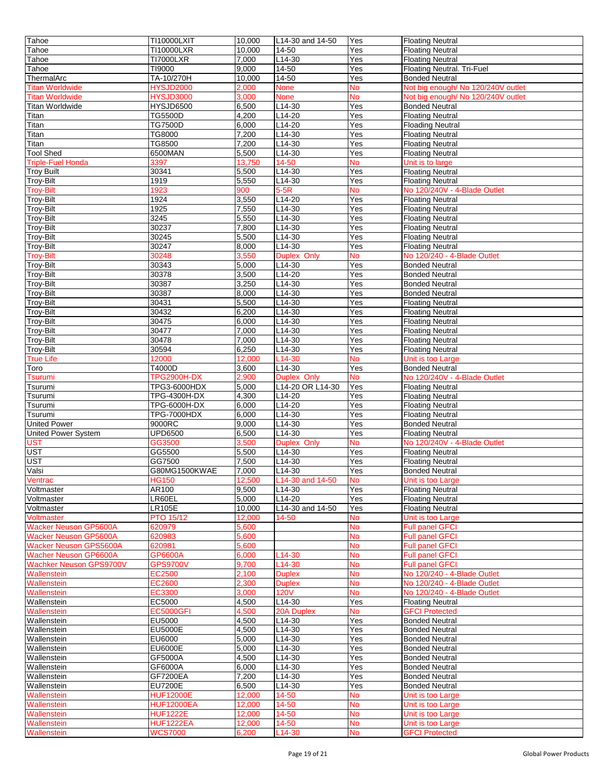| Tahoe                          | TI10000LXIT                        | 10.000          | L14-30 and 14-50              | Yes             | <b>Floating Neutral</b>                    |
|--------------------------------|------------------------------------|-----------------|-------------------------------|-----------------|--------------------------------------------|
| Tahoe                          | TI10000LXR                         | 10.000          | 14-50                         | Yes             | <b>Floating Neutral</b>                    |
| Tahoe                          | <b>TI7000LXR</b>                   | 7,000           | L14-30                        | Yes             | <b>Floating Neutral</b>                    |
|                                |                                    |                 |                               |                 |                                            |
| Tahoe                          | TI9000                             | 9,000           | 14-50                         | Yes             | <b>Floating Neutral. Tri-Fuel</b>          |
| ThermalArc                     | TA-10/270H                         | 10,000          | 14-50                         | Yes             | <b>Bonded Neutral</b>                      |
| <b>Titan Worldwide</b>         | <b>HYSJD2000</b>                   | 2,000           | None                          | No              | Not big enough/ No 120/240V outlet         |
| <b>Titan Worldwide</b>         | <b>HYSJD3000</b>                   | 3,000           | None                          | <b>No</b>       | Not big enough/ No 120/240V outlet         |
| <b>Titan Worldwide</b>         | HYSJD6500                          | 6,500           | L14-30                        | Yes             | <b>Bonded Neutral</b>                      |
| Titan                          | TG5500D                            | 4,200           | $L14-20$                      | Yes             | <b>Floating Neutral</b>                    |
| Titan                          | <b>TG7500D</b>                     | 6,000           | L14-20                        | Yes             | <b>Floading Neutral</b>                    |
| Titan                          | TG8000                             | 7,200           | $L14-30$                      | Yes             | <b>Floating Neutral</b>                    |
|                                | TG8500                             |                 | $L14-30$                      |                 |                                            |
| Titan                          |                                    | 7,200           |                               | Yes             | <b>Floating Neutral</b>                    |
| <b>Tool Shed</b>               | 6500MAN                            | 5,500           | L14-30                        | Yes             | <b>Floating Neutral</b>                    |
| <b>Triple-Fuel Honda</b>       | 3397                               | 13,750          | 14-50                         | No              | Unit is to large                           |
| <b>Troy Built</b>              | 30341                              | 5,500           | L14-30                        | Yes             | <b>Floating Neutral</b>                    |
| <b>Troy-Bilt</b>               | 1919                               | 5,550           | $L14-30$                      | Yes             | <b>Floating Neutral</b>                    |
| <b>Troy-Bilt</b>               | 1923                               | 900             | $5-5R$                        | No              | No 120/240V - 4-Blade Outlet               |
| Troy-Bilt                      | 1924                               | 3,550           | L14-20                        | Yes             | <b>Floating Neutral</b>                    |
| Troy-Bilt                      | 1925                               | 7,550           | L14-30                        | Yes             | <b>Floating Neutral</b>                    |
|                                |                                    |                 |                               |                 |                                            |
| <b>Troy-Bilt</b>               | 3245                               | 5,550           | L14-30                        | Yes             | <b>Floating Neutral</b>                    |
| Troy-Bilt                      | 30237                              | 7,800           | L14-30                        | Yes             | <b>Floating Neutral</b>                    |
| <b>Troy-Bilt</b>               | 30245                              | 5,500           | L14-30                        | Yes             | <b>Floating Neutral</b>                    |
| <b>Troy-Bilt</b>               | 30247                              | 8,000           | $L14-30$                      | Yes             | <b>Floating Neutral</b>                    |
| <b>Troy-Bilt</b>               | 30248                              | 3,550           | <b>Duplex Only</b>            | <b>No</b>       | No 120/240 - 4-Blade Outlet                |
| Troy-Bilt                      | 30343                              | 5,000           | L14-30                        | Yes             | <b>Bonded Neutral</b>                      |
| Troy-Bilt                      | 30378                              | 3,500           | L14-20                        | Yes             | <b>Bonded Neutral</b>                      |
|                                |                                    |                 |                               |                 |                                            |
| <b>Troy-Bilt</b>               | 30387                              | 3,250           | L14-30                        | Yes             | <b>Bonded Neutral</b>                      |
| <b>Troy-Bilt</b>               | 30387                              | 8,000           | $L14-30$                      | Yes             | <b>Bonded Neutral</b>                      |
| <b>Troy-Bilt</b>               | 30431                              | 5,500           | L14-30                        | Yes             | <b>Floating Neutral</b>                    |
| <b>Troy-Bilt</b>               | 30432                              | 6,200           | $L14-30$                      | Yes             | <b>Floating Neutral</b>                    |
| <b>Troy-Bilt</b>               | 30475                              | 6,000           | L14-30                        | Yes             | <b>Floating Neutral</b>                    |
| <b>Troy-Bilt</b>               | 30477                              | 7,000           | L14-30                        | Yes             | <b>Floating Neutral</b>                    |
| Troy-Bilt                      | 30478                              | 7,000           | L14-30                        | Yes             | <b>Floating Neutral</b>                    |
|                                | 30594                              | 6,250           | L14-30                        | Yes             |                                            |
| Troy-Bilt                      |                                    |                 |                               |                 | <b>Floating Neutral</b>                    |
| <b>True Life</b>               | 12000                              | 12,000          | L14-30                        | <b>No</b>       | Unit is too Large                          |
| Toro                           | T4000D                             | 3,600           | L14-30                        | Yes             | <b>Bonded Neutral</b>                      |
| Tsurumi                        | <b>TPG2900H-DX</b>                 | 2,900           | <b>Duplex Only</b>            | <b>No</b>       | No 120/240V - 4-Blade Outlet               |
| Tsurumi                        | TPG3-6000HDX                       | 5,000           | L14-20 OR L14-30              | Yes             | <b>Floating Neutral</b>                    |
| Tsurumi                        | TPG-4300H-DX                       | 4,300           | L14-20                        | Yes             | <b>Floating Neutral</b>                    |
| Tsurumi                        | TPG-6000H-DX                       | 6,000           | L14-20                        | Yes             | <b>Floating Neutral</b>                    |
| Tsurumi                        | <b>TPG-7000HDX</b>                 | 6,000           | L14-30                        | Yes             | <b>Floating Neutral</b>                    |
|                                |                                    |                 | $L$ 14-30                     |                 |                                            |
| <b>United Power</b>            | 9000RC                             | 9,000           |                               | Yes             | <b>Bonded Neutral</b>                      |
| <b>United Power System</b>     | UPD6500                            | 6,500           | $L14-30$                      | Yes             | <b>Floating Neutral</b>                    |
| JST                            | GG3500                             | 3,500           | <b>Duplex Only</b>            | <b>No</b>       | No 120/240V - 4-Blade Outlet               |
| UST                            | GG5500                             | 5,500           | $\overline{L14-30}$           | Yes             | <b>Floating Neutral</b>                    |
| UST                            | GG7500                             | 7,500           | L14-30                        | Yes             | <b>Floating Neutral</b>                    |
| Valsi                          | G80MG1500KWAE                      | 7,000           | L14-30                        | Yes             | <b>Bonded Neutral</b>                      |
| Ventrac                        | <b>HG150</b>                       | 12,500          | L <sub>14</sub> -30 and 14-50 | No.             | Unit is too Large                          |
| Voltmaster                     | AR100                              | 9,500           | L <sub>14</sub> -30           | Yes             | <b>Floating Neutral</b>                    |
|                                |                                    |                 |                               |                 |                                            |
| Voltmaster                     | LR60EL                             | 5,000           | L14-20                        | Yes             | <b>Floating Neutral</b>                    |
| Voltmaster                     | <b>LR105E</b>                      | 10,000          | L14-30 and 14-50              | Yes             | <b>Floating Neutral</b>                    |
| Voltmaster                     | <b>PTO 15/12</b>                   | 12,000          | 14-50                         | <b>No</b>       | Unit is too Large                          |
| <b>Wacker Neuson GP5600A</b>   | 620979                             | 5.600           |                               | No              | <b>Full panel GFCI</b>                     |
| <b>Wacker Neuson GP5600A</b>   | 620983                             | 5,600           |                               | <b>No</b>       | <b>Full panel GFCI</b>                     |
| <b>Wacker Neuson GPS5600A</b>  | 620981                             | 5,600           |                               | No              | <b>Full panel GFCI</b>                     |
| <b>Wacher Neuson GP6600A</b>   | GP6600A                            | 6,000           | L <sub>14</sub> -30           | No              | <b>Full panel GFCI</b>                     |
| <b>Wachker Neuson GPS9700V</b> | <b>GPS9700V</b>                    | 9,700           | L14-30                        | <b>No</b>       | <b>Full panel GFCI</b>                     |
|                                |                                    |                 |                               |                 |                                            |
| Wallenstein                    | EC2500                             | 2,100           | <b>Duplex</b>                 | <b>No</b>       | No 120/240 - 4-Blade Outlet                |
| Wallenstein                    | EC2600                             | 2,300           | <b>Duplex</b>                 | No              | No 120/240 - 4-Blade Outlet                |
| Wallenstein                    | EC3300                             | 3,000           | <b>120V</b>                   | <b>No</b>       | No 120/240 - 4-Blade Outlet                |
| Wallenstein                    | EC5000                             | 4,500           | $L14-30$                      | Yes             | <b>Floating Neutral</b>                    |
| Wallenstein                    | <b>EC5000GFI</b>                   | 4,500           | 20A Duplex                    | No              | <b>GFCI Protected</b>                      |
| Wallenstein                    | EU5000                             | 4,500           | L14-30                        | Yes             | <b>Bonded Neutral</b>                      |
| Wallenstein                    | <b>EU5000E</b>                     | 4,500           | L14-30                        | Yes             | <b>Bonded Neutral</b>                      |
|                                |                                    |                 |                               |                 |                                            |
| Wallenstein                    | EU6000                             | 5,000           | L14-30                        | Yes             | <b>Bonded Neutral</b>                      |
| Wallenstein                    | <b>EU6000E</b>                     | 5.000           | L14-30                        | Yes             | <b>Bonded Neutral</b>                      |
| Wallenstein                    | GF5000A                            | 4,500           | L14-30                        | Yes             | <b>Bonded Neutral</b>                      |
| Wallenstein                    | GF6000A                            | 6,000           | L14-30                        | Yes             | <b>Bonded Neutral</b>                      |
| Wallenstein                    |                                    | 7,200           | L14-30                        | Yes             | <b>Bonded Neutral</b>                      |
| Wallenstein                    | <b>GF7200EA</b>                    |                 |                               |                 |                                            |
|                                |                                    |                 |                               |                 |                                            |
|                                | <b>EU7200E</b>                     | 6,500           | L14-30                        | Yes             | <b>Bonded Neutral</b>                      |
| Wallenstein                    | <b>HUF12000E</b>                   | 12,000          | 14-50                         | No              | Unit is too Large                          |
| Wallenstein                    | <b>HUF12000EA</b>                  | 12,000          | 14-50                         | No              | Unit is too Large                          |
| Wallenstein                    | <b>HUF1222E</b>                    | 12,000          | 14-50                         | No              | Unit is too Large                          |
| Wallenstein<br>Wallenstein     | <b>HUF1222EA</b><br><b>WCS7000</b> | 12,000<br>6,200 | 14-50<br>L14-30               | <b>No</b><br>No | Unit is too Large<br><b>GFCI Protected</b> |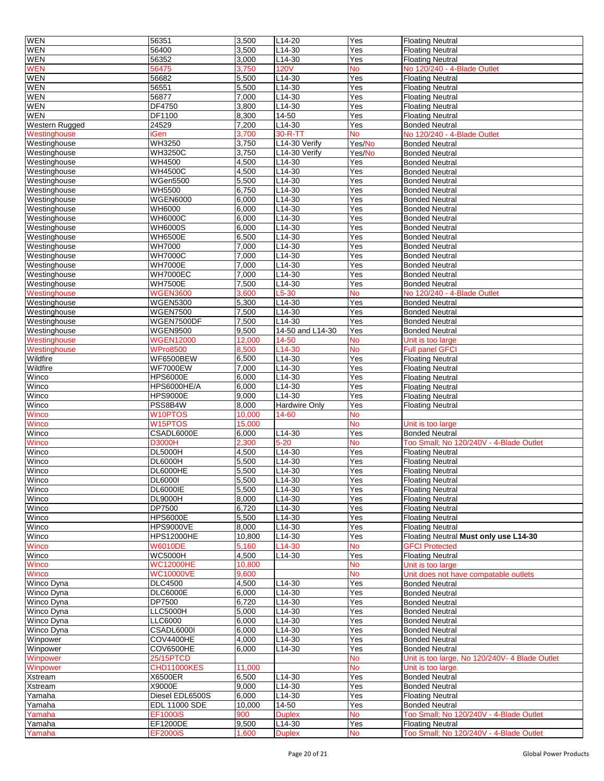| <b>WEN</b>                   | 56351                            | 3,500          | $L14-20$                | Yes              | <b>Floating Neutral</b>                                            |
|------------------------------|----------------------------------|----------------|-------------------------|------------------|--------------------------------------------------------------------|
| <b>WEN</b>                   | 56400                            | 3,500          | L14-30                  | Yes              | <b>Floating Neutral</b>                                            |
| <b>WEN</b>                   | 56352                            | 3,000          | L14-30                  | Yes              | <b>Floating Neutral</b>                                            |
| <b>WEN</b>                   | 56475                            | 3,750          | <b>120V</b>             | <b>No</b>        | No 120/240 - 4-Blade Outlet                                        |
| WEN                          | 56682                            | 5,500          | L14-30                  | Yes              | <b>Floating Neutral</b>                                            |
| <b>WEN</b>                   | 56551                            | 5,500          | L14-30                  | Yes              | <b>Floating Neutral</b>                                            |
| <b>WEN</b>                   | 56877                            | 7,000          | L14-30                  | Yes              | <b>Floating Neutral</b>                                            |
| <b>WEN</b>                   | DF4750                           | 3,800          | $L14-30$                | Yes              | <b>Floating Neutral</b>                                            |
| <b>WEN</b>                   | DF1100                           | 8,300          | 14-50                   | Yes              | <b>Floating Neutral</b>                                            |
| <b>Western Rugged</b>        | 24529                            | 7,200          | L14-30                  | Yes              | <b>Bonded Neutral</b>                                              |
| Westinghouse                 | <b>iGen</b>                      | 3,700          | 30-R-T1                 | <b>No</b>        | No 120/240 - 4-Blade Outlet                                        |
| Westinghouse                 | WH3250                           | 3,750          | L14-30 Verify           | Yes/No           | <b>Bonded Neutral</b>                                              |
| Westinghouse                 | <b>WH3250C</b>                   | 3,750          | L14-30 Verify           | Yes/No           | <b>Bonded Neutral</b>                                              |
| Westinghouse                 | <b>WH4500</b>                    | 4,500          | L14-30                  | Yes              | <b>Bonded Neutral</b>                                              |
| Westinghouse                 | <b>WH4500C</b>                   | 4,500          | L14-30                  | Yes              | <b>Bonded Neutral</b>                                              |
| Westinghouse                 | <b>WGen5500</b>                  | 5,500          | L14-30                  | Yes              | <b>Bonded Neutral</b>                                              |
| Westinghouse                 | <b>WH5500</b>                    | 6,750          | L14-30                  | Yes              | <b>Bonded Neutral</b>                                              |
| Westinghouse                 | <b>WGEN6000</b>                  | 6,000          | L14-30                  | Yes              | <b>Bonded Neutral</b>                                              |
| Westinghouse                 | <b>WH6000</b>                    | 6,000          | L14-30                  | Yes              | <b>Bonded Neutral</b>                                              |
| Westinghouse                 | <b>WH6000C</b>                   | 6,000          | $L14-30$                | Yes              | <b>Bonded Neutral</b>                                              |
| Westinghouse                 | <b>WH6000S</b>                   | 6,000          | L14-30                  | Yes              | <b>Bonded Neutral</b>                                              |
| Westinghouse                 | <b>WH6500E</b><br><b>WH7000</b>  | 6,500<br>7,000 | $L14-30$<br>$L14-30$    | Yes              | <b>Bonded Neutral</b>                                              |
| Westinghouse                 |                                  |                |                         | Yes              | <b>Bonded Neutral</b>                                              |
| Westinghouse<br>Westinghouse | <b>WH7000C</b><br><b>WH7000E</b> | 7,000<br>7,000 | L14-30<br>L14-30        | Yes<br>Yes       | <b>Bonded Neutral</b><br><b>Bonded Neutral</b>                     |
|                              | <b>WH7000EC</b>                  | 7,000          |                         |                  | <b>Bonded Neutral</b>                                              |
| Westinghouse<br>Westinghouse | <b>WH7500E</b>                   | 7,500          | L14-30<br>L14-30        | Yes<br>Yes       | <b>Bonded Neutral</b>                                              |
| Westinghouse                 | <b>WGEN3600</b>                  | 3,600          | L5-30                   | No               | No 120/240 - 4-Blade Outlet                                        |
| Westinghouse                 | <b>WGEN5300</b>                  | 5,300          | L14-30                  | Yes              | <b>Bonded Neutral</b>                                              |
| Westinghouse                 | <b>WGEN7500</b>                  | 7,500          | $L14-30$                | Yes              | <b>Bonded Neutral</b>                                              |
| Westinghouse                 | WGEN7500DF                       | 7,500          | $L14-30$                | Yes              | <b>Bonded Neutral</b>                                              |
| Westinghouse                 | <b>WGEN9500</b>                  | 9,500          | 14-50 and L14-30        | Yes              | <b>Bonded Neutral</b>                                              |
| Westinghouse                 | <b>WGEN12000</b>                 | 12,000         | 14-50                   | No               | Unit is too large                                                  |
| Westinghouse                 | <b>WPro8500</b>                  | 8,500          | L14-30                  | <b>No</b>        | <b>Full panel GFCI</b>                                             |
| Wildfire                     | <b>WF6500BEW</b>                 | 6,500          | L14-30                  | Yes              | <b>Floating Neutral</b>                                            |
| Wildfire                     | <b>WF7000EW</b>                  | 7,000          | L14-30                  | Yes              | <b>Floating Neutral</b>                                            |
| Winco                        | <b>HPS6000E</b>                  | 6,000          | $L14-30$                | Yes              | <b>Floating Neutral</b>                                            |
| Winco                        | HPS6000HE/A                      | 6,000          | $L14-30$                | Yes              | <b>Floating Neutral</b>                                            |
| Winco                        | <b>HPS9000E</b>                  | 9,000          | $L14-30$                | Yes              | <b>Floating Neutral</b>                                            |
| Winco                        | PSS8B4W                          | 8,000          | Hardwire Only           | Yes              | <b>Floating Neutral</b>                                            |
| Winco                        | W10PTOS                          | 10,000         | 14-60                   | <b>No</b>        |                                                                    |
| Winco                        | W15PTOS                          | 15,000         |                         | <b>No</b>        | Unit is too large                                                  |
| Winco                        | CSADL6000E                       | 6,000          | $L14-30$                | Yes              | <b>Bonded Neutral</b>                                              |
| Winco                        | <b>D3000H</b>                    | 2,300          | $5 - 20$                | <b>No</b>        | Too Small; No 120/240V - 4-Blade Outlet                            |
| Winco                        | <b>DL5000H</b>                   | 4,500          | $L14-30$                | Yes              | <b>Floating Neutral</b>                                            |
| Winco                        | <b>DL6000H</b>                   | 5,500          | L14-30                  | Yes              | <b>Floating Neutral</b>                                            |
| Winco                        | DL6000HE                         | 5,500          | L14-30                  | Yes              | <b>Floating Neutral</b>                                            |
| <b>WINCO</b>                 | DL60001                          | 5,500          | L14-30                  | Yes              | <b>Floating Neutral</b>                                            |
| Winco                        | <b>DL6000IE</b>                  | 5,500          | L14-30                  | Yes              | <b>Floating Neutral</b>                                            |
| Winco<br>Winco               | <b>DL9000H</b><br>DP7500         | 8,000<br>6,720 | L14-30<br>$L14-30$      | Yes<br>Yes       | <b>Floating Neutral</b>                                            |
| Winco                        | <b>HPS6000E</b>                  | 5,500          | L14-30                  | Yes              | <b>Floating Neutral</b><br><b>Floating Neutral</b>                 |
| Winco                        | <b>HPS9000VE</b>                 | 8,000          | $L14-30$                | Yes              |                                                                    |
| Winco                        | <b>HPS12000HE</b>                | 10,800         | L14-30                  | Yes              | <b>Floating Neutral</b><br>Floating Neutral Must only use L14-30   |
| <b>Winco</b>                 | <b>W6010DE</b>                   | 5,160          | L14-30                  | <b>No</b>        | <b>GFCI Protected</b>                                              |
| Winco                        | <b>WC5000H</b>                   | 4,500          | L14-30                  | Yes              | <b>Floating Neutral</b>                                            |
| Winco                        | <b>WC12000HE</b>                 | 10,800         |                         | No               | Unit is too large                                                  |
| Winco                        | <b>WC10000VE</b>                 | 9,600          |                         | <b>No</b>        | Unit does not have compatable outlets                              |
| Winco Dyna                   | <b>DLC4500</b>                   | 4,500          | L14-30                  | Yes              | <b>Bonded Neutral</b>                                              |
| Winco Dyna                   | <b>DLC6000E</b>                  | 6,000          | L14-30                  | Yes              | <b>Bonded Neutral</b>                                              |
| Winco Dyna                   | DP7500                           | 6,720          | L14-30                  | Yes              | <b>Bonded Neutral</b>                                              |
| Winco Dyna                   | LLC5000H                         | 5,000          | L14-30                  | Yes              | <b>Bonded Neutral</b>                                              |
| Winco Dyna                   | LLC6000                          | 6,000          | $L14-30$                | Yes              | <b>Bonded Neutral</b>                                              |
| Winco Dyna                   | CSADL6000I                       | 6,000          | L14-30                  | Yes              | <b>Bonded Neutral</b>                                              |
| Winpower                     | COV4400HE                        | 4,000          | $L14-30$                | Yes              | <b>Bonded Neutral</b>                                              |
| Winpower                     | COV6500HE                        | 6,000          | L14-30                  | Yes              | <b>Bonded Neutral</b>                                              |
| Winpower                     | 25/15PTCD                        |                |                         | <b>No</b>        | Unit is too large, No 120/240V- 4 Blade Outlet                     |
| Winpower                     | <b>CHD11000KES</b>               | 11,000         |                         | <b>No</b>        | Unit is too large.                                                 |
| Xstream                      | X6500ER                          | 6,500          | L14-30                  | Yes              | <b>Bonded Neutral</b>                                              |
| Xstream                      | X9000E                           | 9,000          | L14-30                  | Yes              | <b>Bonded Neutral</b>                                              |
| Yamaha                       |                                  |                |                         |                  |                                                                    |
|                              | Diesel EDL6500S                  | 6,000          | L14-30                  | Yes              | <b>Floating Neutral</b>                                            |
| Yamaha                       | EDL 11000 SDE                    | 10,000         | 14-50                   | Yes              | <b>Bonded Neutral</b>                                              |
| Yamaha                       | <b>EF1000iS</b>                  | 900            | <b>Duplex</b>           | No               | Too Small; No 120/240V - 4-Blade Outlet                            |
| Yamaha<br>Yamaha             | EF1200DE<br><b>EF2000iS</b>      | 9,500<br>1,600 | L14-30<br><b>Duplex</b> | Yes<br><b>No</b> | <b>Floating Neutral</b><br>Too Small; No 120/240V - 4-Blade Outlet |